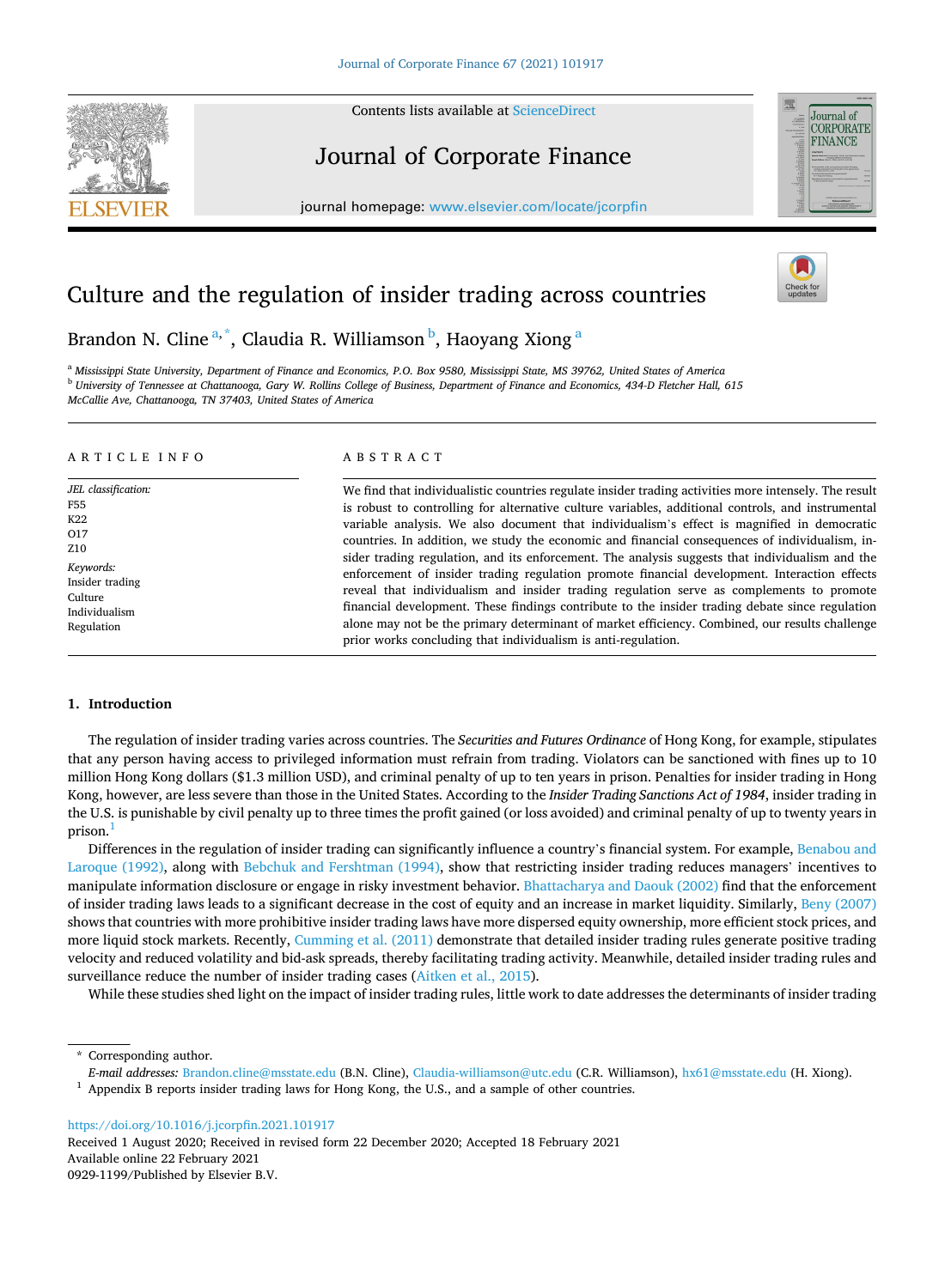Contents lists available at [ScienceDirect](www.sciencedirect.com/science/journal/09291199)



# Journal of Corporate Finance

journal homepage: [www.elsevier.com/locate/jcorpfin](https://www.elsevier.com/locate/jcorpfin)



# Culture and the regulation of insider trading across countries

Brandon N. Cline<sup>a,\*</sup>, Claudia R. Williamson <sup>b</sup>, Haoyang Xiong <sup>a</sup>

<sup>a</sup> *Mississippi State University, Department of Finance and Economics, P.O. Box 9580, Mississippi State, MS 39762, United States of America* <sup>b</sup> *University of Tennessee at Chattanooga, Gary W. Rollins College of Business, Department of Finance and Economics, 434-D Fletcher Hall, 615 McCallie Ave, Chattanooga, TN 37403, United States of America* 

#### ARTICLE INFO

*JEL classification:*  F55 K22  $\Omega$ 17 Z10 *Keywords:*  Insider trading Culture Individualism Regulation

## ABSTRACT

We find that individualistic countries regulate insider trading activities more intensely. The result is robust to controlling for alternative culture variables, additional controls, and instrumental variable analysis. We also document that individualism's effect is magnified in democratic countries. In addition, we study the economic and financial consequences of individualism, insider trading regulation, and its enforcement. The analysis suggests that individualism and the enforcement of insider trading regulation promote financial development. Interaction effects reveal that individualism and insider trading regulation serve as complements to promote financial development. These findings contribute to the insider trading debate since regulation alone may not be the primary determinant of market efficiency. Combined, our results challenge prior works concluding that individualism is anti-regulation.

## **1. Introduction**

The regulation of insider trading varies across countries. The *Securities and Futures Ordinance* of Hong Kong, for example, stipulates that any person having access to privileged information must refrain from trading. Violators can be sanctioned with fines up to 10 million Hong Kong dollars (\$1.3 million USD), and criminal penalty of up to ten years in prison. Penalties for insider trading in Hong Kong, however, are less severe than those in the United States. According to the *Insider Trading Sanctions Act of 1984*, insider trading in the U.S. is punishable by civil penalty up to three times the profit gained (or loss avoided) and criminal penalty of up to twenty years in prison.

Differences in the regulation of insider trading can significantly influence a country's financial system. For example, [Benabou and](#page-21-0) [Laroque \(1992\)](#page-21-0), along with [Bebchuk and Fershtman \(1994\),](#page-21-0) show that restricting insider trading reduces managers' incentives to manipulate information disclosure or engage in risky investment behavior. [Bhattacharya and Daouk \(2002\)](#page-21-0) find that the enforcement of insider trading laws leads to a significant decrease in the cost of equity and an increase in market liquidity. Similarly, [Beny \(2007\)](#page-21-0) shows that countries with more prohibitive insider trading laws have more dispersed equity ownership, more efficient stock prices, and more liquid stock markets. Recently, [Cumming et al. \(2011\)](#page-21-0) demonstrate that detailed insider trading rules generate positive trading velocity and reduced volatility and bid-ask spreads, thereby facilitating trading activity. Meanwhile, detailed insider trading rules and surveillance reduce the number of insider trading cases [\(Aitken et al., 2015\)](#page-21-0).

While these studies shed light on the impact of insider trading rules, little work to date addresses the determinants of insider trading

<https://doi.org/10.1016/j.jcorpfin.2021.101917>

Available online 22 February 2021 0929-1199/Published by Elsevier B.V. Received 1 August 2020; Received in revised form 22 December 2020; Accepted 18 February 2021

<sup>\*</sup> Corresponding author.

E-mail addresses: [Brandon.cline@msstate.edu](mailto:Brandon.cline@msstate.edu) (B.N. Cline), [Claudia-williamson@utc.edu](mailto:Claudia-williamson@utc.edu) (C.R. Williamson), [hx61@msstate.edu](mailto:hx61@msstate.edu) (H. Xiong).<br>Appendix B reports insider trading laws for Hong Kong, the U.S., and a sample of other co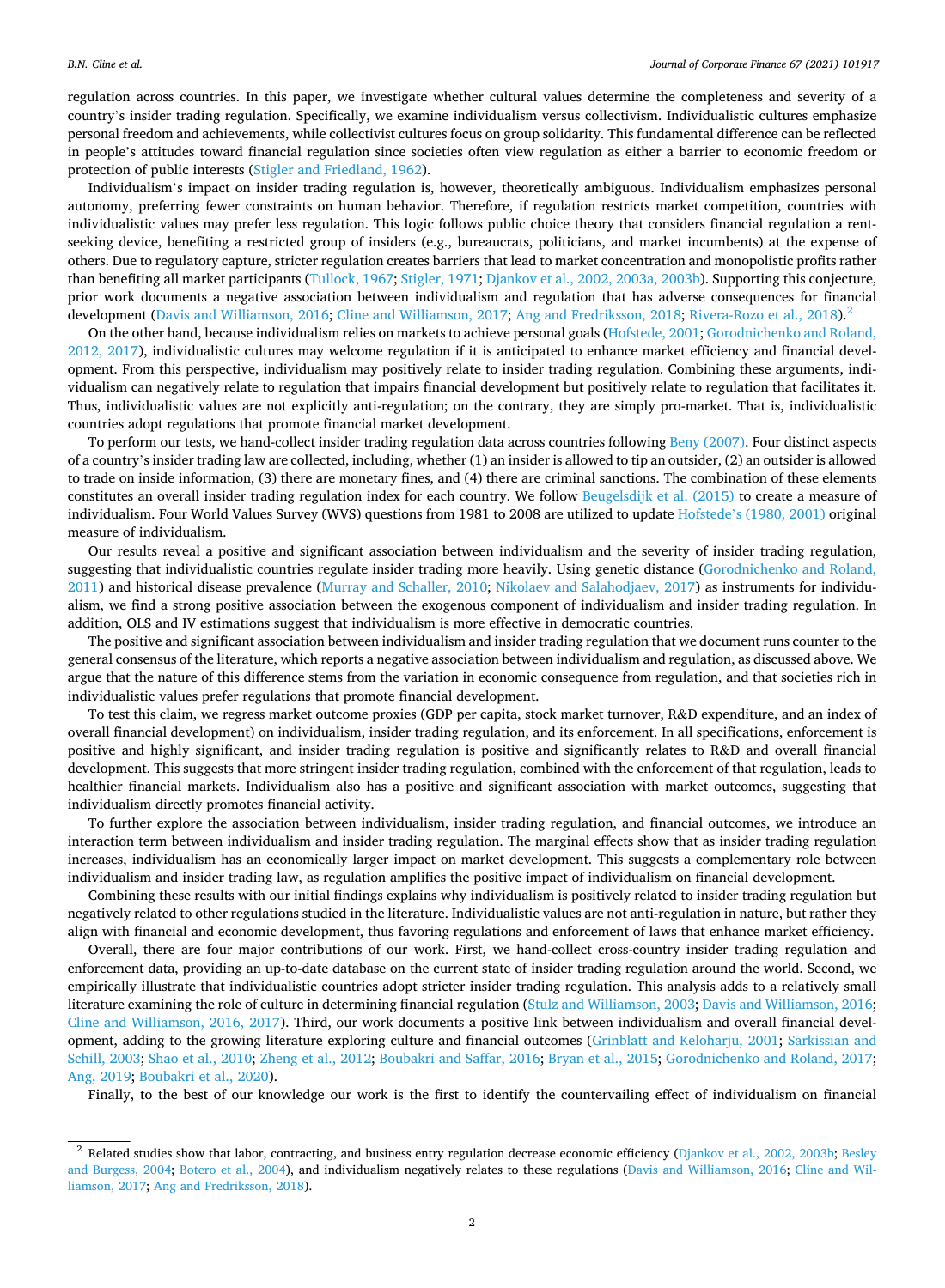regulation across countries. In this paper, we investigate whether cultural values determine the completeness and severity of a country's insider trading regulation. Specifically, we examine individualism versus collectivism. Individualistic cultures emphasize personal freedom and achievements, while collectivist cultures focus on group solidarity. This fundamental difference can be reflected in people's attitudes toward financial regulation since societies often view regulation as either a barrier to economic freedom or protection of public interests [\(Stigler and Friedland, 1962](#page-22-0)).

Individualism's impact on insider trading regulation is, however, theoretically ambiguous. Individualism emphasizes personal autonomy, preferring fewer constraints on human behavior. Therefore, if regulation restricts market competition, countries with individualistic values may prefer less regulation. This logic follows public choice theory that considers financial regulation a rentseeking device, benefiting a restricted group of insiders (e.g., bureaucrats, politicians, and market incumbents) at the expense of others. Due to regulatory capture, stricter regulation creates barriers that lead to market concentration and monopolistic profits rather than benefiting all market participants ([Tullock, 1967; Stigler, 1971](#page-22-0); [Djankov et al., 2002, 2003a, 2003b](#page-21-0)). Supporting this conjecture, prior work documents a negative association between individualism and regulation that has adverse consequences for financial development ([Davis and Williamson, 2016; Cline and Williamson, 2017; Ang and Fredriksson, 2018;](#page-21-0) [Rivera-Rozo et al., 2018\)](#page-22-0).<sup>2</sup>

On the other hand, because individualism relies on markets to achieve personal goals [\(Hofstede, 2001](#page-21-0); [Gorodnichenko and Roland,](#page-21-0) [2012, 2017\)](#page-21-0), individualistic cultures may welcome regulation if it is anticipated to enhance market efficiency and financial development. From this perspective, individualism may positively relate to insider trading regulation. Combining these arguments, individualism can negatively relate to regulation that impairs financial development but positively relate to regulation that facilitates it. Thus, individualistic values are not explicitly anti-regulation; on the contrary, they are simply pro-market. That is, individualistic countries adopt regulations that promote financial market development.

To perform our tests, we hand-collect insider trading regulation data across countries following [Beny \(2007\)](#page-21-0). Four distinct aspects of a country's insider trading law are collected, including, whether (1) an insider is allowed to tip an outsider, (2) an outsider is allowed to trade on inside information, (3) there are monetary fines, and (4) there are criminal sanctions. The combination of these elements constitutes an overall insider trading regulation index for each country. We follow [Beugelsdijk et al. \(2015\)](#page-21-0) to create a measure of individualism. Four World Values Survey (WVS) questions from 1981 to 2008 are utilized to update Hofstede'[s \(1980, 2001\)](#page-21-0) original measure of individualism.

Our results reveal a positive and significant association between individualism and the severity of insider trading regulation, suggesting that individualistic countries regulate insider trading more heavily. Using genetic distance ([Gorodnichenko and Roland,](#page-21-0) [2011\)](#page-21-0) and historical disease prevalence [\(Murray and Schaller, 2010;](#page-22-0) [Nikolaev and Salahodjaev, 2017\)](#page-22-0) as instruments for individualism, we find a strong positive association between the exogenous component of individualism and insider trading regulation. In addition, OLS and IV estimations suggest that individualism is more effective in democratic countries.

The positive and significant association between individualism and insider trading regulation that we document runs counter to the general consensus of the literature, which reports a negative association between individualism and regulation, as discussed above. We argue that the nature of this difference stems from the variation in economic consequence from regulation, and that societies rich in individualistic values prefer regulations that promote financial development.

To test this claim, we regress market outcome proxies (GDP per capita, stock market turnover, R&D expenditure, and an index of overall financial development) on individualism, insider trading regulation, and its enforcement. In all specifications, enforcement is positive and highly significant, and insider trading regulation is positive and significantly relates to R&D and overall financial development. This suggests that more stringent insider trading regulation, combined with the enforcement of that regulation, leads to healthier financial markets. Individualism also has a positive and significant association with market outcomes, suggesting that individualism directly promotes financial activity.

To further explore the association between individualism, insider trading regulation, and financial outcomes, we introduce an interaction term between individualism and insider trading regulation. The marginal effects show that as insider trading regulation increases, individualism has an economically larger impact on market development. This suggests a complementary role between individualism and insider trading law, as regulation amplifies the positive impact of individualism on financial development.

Combining these results with our initial findings explains why individualism is positively related to insider trading regulation but negatively related to other regulations studied in the literature. Individualistic values are not anti-regulation in nature, but rather they align with financial and economic development, thus favoring regulations and enforcement of laws that enhance market efficiency.

Overall, there are four major contributions of our work. First, we hand-collect cross-country insider trading regulation and enforcement data, providing an up-to-date database on the current state of insider trading regulation around the world. Second, we empirically illustrate that individualistic countries adopt stricter insider trading regulation. This analysis adds to a relatively small literature examining the role of culture in determining financial regulation [\(Stulz and Williamson, 2003;](#page-22-0) [Davis and Williamson, 2016](#page-21-0); [Cline and Williamson, 2016, 2017\)](#page-21-0). Third, our work documents a positive link between individualism and overall financial development, adding to the growing literature exploring culture and financial outcomes [\(Grinblatt and Keloharju, 2001](#page-21-0); [Sarkissian and](#page-22-0) [Schill, 2003](#page-22-0); [Shao et al., 2010](#page-22-0); [Zheng et al., 2012](#page-22-0); [Boubakri and Saffar, 2016](#page-21-0); [Bryan et al., 2015](#page-21-0); [Gorodnichenko and Roland, 2017](#page-21-0); [Ang, 2019; Boubakri et al., 2020\)](#page-21-0).

Finally, to the best of our knowledge our work is the first to identify the countervailing effect of individualism on financial

<sup>&</sup>lt;sup>2</sup> Related studies show that labor, contracting, and business entry regulation decrease economic efficiency [\(Djankov et al., 2002, 2003b;](#page-21-0) [Besley](#page-21-0) [and Burgess, 2004;](#page-21-0) [Botero et al., 2004\)](#page-21-0), and individualism negatively relates to these regulations ([Davis and Williamson, 2016](#page-21-0); [Cline and Wil](#page-21-0)[liamson, 2017](#page-21-0); [Ang and Fredriksson, 2018](#page-21-0)).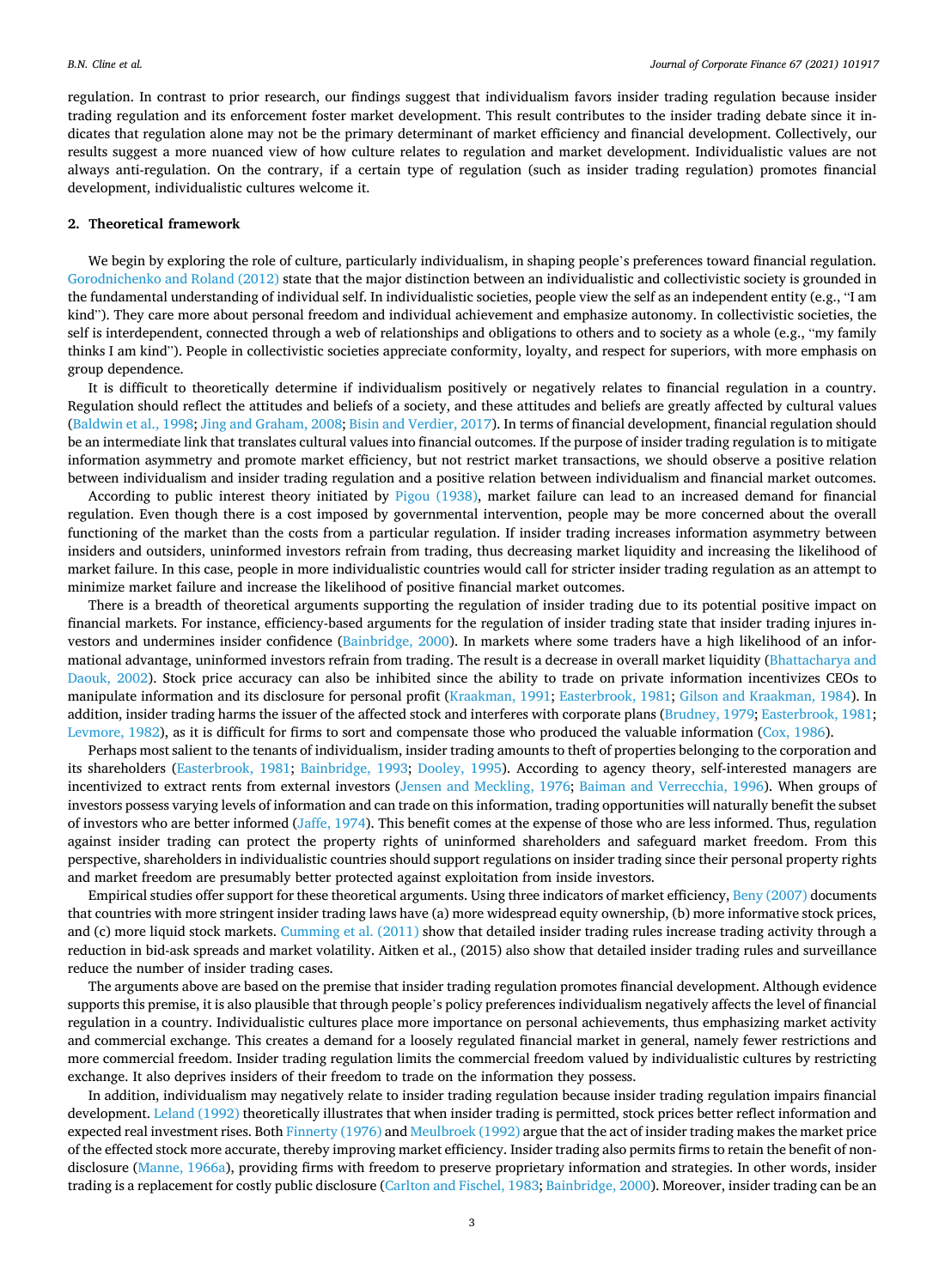regulation. In contrast to prior research, our findings suggest that individualism favors insider trading regulation because insider trading regulation and its enforcement foster market development. This result contributes to the insider trading debate since it indicates that regulation alone may not be the primary determinant of market efficiency and financial development. Collectively, our results suggest a more nuanced view of how culture relates to regulation and market development. Individualistic values are not always anti-regulation. On the contrary, if a certain type of regulation (such as insider trading regulation) promotes financial development, individualistic cultures welcome it.

## **2. Theoretical framework**

We begin by exploring the role of culture, particularly individualism, in shaping people's preferences toward financial regulation. [Gorodnichenko and Roland \(2012\)](#page-21-0) state that the major distinction between an individualistic and collectivistic society is grounded in the fundamental understanding of individual self. In individualistic societies, people view the self as an independent entity (e.g., "I am kind"). They care more about personal freedom and individual achievement and emphasize autonomy. In collectivistic societies, the self is interdependent, connected through a web of relationships and obligations to others and to society as a whole (e.g., "my family thinks I am kind"). People in collectivistic societies appreciate conformity, loyalty, and respect for superiors, with more emphasis on group dependence.

It is difficult to theoretically determine if individualism positively or negatively relates to financial regulation in a country. Regulation should reflect the attitudes and beliefs of a society, and these attitudes and beliefs are greatly affected by cultural values [\(Baldwin et al., 1998; Jing and Graham, 2008](#page-21-0); [Bisin and Verdier, 2017](#page-21-0)). In terms of financial development, financial regulation should be an intermediate link that translates cultural values into financial outcomes. If the purpose of insider trading regulation is to mitigate information asymmetry and promote market efficiency, but not restrict market transactions, we should observe a positive relation between individualism and insider trading regulation and a positive relation between individualism and financial market outcomes.

According to public interest theory initiated by [Pigou \(1938\)](#page-22-0), market failure can lead to an increased demand for financial regulation. Even though there is a cost imposed by governmental intervention, people may be more concerned about the overall functioning of the market than the costs from a particular regulation. If insider trading increases information asymmetry between insiders and outsiders, uninformed investors refrain from trading, thus decreasing market liquidity and increasing the likelihood of market failure. In this case, people in more individualistic countries would call for stricter insider trading regulation as an attempt to minimize market failure and increase the likelihood of positive financial market outcomes.

There is a breadth of theoretical arguments supporting the regulation of insider trading due to its potential positive impact on financial markets. For instance, efficiency-based arguments for the regulation of insider trading state that insider trading injures investors and undermines insider confidence ([Bainbridge, 2000\)](#page-21-0). In markets where some traders have a high likelihood of an informational advantage, uninformed investors refrain from trading. The result is a decrease in overall market liquidity ([Bhattacharya and](#page-21-0) [Daouk, 2002](#page-21-0)). Stock price accuracy can also be inhibited since the ability to trade on private information incentivizes CEOs to manipulate information and its disclosure for personal profit [\(Kraakman, 1991; Easterbrook, 1981](#page-21-0); [Gilson and Kraakman, 1984](#page-21-0)). In addition, insider trading harms the issuer of the affected stock and interferes with corporate plans [\(Brudney, 1979; Easterbrook, 1981](#page-21-0); [Levmore, 1982](#page-21-0)), as it is difficult for firms to sort and compensate those who produced the valuable information ([Cox, 1986\)](#page-21-0).

Perhaps most salient to the tenants of individualism, insider trading amounts to theft of properties belonging to the corporation and its shareholders ([Easterbrook, 1981;](#page-21-0) [Bainbridge, 1993](#page-21-0); [Dooley, 1995](#page-21-0)). According to agency theory, self-interested managers are incentivized to extract rents from external investors ([Jensen and Meckling, 1976;](#page-21-0) [Baiman and Verrecchia, 1996](#page-21-0)). When groups of investors possess varying levels of information and can trade on this information, trading opportunities will naturally benefit the subset of investors who are better informed ([Jaffe, 1974\)](#page-21-0). This benefit comes at the expense of those who are less informed. Thus, regulation against insider trading can protect the property rights of uninformed shareholders and safeguard market freedom. From this perspective, shareholders in individualistic countries should support regulations on insider trading since their personal property rights and market freedom are presumably better protected against exploitation from inside investors.

Empirical studies offer support for these theoretical arguments. Using three indicators of market efficiency, [Beny \(2007\)](#page-21-0) documents that countries with more stringent insider trading laws have (a) more widespread equity ownership, (b) more informative stock prices, and (c) more liquid stock markets. [Cumming et al. \(2011\)](#page-21-0) show that detailed insider trading rules increase trading activity through a reduction in bid-ask spreads and market volatility. Aitken et al., (2015) also show that detailed insider trading rules and surveillance reduce the number of insider trading cases.

The arguments above are based on the premise that insider trading regulation promotes financial development. Although evidence supports this premise, it is also plausible that through people's policy preferences individualism negatively affects the level of financial regulation in a country. Individualistic cultures place more importance on personal achievements, thus emphasizing market activity and commercial exchange. This creates a demand for a loosely regulated financial market in general, namely fewer restrictions and more commercial freedom. Insider trading regulation limits the commercial freedom valued by individualistic cultures by restricting exchange. It also deprives insiders of their freedom to trade on the information they possess.

In addition, individualism may negatively relate to insider trading regulation because insider trading regulation impairs financial development. [Leland \(1992\)](#page-21-0) theoretically illustrates that when insider trading is permitted, stock prices better reflect information and expected real investment rises. Both [Finnerty \(1976\)](#page-21-0) and [Meulbroek \(1992\)](#page-21-0) argue that the act of insider trading makes the market price of the effected stock more accurate, thereby improving market efficiency. Insider trading also permits firms to retain the benefit of nondisclosure ([Manne, 1966a](#page-21-0)), providing firms with freedom to preserve proprietary information and strategies. In other words, insider trading is a replacement for costly public disclosure ([Carlton and Fischel, 1983; Bainbridge, 2000\)](#page-21-0). Moreover, insider trading can be an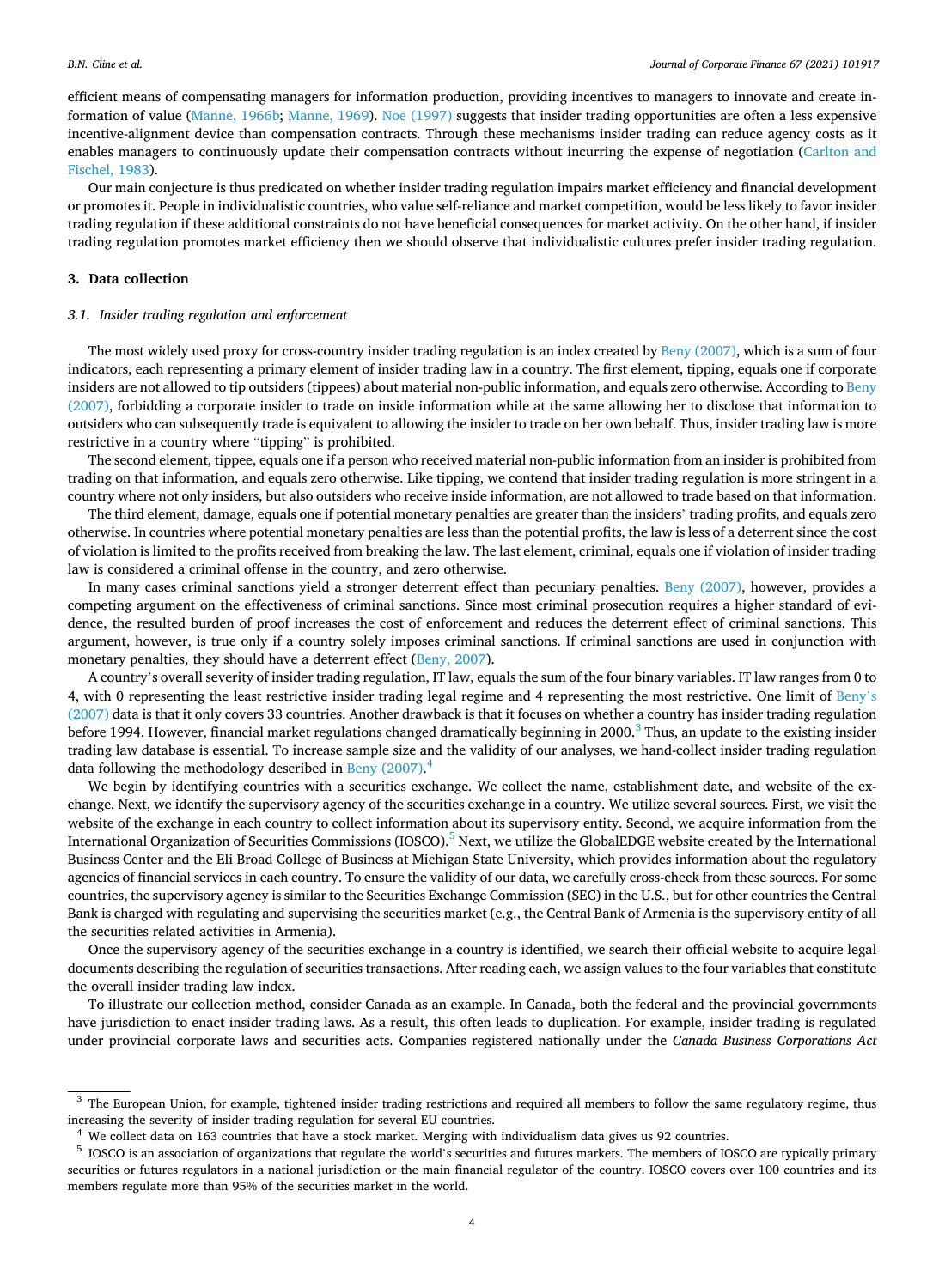efficient means of compensating managers for information production, providing incentives to managers to innovate and create information of value [\(Manne, 1966b](#page-21-0); [Manne, 1969\)](#page-21-0). [Noe \(1997\)](#page-22-0) suggests that insider trading opportunities are often a less expensive incentive-alignment device than compensation contracts. Through these mechanisms insider trading can reduce agency costs as it enables managers to continuously update their compensation contracts without incurring the expense of negotiation [\(Carlton and](#page-21-0) [Fischel, 1983](#page-21-0)).

Our main conjecture is thus predicated on whether insider trading regulation impairs market efficiency and financial development or promotes it. People in individualistic countries, who value self-reliance and market competition, would be less likely to favor insider trading regulation if these additional constraints do not have beneficial consequences for market activity. On the other hand, if insider trading regulation promotes market efficiency then we should observe that individualistic cultures prefer insider trading regulation.

## **3. Data collection**

## *3.1. Insider trading regulation and enforcement*

The most widely used proxy for cross-country insider trading regulation is an index created by [Beny \(2007\)](#page-21-0), which is a sum of four indicators, each representing a primary element of insider trading law in a country. The first element, tipping, equals one if corporate insiders are not allowed to tip outsiders (tippees) about material non-public information, and equals zero otherwise. According to [Beny](#page-21-0) [\(2007\),](#page-21-0) forbidding a corporate insider to trade on inside information while at the same allowing her to disclose that information to outsiders who can subsequently trade is equivalent to allowing the insider to trade on her own behalf. Thus, insider trading law is more restrictive in a country where "tipping" is prohibited.

The second element, tippee, equals one if a person who received material non-public information from an insider is prohibited from trading on that information, and equals zero otherwise. Like tipping, we contend that insider trading regulation is more stringent in a country where not only insiders, but also outsiders who receive inside information, are not allowed to trade based on that information.

The third element, damage, equals one if potential monetary penalties are greater than the insiders' trading profits, and equals zero otherwise. In countries where potential monetary penalties are less than the potential profits, the law is less of a deterrent since the cost of violation is limited to the profits received from breaking the law. The last element, criminal, equals one if violation of insider trading law is considered a criminal offense in the country, and zero otherwise.

In many cases criminal sanctions yield a stronger deterrent effect than pecuniary penalties. [Beny \(2007\)](#page-21-0), however, provides a competing argument on the effectiveness of criminal sanctions. Since most criminal prosecution requires a higher standard of evidence, the resulted burden of proof increases the cost of enforcement and reduces the deterrent effect of criminal sanctions. This argument, however, is true only if a country solely imposes criminal sanctions. If criminal sanctions are used in conjunction with monetary penalties, they should have a deterrent effect [\(Beny, 2007](#page-21-0)).

A country's overall severity of insider trading regulation, IT law, equals the sum of the four binary variables. IT law ranges from 0 to 4, with 0 representing the least restrictive insider trading legal regime and 4 representing the most restrictive. One limit of [Beny](#page-21-0)'s [\(2007\)](#page-21-0) data is that it only covers 33 countries. Another drawback is that it focuses on whether a country has insider trading regulation before 1994. However, financial market regulations changed dramatically beginning in 2000.<sup>3</sup> Thus, an update to the existing insider trading law database is essential. To increase sample size and the validity of our analyses, we hand-collect insider trading regulation data following the methodology described in [Beny \(2007\).](#page-21-0)<sup>4</sup>

We begin by identifying countries with a securities exchange. We collect the name, establishment date, and website of the exchange. Next, we identify the supervisory agency of the securities exchange in a country. We utilize several sources. First, we visit the website of the exchange in each country to collect information about its supervisory entity. Second, we acquire information from the International Organization of Securities Commissions (IOSCO).<sup>5</sup> Next, we utilize the GlobalEDGE website created by the International Business Center and the Eli Broad College of Business at Michigan State University, which provides information about the regulatory agencies of financial services in each country. To ensure the validity of our data, we carefully cross-check from these sources. For some countries, the supervisory agency is similar to the Securities Exchange Commission (SEC) in the U.S., but for other countries the Central Bank is charged with regulating and supervising the securities market (e.g., the Central Bank of Armenia is the supervisory entity of all the securities related activities in Armenia).

Once the supervisory agency of the securities exchange in a country is identified, we search their official website to acquire legal documents describing the regulation of securities transactions. After reading each, we assign values to the four variables that constitute the overall insider trading law index.

To illustrate our collection method, consider Canada as an example. In Canada, both the federal and the provincial governments have jurisdiction to enact insider trading laws. As a result, this often leads to duplication. For example, insider trading is regulated under provincial corporate laws and securities acts. Companies registered nationally under the *Canada Business Corporations Act* 

<sup>&</sup>lt;sup>3</sup> The European Union, for example, tightened insider trading restrictions and required all members to follow the same regulatory regime, thus increasing the severity of insider trading regulation for several EU countries.<br><sup>4</sup> We collect data on 163 countries that have a stock market. Merging with individualism data gives us 92 countries.<br><sup>5</sup> IOSCO is an associa

securities or futures regulators in a national jurisdiction or the main financial regulator of the country. IOSCO covers over 100 countries and its members regulate more than 95% of the securities market in the world.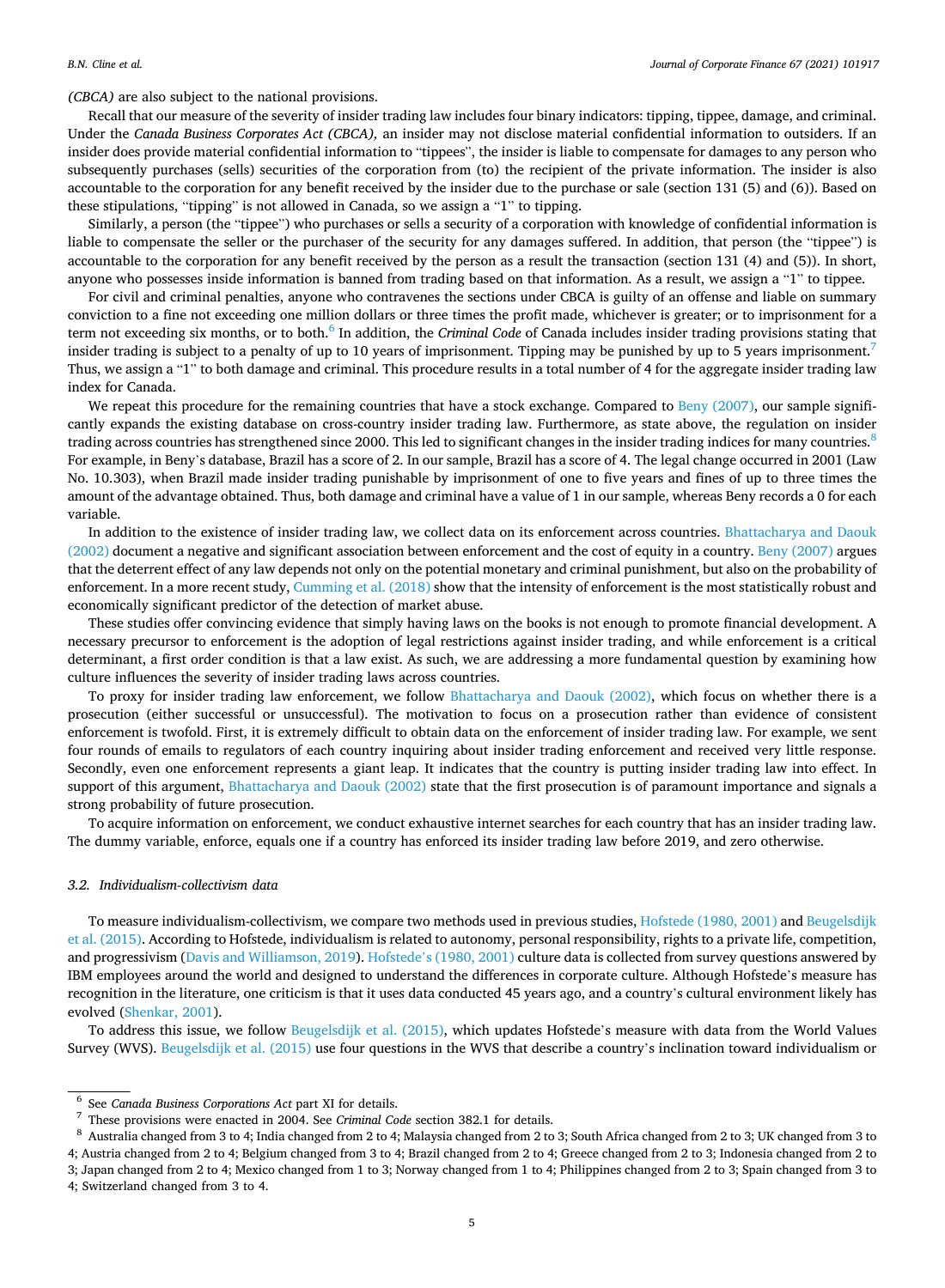*(CBCA)* are also subject to the national provisions.

Recall that our measure of the severity of insider trading law includes four binary indicators: tipping, tippee, damage, and criminal. Under the *Canada Business Corporates Act (CBCA),* an insider may not disclose material confidential information to outsiders. If an insider does provide material confidential information to "tippees", the insider is liable to compensate for damages to any person who subsequently purchases (sells) securities of the corporation from (to) the recipient of the private information. The insider is also accountable to the corporation for any benefit received by the insider due to the purchase or sale (section 131 (5) and (6)). Based on these stipulations, "tipping" is not allowed in Canada, so we assign a "1" to tipping.

Similarly, a person (the "tippee") who purchases or sells a security of a corporation with knowledge of confidential information is liable to compensate the seller or the purchaser of the security for any damages suffered. In addition, that person (the "tippee") is accountable to the corporation for any benefit received by the person as a result the transaction (section 131 (4) and (5)). In short, anyone who possesses inside information is banned from trading based on that information. As a result, we assign a "1" to tippee.

For civil and criminal penalties, anyone who contravenes the sections under CBCA is guilty of an offense and liable on summary conviction to a fine not exceeding one million dollars or three times the profit made, whichever is greater; or to imprisonment for a term not exceeding six months, or to both.<sup>6</sup> In addition, the *Criminal Code* of Canada includes insider trading provisions stating that insider trading is subject to a penalty of up to 10 years of imprisonment. Tipping may be punished by up to 5 years imprisonment.<sup>7</sup> Thus, we assign a "1" to both damage and criminal. This procedure results in a total number of 4 for the aggregate insider trading law index for Canada.

We repeat this procedure for the remaining countries that have a stock exchange. Compared to Beny  $(2007)$ , our sample significantly expands the existing database on cross-country insider trading law. Furthermore, as state above, the regulation on insider trading across countries has strengthened since 2000. This led to significant changes in the insider trading indices for many countries.<sup>8</sup> For example, in Beny's database, Brazil has a score of 2. In our sample, Brazil has a score of 4. The legal change occurred in 2001 (Law No. 10.303), when Brazil made insider trading punishable by imprisonment of one to five years and fines of up to three times the amount of the advantage obtained. Thus, both damage and criminal have a value of 1 in our sample, whereas Beny records a 0 for each variable.

In addition to the existence of insider trading law, we collect data on its enforcement across countries. [Bhattacharya and Daouk](#page-21-0) [\(2002\)](#page-21-0) document a negative and significant association between enforcement and the cost of equity in a country. [Beny \(2007\)](#page-21-0) argues that the deterrent effect of any law depends not only on the potential monetary and criminal punishment, but also on the probability of enforcement. In a more recent study, [Cumming et al. \(2018\)](#page-21-0) show that the intensity of enforcement is the most statistically robust and economically significant predictor of the detection of market abuse.

These studies offer convincing evidence that simply having laws on the books is not enough to promote financial development. A necessary precursor to enforcement is the adoption of legal restrictions against insider trading, and while enforcement is a critical determinant, a first order condition is that a law exist. As such, we are addressing a more fundamental question by examining how culture influences the severity of insider trading laws across countries.

To proxy for insider trading law enforcement, we follow [Bhattacharya and Daouk \(2002\)](#page-21-0), which focus on whether there is a prosecution (either successful or unsuccessful). The motivation to focus on a prosecution rather than evidence of consistent enforcement is twofold. First, it is extremely difficult to obtain data on the enforcement of insider trading law. For example, we sent four rounds of emails to regulators of each country inquiring about insider trading enforcement and received very little response. Secondly, even one enforcement represents a giant leap. It indicates that the country is putting insider trading law into effect. In support of this argument, [Bhattacharya and Daouk \(2002\)](#page-21-0) state that the first prosecution is of paramount importance and signals a strong probability of future prosecution.

To acquire information on enforcement, we conduct exhaustive internet searches for each country that has an insider trading law. The dummy variable, enforce, equals one if a country has enforced its insider trading law before 2019, and zero otherwise.

## *3.2. Individualism-collectivism data*

To measure individualism-collectivism, we compare two methods used in previous studies, [Hofstede \(1980, 2001\)](#page-21-0) and [Beugelsdijk](#page-21-0) [et al. \(2015\).](#page-21-0) According to Hofstede, individualism is related to autonomy, personal responsibility, rights to a private life, competition, and progressivism [\(Davis and Williamson, 2019\)](#page-21-0). Hofstede'[s \(1980, 2001\)](#page-21-0) culture data is collected from survey questions answered by IBM employees around the world and designed to understand the differences in corporate culture. Although Hofstede's measure has recognition in the literature, one criticism is that it uses data conducted 45 years ago, and a country's cultural environment likely has evolved ([Shenkar, 2001](#page-22-0)).

To address this issue, we follow [Beugelsdijk et al. \(2015\),](#page-21-0) which updates Hofstede's measure with data from the World Values Survey (WVS). [Beugelsdijk et al. \(2015\)](#page-21-0) use four questions in the WVS that describe a country's inclination toward individualism or

<sup>%</sup> See Canada Business Corporations Act part XI for details.<br>
These provisions were enacted in 2004. See Criminal Code section 382.1 for details.<br>
8 Australia changed from 3 to 4; India changed from 2 to 4; Malaysia change 4; Austria changed from 2 to 4; Belgium changed from 3 to 4; Brazil changed from 2 to 4; Greece changed from 2 to 3; Indonesia changed from 2 to 3; Japan changed from 2 to 4; Mexico changed from 1 to 3; Norway changed from 1 to 4; Philippines changed from 2 to 3; Spain changed from 3 to 4; Switzerland changed from 3 to 4.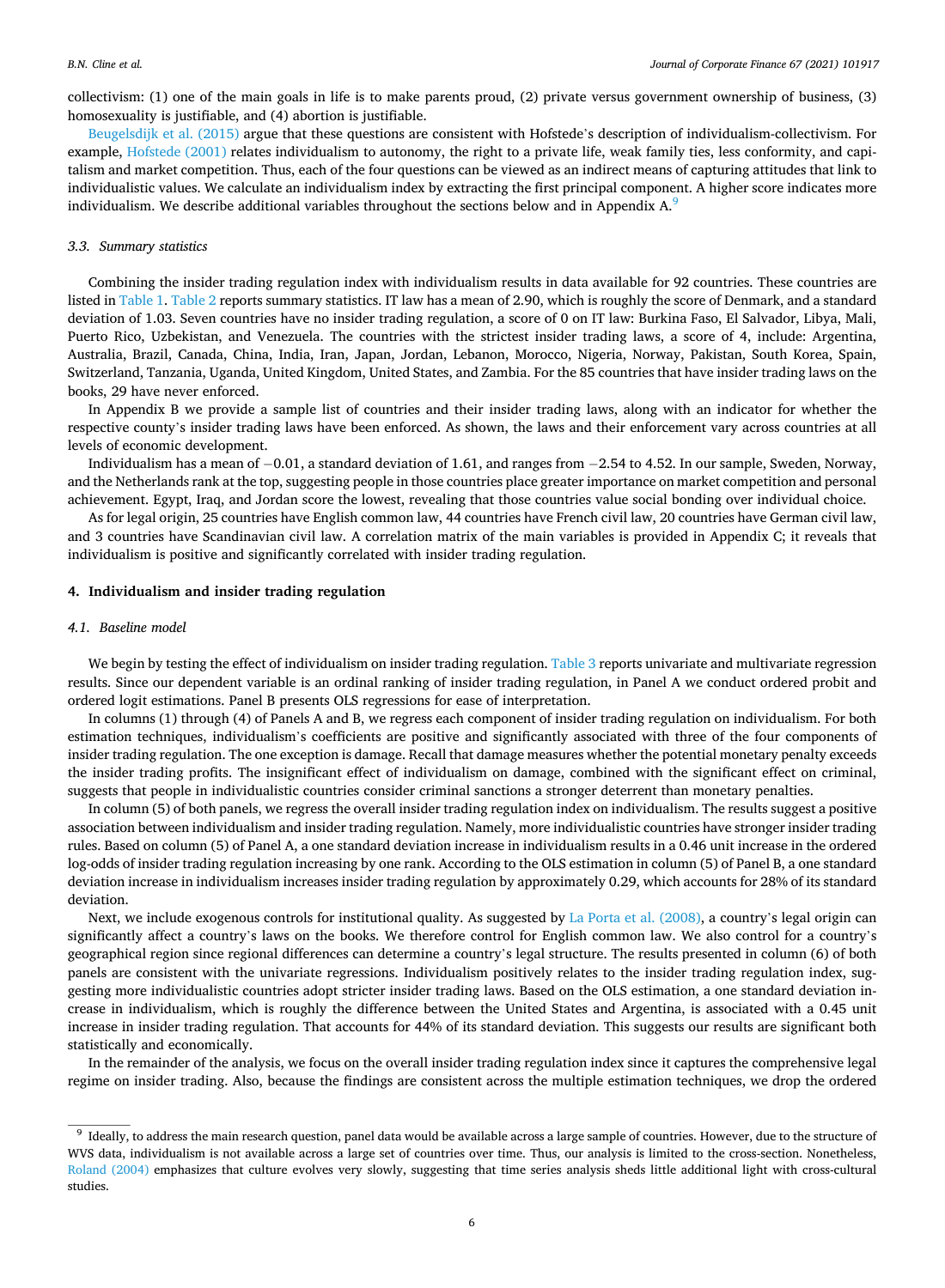collectivism: (1) one of the main goals in life is to make parents proud, (2) private versus government ownership of business, (3) homosexuality is justifiable, and (4) abortion is justifiable.

[Beugelsdijk et al. \(2015\)](#page-21-0) argue that these questions are consistent with Hofstede's description of individualism-collectivism. For example, [Hofstede \(2001\)](#page-21-0) relates individualism to autonomy, the right to a private life, weak family ties, less conformity, and capitalism and market competition. Thus, each of the four questions can be viewed as an indirect means of capturing attitudes that link to individualistic values. We calculate an individualism index by extracting the first principal component. A higher score indicates more individualism. We describe additional variables throughout the sections below and in Appendix  $A<sup>9</sup>$ 

#### *3.3. Summary statistics*

Combining the insider trading regulation index with individualism results in data available for 92 countries. These countries are listed in [Table 1.](#page-6-0) [Table 2](#page-7-0) reports summary statistics. IT law has a mean of 2.90, which is roughly the score of Denmark, and a standard deviation of 1.03. Seven countries have no insider trading regulation, a score of 0 on IT law: Burkina Faso, El Salvador, Libya, Mali, Puerto Rico, Uzbekistan, and Venezuela. The countries with the strictest insider trading laws, a score of 4, include: Argentina, Australia, Brazil, Canada, China, India, Iran, Japan, Jordan, Lebanon, Morocco, Nigeria, Norway, Pakistan, South Korea, Spain, Switzerland, Tanzania, Uganda, United Kingdom, United States, and Zambia. For the 85 countries that have insider trading laws on the books, 29 have never enforced.

In Appendix B we provide a sample list of countries and their insider trading laws, along with an indicator for whether the respective county's insider trading laws have been enforced. As shown, the laws and their enforcement vary across countries at all levels of economic development.

Individualism has a mean of − 0.01, a standard deviation of 1.61, and ranges from − 2.54 to 4.52. In our sample, Sweden, Norway, and the Netherlands rank at the top, suggesting people in those countries place greater importance on market competition and personal achievement. Egypt, Iraq, and Jordan score the lowest, revealing that those countries value social bonding over individual choice.

As for legal origin, 25 countries have English common law, 44 countries have French civil law, 20 countries have German civil law, and 3 countries have Scandinavian civil law. A correlation matrix of the main variables is provided in Appendix C; it reveals that individualism is positive and significantly correlated with insider trading regulation.

## **4. Individualism and insider trading regulation**

## *4.1. Baseline model*

We begin by testing the effect of individualism on insider trading regulation. [Table 3](#page-8-0) reports univariate and multivariate regression results. Since our dependent variable is an ordinal ranking of insider trading regulation, in Panel A we conduct ordered probit and ordered logit estimations. Panel B presents OLS regressions for ease of interpretation.

In columns (1) through (4) of Panels A and B, we regress each component of insider trading regulation on individualism. For both estimation techniques, individualism's coefficients are positive and significantly associated with three of the four components of insider trading regulation. The one exception is damage. Recall that damage measures whether the potential monetary penalty exceeds the insider trading profits. The insignificant effect of individualism on damage, combined with the significant effect on criminal, suggests that people in individualistic countries consider criminal sanctions a stronger deterrent than monetary penalties.

In column (5) of both panels, we regress the overall insider trading regulation index on individualism. The results suggest a positive association between individualism and insider trading regulation. Namely, more individualistic countries have stronger insider trading rules. Based on column (5) of Panel A, a one standard deviation increase in individualism results in a 0.46 unit increase in the ordered log-odds of insider trading regulation increasing by one rank. According to the OLS estimation in column (5) of Panel B, a one standard deviation increase in individualism increases insider trading regulation by approximately 0.29, which accounts for 28% of its standard deviation.

Next, we include exogenous controls for institutional quality. As suggested by [La Porta et al. \(2008\)](#page-21-0), a country's legal origin can significantly affect a country's laws on the books. We therefore control for English common law. We also control for a country's geographical region since regional differences can determine a country's legal structure. The results presented in column (6) of both panels are consistent with the univariate regressions. Individualism positively relates to the insider trading regulation index, suggesting more individualistic countries adopt stricter insider trading laws. Based on the OLS estimation, a one standard deviation increase in individualism, which is roughly the difference between the United States and Argentina, is associated with a 0.45 unit increase in insider trading regulation. That accounts for 44% of its standard deviation. This suggests our results are significant both statistically and economically.

In the remainder of the analysis, we focus on the overall insider trading regulation index since it captures the comprehensive legal regime on insider trading. Also, because the findings are consistent across the multiple estimation techniques, we drop the ordered

<sup>9</sup> Ideally, to address the main research question, panel data would be available across a large sample of countries. However, due to the structure of WVS data, individualism is not available across a large set of countries over time. Thus, our analysis is limited to the cross-section. Nonetheless, [Roland \(2004\)](#page-22-0) emphasizes that culture evolves very slowly, suggesting that time series analysis sheds little additional light with cross-cultural studies.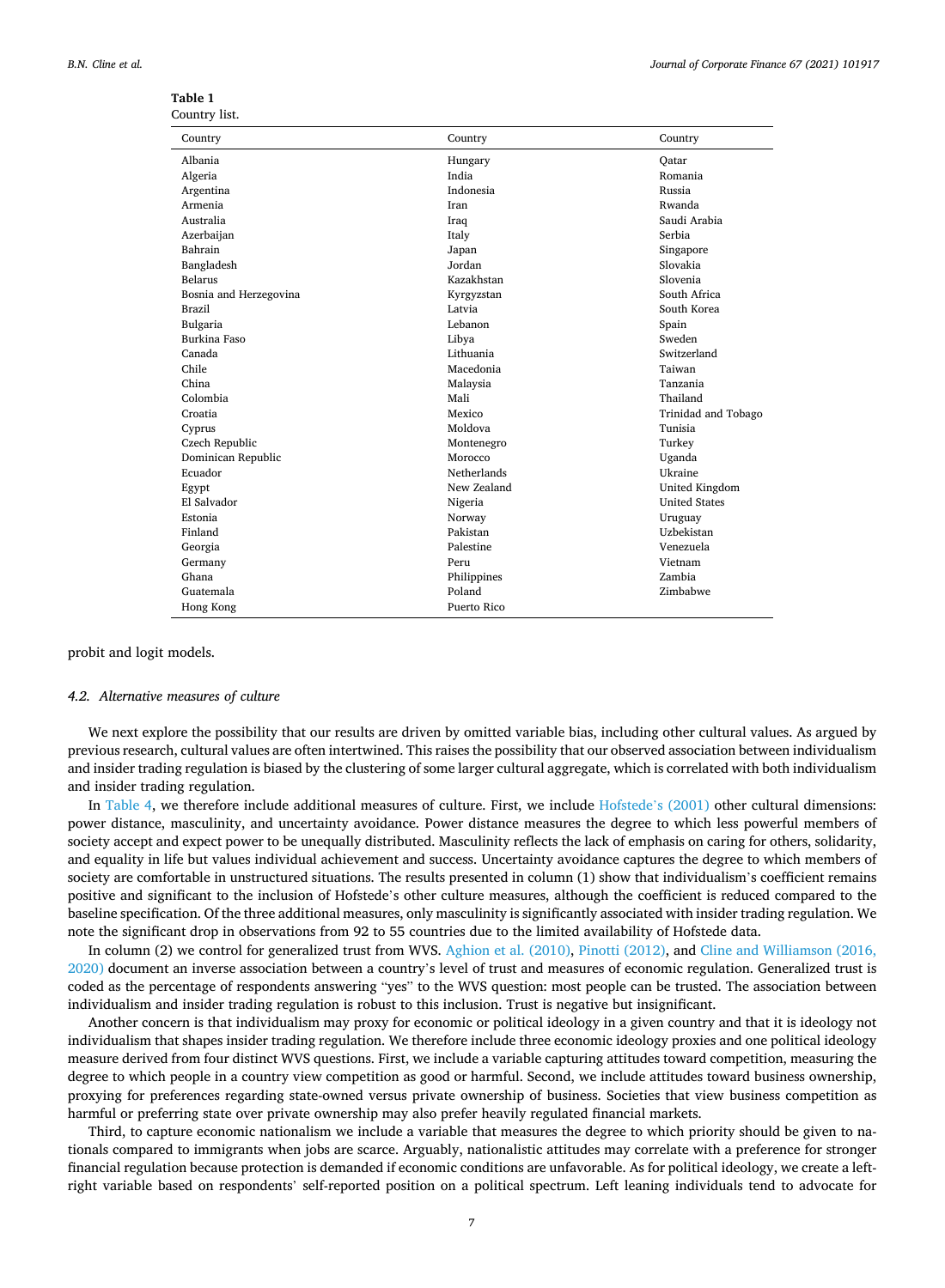| Journal of Corporate Finance 67 (2021) 101917 |  |  |  |  |  |
|-----------------------------------------------|--|--|--|--|--|
|-----------------------------------------------|--|--|--|--|--|

| Country                | Country     | Country              |
|------------------------|-------------|----------------------|
| Albania                | Hungary     | Oatar                |
| Algeria                | India       | Romania              |
| Argentina              | Indonesia   | <b>Russia</b>        |
| Armenia                | Iran        | Rwanda               |
| Australia              | Iraq        | Saudi Arabia         |
| Azerbaijan             | Italy       | Serbia               |
| Bahrain                | Japan       | Singapore            |
| Bangladesh             | Jordan      | Slovakia             |
| Belarus                | Kazakhstan  | Slovenia             |
| Bosnia and Herzegovina | Kyrgyzstan  | South Africa         |
| <b>Brazil</b>          | Latvia      | South Korea          |
| Bulgaria               | Lebanon     | Spain                |
| Burkina Faso           | Libya       | Sweden               |
| Canada                 | Lithuania   | Switzerland          |
| Chile                  | Macedonia   | Taiwan               |
| China                  | Malaysia    | Tanzania             |
| Colombia               | Mali        | Thailand             |
| Croatia                | Mexico      | Trinidad and Tobago  |
| Cyprus                 | Moldova     | Tunisia              |
| Czech Republic         | Montenegro  | Turkey               |
| Dominican Republic     | Morocco     | Uganda               |
| Ecuador                | Netherlands | Ukraine              |
| Egypt                  | New Zealand | United Kingdom       |
| El Salvador            | Nigeria     | <b>United States</b> |
| Estonia                | Norway      | Uruguay              |
| Finland                | Pakistan    | Uzbekistan           |
| Georgia                | Palestine   | Venezuela            |
| Germany                | Peru        | Vietnam              |
| Ghana                  | Philippines | Zambia               |
| Guatemala              | Poland      | Zimbabwe             |
| Hong Kong              | Puerto Rico |                      |

#### <span id="page-6-0"></span>**Table 1**  Country list.

probit and logit models.

#### *4.2. Alternative measures of culture*

We next explore the possibility that our results are driven by omitted variable bias, including other cultural values. As argued by previous research, cultural values are often intertwined. This raises the possibility that our observed association between individualism and insider trading regulation is biased by the clustering of some larger cultural aggregate, which is correlated with both individualism and insider trading regulation.

In [Table 4,](#page-9-0) we therefore include additional measures of culture. First, we include [Hofstede](#page-21-0)'s (2001) other cultural dimensions: power distance, masculinity, and uncertainty avoidance. Power distance measures the degree to which less powerful members of society accept and expect power to be unequally distributed. Masculinity reflects the lack of emphasis on caring for others, solidarity, and equality in life but values individual achievement and success. Uncertainty avoidance captures the degree to which members of society are comfortable in unstructured situations. The results presented in column (1) show that individualism's coefficient remains positive and significant to the inclusion of Hofstede's other culture measures, although the coefficient is reduced compared to the baseline specification. Of the three additional measures, only masculinity is significantly associated with insider trading regulation. We note the significant drop in observations from 92 to 55 countries due to the limited availability of Hofstede data.

In column (2) we control for generalized trust from WVS. [Aghion et al. \(2010\),](#page-21-0) [Pinotti \(2012\),](#page-22-0) and [Cline and Williamson \(2016,](#page-21-0) [2020\)](#page-21-0) document an inverse association between a country's level of trust and measures of economic regulation. Generalized trust is coded as the percentage of respondents answering "yes" to the WVS question: most people can be trusted. The association between individualism and insider trading regulation is robust to this inclusion. Trust is negative but insignificant.

Another concern is that individualism may proxy for economic or political ideology in a given country and that it is ideology not individualism that shapes insider trading regulation. We therefore include three economic ideology proxies and one political ideology measure derived from four distinct WVS questions. First, we include a variable capturing attitudes toward competition, measuring the degree to which people in a country view competition as good or harmful. Second, we include attitudes toward business ownership, proxying for preferences regarding state-owned versus private ownership of business. Societies that view business competition as harmful or preferring state over private ownership may also prefer heavily regulated financial markets.

Third, to capture economic nationalism we include a variable that measures the degree to which priority should be given to nationals compared to immigrants when jobs are scarce. Arguably, nationalistic attitudes may correlate with a preference for stronger financial regulation because protection is demanded if economic conditions are unfavorable. As for political ideology, we create a leftright variable based on respondents' self-reported position on a political spectrum. Left leaning individuals tend to advocate for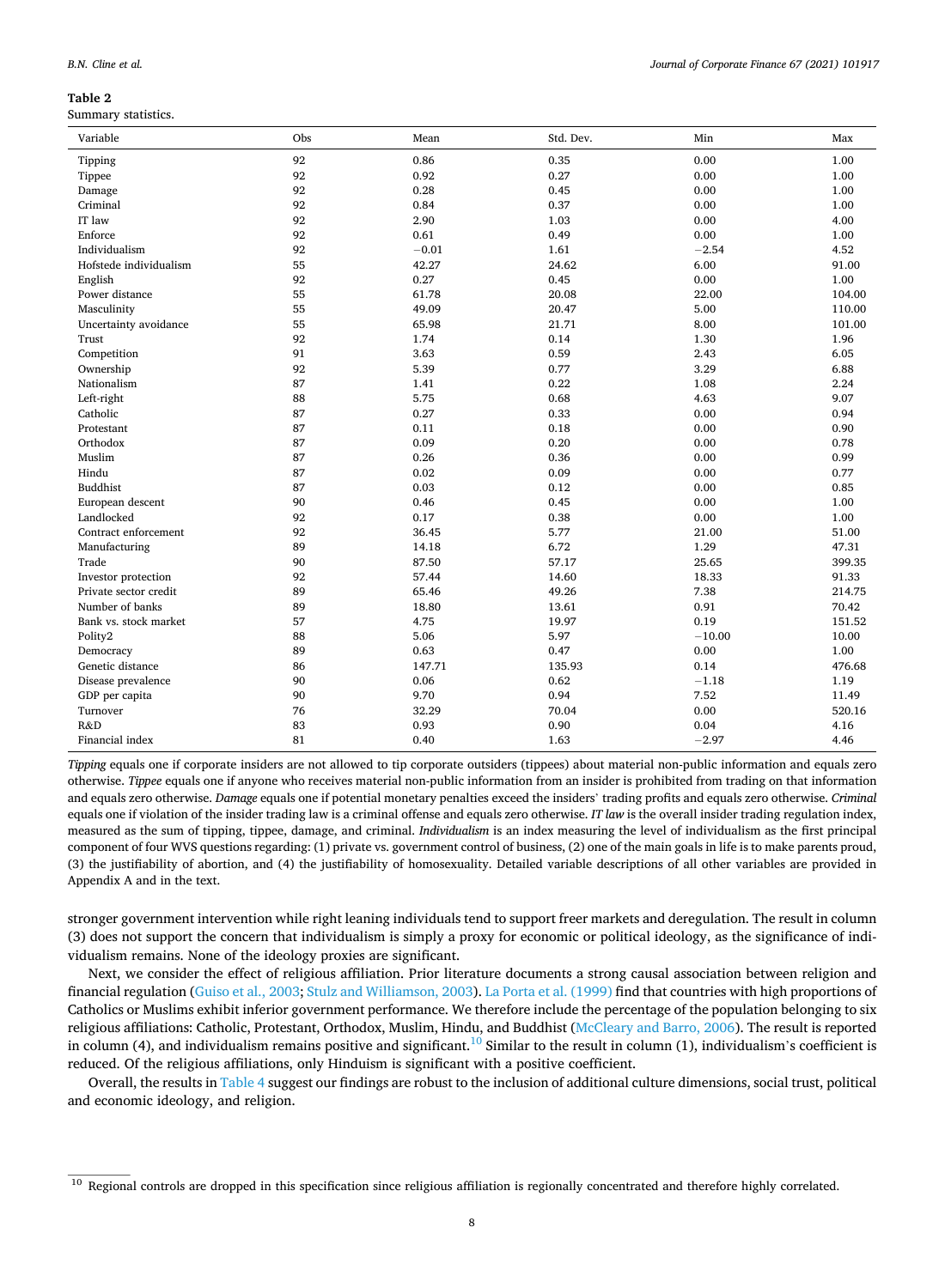<span id="page-7-0"></span>

|  | B.N. Cline et al. |  |  |  |
|--|-------------------|--|--|--|
|--|-------------------|--|--|--|

Summary statistics.

| Variable               | Obs | Mean    | Std. Dev. | Min      | Max    |
|------------------------|-----|---------|-----------|----------|--------|
| Tipping                | 92  | 0.86    | 0.35      | 0.00     | 1.00   |
| Tippee                 | 92  | 0.92    | 0.27      | 0.00     | 1.00   |
| Damage                 | 92  | 0.28    | 0.45      | 0.00     | 1.00   |
| Criminal               | 92  | 0.84    | 0.37      | 0.00     | 1.00   |
| IT law                 | 92  | 2.90    | 1.03      | 0.00     | 4.00   |
| Enforce                | 92  | 0.61    | 0.49      | 0.00     | 1.00   |
| Individualism          | 92  | $-0.01$ | 1.61      | $-2.54$  | 4.52   |
| Hofstede individualism | 55  | 42.27   | 24.62     | 6.00     | 91.00  |
| English                | 92  | 0.27    | 0.45      | 0.00     | 1.00   |
| Power distance         | 55  | 61.78   | 20.08     | 22.00    | 104.00 |
| Masculinity            | 55  | 49.09   | 20.47     | 5.00     | 110.00 |
| Uncertainty avoidance  | 55  | 65.98   | 21.71     | 8.00     | 101.00 |
| Trust                  | 92  | 1.74    | 0.14      | 1.30     | 1.96   |
| Competition            | 91  | 3.63    | 0.59      | 2.43     | 6.05   |
| Ownership              | 92  | 5.39    | 0.77      | 3.29     | 6.88   |
| Nationalism            | 87  | 1.41    | 0.22      | 1.08     | 2.24   |
| Left-right             | 88  | 5.75    | 0.68      | 4.63     | 9.07   |
| Catholic               | 87  | 0.27    | 0.33      | 0.00     | 0.94   |
| Protestant             | 87  | 0.11    | 0.18      | 0.00     | 0.90   |
| Orthodox               | 87  | 0.09    | 0.20      | 0.00     | 0.78   |
| Muslim                 | 87  | 0.26    | 0.36      | 0.00     | 0.99   |
| Hindu                  | 87  | 0.02    | 0.09      | 0.00     | 0.77   |
| <b>Buddhist</b>        | 87  | 0.03    | 0.12      | 0.00     | 0.85   |
| European descent       | 90  | 0.46    | 0.45      | 0.00     | 1.00   |
| Landlocked             | 92  | 0.17    | 0.38      | 0.00     | 1.00   |
| Contract enforcement   | 92  | 36.45   | 5.77      | 21.00    | 51.00  |
| Manufacturing          | 89  | 14.18   | 6.72      | 1.29     | 47.31  |
| Trade                  | 90  | 87.50   | 57.17     | 25.65    | 399.35 |
| Investor protection    | 92  | 57.44   | 14.60     | 18.33    | 91.33  |
| Private sector credit  | 89  | 65.46   | 49.26     | 7.38     | 214.75 |
| Number of banks        | 89  | 18.80   | 13.61     | 0.91     | 70.42  |
| Bank vs. stock market  | 57  | 4.75    | 19.97     | 0.19     | 151.52 |
| Polity2                | 88  | 5.06    | 5.97      | $-10.00$ | 10.00  |
| Democracy              | 89  | 0.63    | 0.47      | 0.00     | 1.00   |
| Genetic distance       | 86  | 147.71  | 135.93    | 0.14     | 476.68 |
| Disease prevalence     | 90  | 0.06    | 0.62      | $-1.18$  | 1.19   |
| GDP per capita         | 90  | 9.70    | 0.94      | 7.52     | 11.49  |
| Turnover               | 76  | 32.29   | 70.04     | 0.00     | 520.16 |
| R&D                    | 83  | 0.93    | 0.90      | 0.04     | 4.16   |
| Financial index        | 81  | 0.40    | 1.63      | $-2.97$  | 4.46   |

*Tipping* equals one if corporate insiders are not allowed to tip corporate outsiders (tippees) about material non-public information and equals zero otherwise. *Tippee* equals one if anyone who receives material non-public information from an insider is prohibited from trading on that information and equals zero otherwise. *Damage* equals one if potential monetary penalties exceed the insiders' trading profits and equals zero otherwise. *Criminal*  equals one if violation of the insider trading law is a criminal offense and equals zero otherwise. *IT law* is the overall insider trading regulation index, measured as the sum of tipping, tippee, damage, and criminal. *Individualism* is an index measuring the level of individualism as the first principal component of four WVS questions regarding: (1) private vs. government control of business, (2) one of the main goals in life is to make parents proud, (3) the justifiability of abortion, and (4) the justifiability of homosexuality. Detailed variable descriptions of all other variables are provided in Appendix A and in the text.

stronger government intervention while right leaning individuals tend to support freer markets and deregulation. The result in column (3) does not support the concern that individualism is simply a proxy for economic or political ideology, as the significance of individualism remains. None of the ideology proxies are significant.

Next, we consider the effect of religious affiliation. Prior literature documents a strong causal association between religion and financial regulation [\(Guiso et al., 2003;](#page-21-0) [Stulz and Williamson, 2003\)](#page-22-0). [La Porta et al. \(1999\)](#page-21-0) find that countries with high proportions of Catholics or Muslims exhibit inferior government performance. We therefore include the percentage of the population belonging to six religious affiliations: Catholic, Protestant, Orthodox, Muslim, Hindu, and Buddhist ([McCleary and Barro, 2006\)](#page-21-0). The result is reported in column (4), and individualism remains positive and significant.<sup>10</sup> Similar to the result in column (1), individualism's coefficient is reduced. Of the religious affiliations, only Hinduism is significant with a positive coefficient.

Overall, the results in [Table 4](#page-9-0) suggest our findings are robust to the inclusion of additional culture dimensions, social trust, political and economic ideology, and religion.

<sup>&</sup>lt;sup>10</sup> Regional controls are dropped in this specification since religious affiliation is regionally concentrated and therefore highly correlated.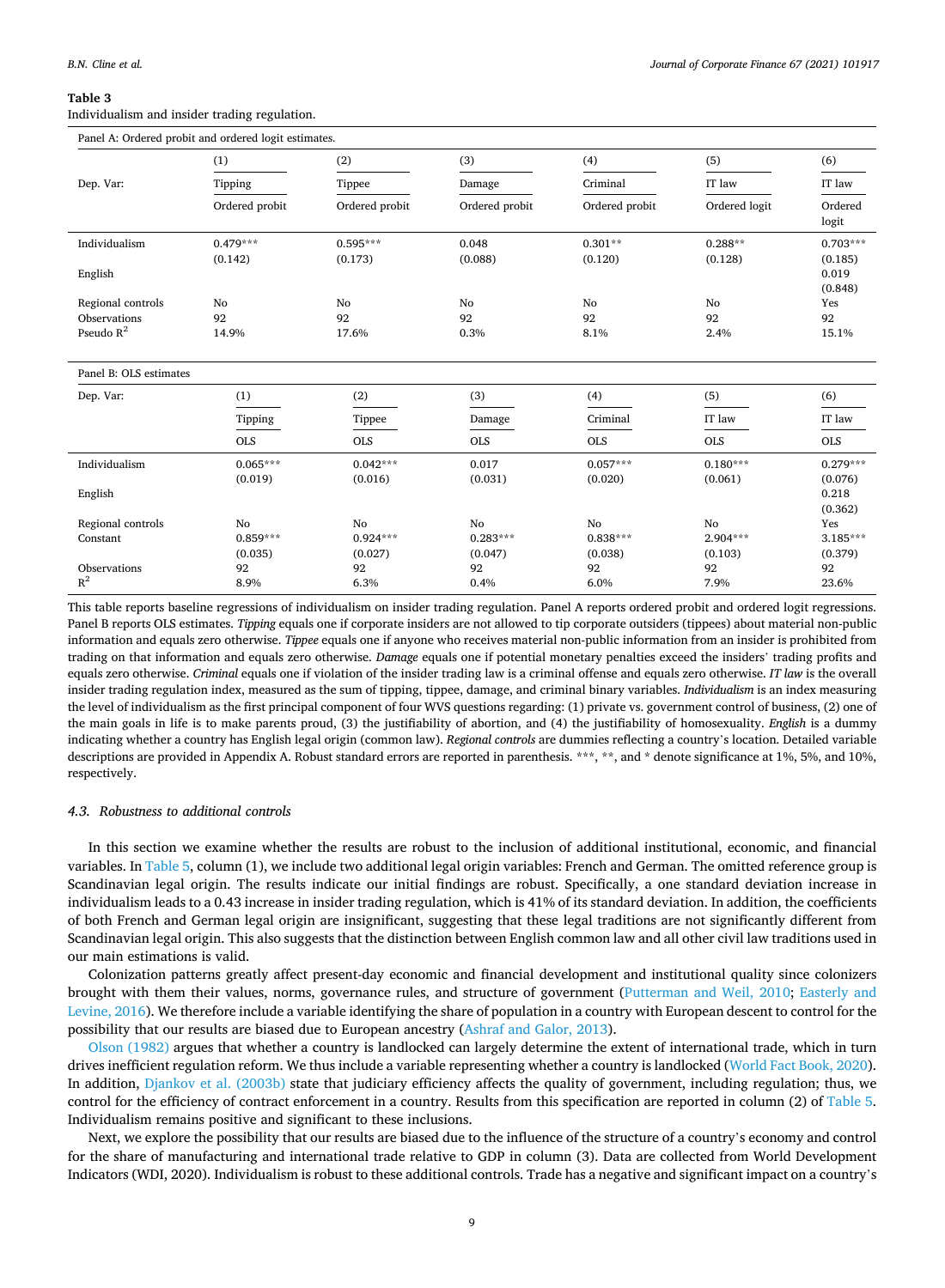<span id="page-8-0"></span>Individualism and insider trading regulation.

|                                   | (1)            | (2)                  | (3)            | (4)            | (5)           | (6)              |
|-----------------------------------|----------------|----------------------|----------------|----------------|---------------|------------------|
| Dep. Var:                         | Tipping        | Tippee               | Damage         | Criminal       | IT law        | IT law           |
|                                   | Ordered probit | Ordered probit       | Ordered probit | Ordered probit | Ordered logit | Ordered<br>logit |
| Individualism                     | $0.479***$     | $0.595***$           | 0.048          | $0.301**$      | $0.288**$     | $0.703***$       |
|                                   | (0.142)        | (0.173)              | (0.088)        | (0.120)        | (0.128)       | (0.185)          |
| English                           |                |                      |                |                |               | 0.019            |
|                                   |                |                      |                |                |               | (0.848)          |
| Regional controls<br>Observations | No<br>92       | N <sub>o</sub><br>92 | No<br>92       | No<br>92       | No.<br>92     | Yes<br>92        |
| Pseudo $R^2$                      | 14.9%          | 17.6%                | 0.3%           | 8.1%           | 2.4%          | 15.1%            |
|                                   |                |                      |                |                |               |                  |
| Panel B: OLS estimates            |                |                      |                |                |               |                  |
| Dep. Var:                         | (1)            | (2)                  | (3)            | (4)            | (5)           | (6)              |
|                                   | Tipping        | Tippee               | Damage         | Criminal       | IT law        | IT law           |
|                                   | <b>OLS</b>     | <b>OLS</b>           | <b>OLS</b>     | <b>OLS</b>     | <b>OLS</b>    | <b>OLS</b>       |
| Individualism                     | $0.065***$     | $0.042***$           | 0.017          | $0.057***$     | $0.180***$    | $0.279***$       |
|                                   | (0.019)        | (0.016)              | (0.031)        | (0.020)        | (0.061)       | (0.076)          |
| English                           |                |                      |                |                |               | 0.218            |
|                                   |                |                      |                |                |               | (0.362)          |
| Regional controls                 | No             | No                   | No             | No             | No            | Yes              |
| Constant                          | $0.859***$     | $0.924***$           | $0.283***$     | $0.838***$     | $2.904***$    | $3.185***$       |
|                                   | (0.035)        | (0.027)              | (0.047)        | (0.038)        | (0.103)       | (0.379)          |
| Observations<br>$R^2$             | 92             | 92                   | 92             | 92             | 92            | 92               |
|                                   | 8.9%           | 6.3%                 | 0.4%           | 6.0%           | 7.9%          | 23.6%            |

This table reports baseline regressions of individualism on insider trading regulation. Panel A reports ordered probit and ordered logit regressions. Panel B reports OLS estimates. *Tipping* equals one if corporate insiders are not allowed to tip corporate outsiders (tippees) about material non-public information and equals zero otherwise. *Tippee* equals one if anyone who receives material non-public information from an insider is prohibited from trading on that information and equals zero otherwise. *Damage* equals one if potential monetary penalties exceed the insiders' trading profits and equals zero otherwise. *Criminal* equals one if violation of the insider trading law is a criminal offense and equals zero otherwise. *IT law* is the overall insider trading regulation index, measured as the sum of tipping, tippee, damage, and criminal binary variables. *Individualism* is an index measuring the level of individualism as the first principal component of four WVS questions regarding: (1) private vs. government control of business, (2) one of the main goals in life is to make parents proud, (3) the justifiability of abortion, and (4) the justifiability of homosexuality. *English* is a dummy indicating whether a country has English legal origin (common law). *Regional controls* are dummies reflecting a country's location. Detailed variable descriptions are provided in Appendix A. Robust standard errors are reported in parenthesis. \*\*\*, \*\*, and \* denote significance at 1%, 5%, and 10%, respectively.

#### *4.3. Robustness to additional controls*

In this section we examine whether the results are robust to the inclusion of additional institutional, economic, and financial variables. In [Table 5,](#page-10-0) column (1), we include two additional legal origin variables: French and German. The omitted reference group is Scandinavian legal origin. The results indicate our initial findings are robust. Specifically, a one standard deviation increase in individualism leads to a 0.43 increase in insider trading regulation, which is 41% of its standard deviation. In addition, the coefficients of both French and German legal origin are insignificant, suggesting that these legal traditions are not significantly different from Scandinavian legal origin. This also suggests that the distinction between English common law and all other civil law traditions used in our main estimations is valid.

Colonization patterns greatly affect present-day economic and financial development and institutional quality since colonizers brought with them their values, norms, governance rules, and structure of government ([Putterman and Weil, 2010;](#page-22-0) [Easterly and](#page-21-0) [Levine, 2016\)](#page-21-0). We therefore include a variable identifying the share of population in a country with European descent to control for the possibility that our results are biased due to European ancestry ([Ashraf and Galor, 2013](#page-21-0)).

[Olson \(1982\)](#page-22-0) argues that whether a country is landlocked can largely determine the extent of international trade, which in turn drives inefficient regulation reform. We thus include a variable representing whether a country is landlocked [\(World Fact Book, 2020](#page-22-0)). In addition, [Djankov et al. \(2003b\)](#page-21-0) state that judiciary efficiency affects the quality of government, including regulation; thus, we control for the efficiency of contract enforcement in a country. Results from this specification are reported in column (2) of [Table 5](#page-10-0). Individualism remains positive and significant to these inclusions.

Next, we explore the possibility that our results are biased due to the influence of the structure of a country's economy and control for the share of manufacturing and international trade relative to GDP in column (3). Data are collected from World Development Indicators (WDI, 2020). Individualism is robust to these additional controls. Trade has a negative and significant impact on a country's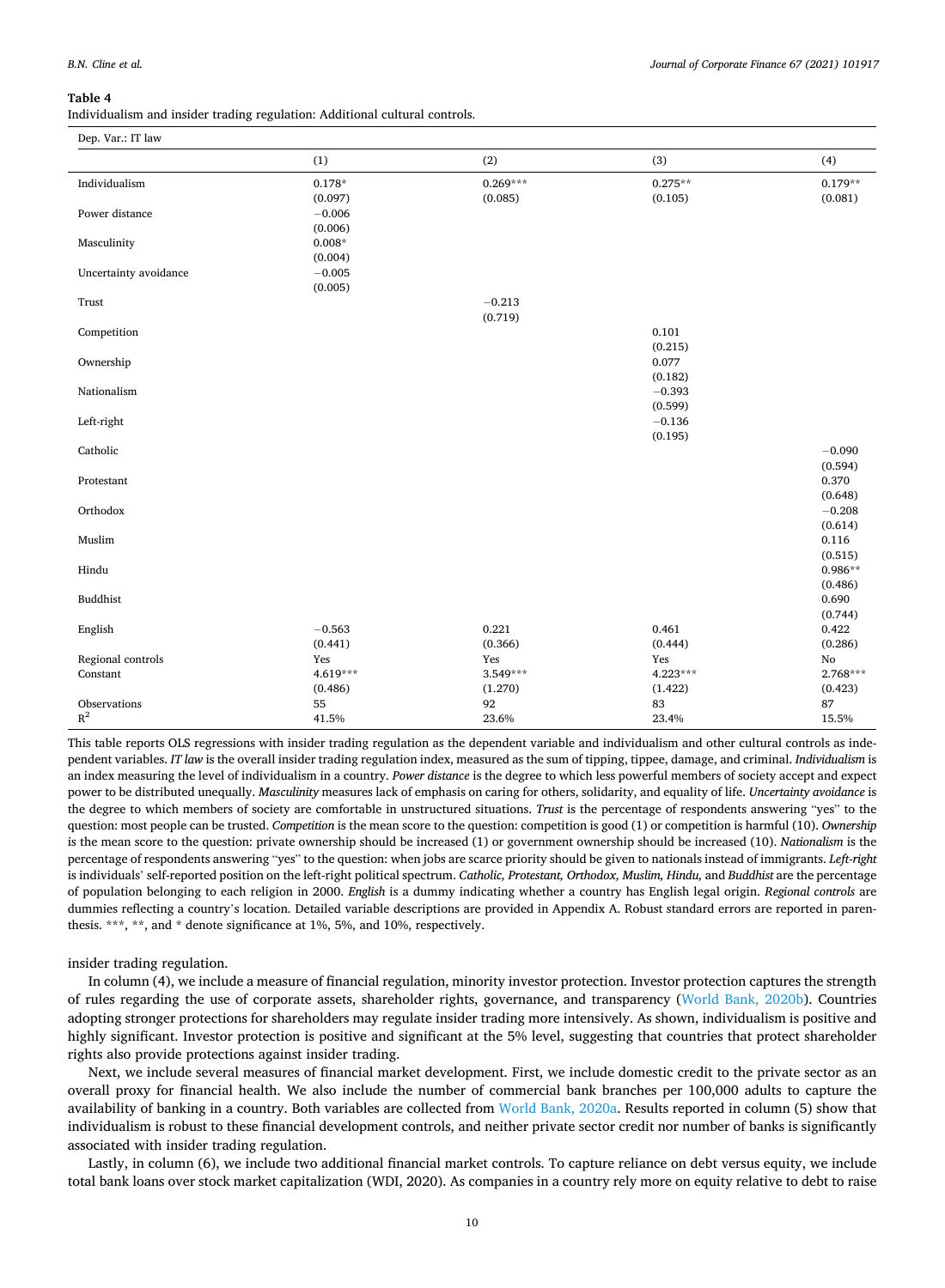<span id="page-9-0"></span>Individualism and insider trading regulation: Additional cultural controls.

| Dep. Var.: IT law         |          |            |                     |            |
|---------------------------|----------|------------|---------------------|------------|
|                           | (1)      | (2)        | (3)                 | (4)        |
| Individualism             | $0.178*$ | $0.269***$ | $0.275**$           | $0.179**$  |
|                           | (0.097)  | (0.085)    | (0.105)             | (0.081)    |
| Power distance            | $-0.006$ |            |                     |            |
|                           | (0.006)  |            |                     |            |
| Masculinity               | $0.008*$ |            |                     |            |
|                           | (0.004)  |            |                     |            |
| Uncertainty avoidance     | $-0.005$ |            |                     |            |
|                           | (0.005)  |            |                     |            |
| Trust                     |          | $-0.213$   |                     |            |
|                           |          | (0.719)    |                     |            |
| Competition               |          |            | 0.101               |            |
|                           |          |            | (0.215)             |            |
| Ownership                 |          |            | 0.077               |            |
| Nationalism               |          |            | (0.182)<br>$-0.393$ |            |
|                           |          |            | (0.599)             |            |
| Left-right                |          |            | $-0.136$            |            |
|                           |          |            | (0.195)             |            |
| $\operatorname{Catholic}$ |          |            |                     | $-0.090$   |
|                           |          |            |                     | (0.594)    |
| Protestant                |          |            |                     | 0.370      |
|                           |          |            |                     | (0.648)    |
| Orthodox                  |          |            |                     | $-0.208$   |
|                           |          |            |                     | (0.614)    |
| Muslim                    |          |            |                     | 0.116      |
|                           |          |            |                     | (0.515)    |
| Hindu                     |          |            |                     | $0.986**$  |
|                           |          |            |                     | (0.486)    |
| Buddhist                  |          |            |                     | 0.690      |
|                           |          |            |                     | (0.744)    |
| English                   | $-0.563$ | 0.221      | 0.461               | 0.422      |
|                           | (0.441)  | (0.366)    | (0.444)             | (0.286)    |
| Regional controls         | Yes      | Yes        | Yes                 | $\rm No$   |
| Constant                  | 4.619*** | $3.549***$ | 4.223***            | $2.768***$ |
|                           | (0.486)  | (1.270)    | (1.422)             | (0.423)    |
| Observations              | 55       | 92         | 83                  | 87         |
| $\mathbb{R}^2$            | 41.5%    | 23.6%      | 23.4%               | 15.5%      |

This table reports OLS regressions with insider trading regulation as the dependent variable and individualism and other cultural controls as independent variables. *IT law* is the overall insider trading regulation index, measured as the sum of tipping, tippee, damage, and criminal. *Individualism* is an index measuring the level of individualism in a country. *Power distance* is the degree to which less powerful members of society accept and expect power to be distributed unequally. *Masculinity* measures lack of emphasis on caring for others, solidarity, and equality of life. *Uncertainty avoidance* is the degree to which members of society are comfortable in unstructured situations. *Trust* is the percentage of respondents answering "yes" to the question: most people can be trusted. *Competition* is the mean score to the question: competition is good (1) or competition is harmful (10). *Ownership*  is the mean score to the question: private ownership should be increased (1) or government ownership should be increased (10). *Nationalism* is the percentage of respondents answering "yes" to the question: when jobs are scarce priority should be given to nationals instead of immigrants. *Left-right*  is individuals' self-reported position on the left-right political spectrum. *Catholic, Protestant, Orthodox, Muslim, Hindu,* and *Buddhist* are the percentage of population belonging to each religion in 2000. *English* is a dummy indicating whether a country has English legal origin. *Regional controls* are dummies reflecting a country's location. Detailed variable descriptions are provided in Appendix A. Robust standard errors are reported in parenthesis. \*\*\*, \*\*, and \* denote significance at 1%, 5%, and 10%, respectively.

## insider trading regulation.

In column (4), we include a measure of financial regulation, minority investor protection. Investor protection captures the strength of rules regarding the use of corporate assets, shareholder rights, governance, and transparency ([World Bank, 2020b](#page-22-0)). Countries adopting stronger protections for shareholders may regulate insider trading more intensively. As shown, individualism is positive and highly significant. Investor protection is positive and significant at the 5% level, suggesting that countries that protect shareholder rights also provide protections against insider trading.

Next, we include several measures of financial market development. First, we include domestic credit to the private sector as an overall proxy for financial health. We also include the number of commercial bank branches per 100,000 adults to capture the availability of banking in a country. Both variables are collected from [World Bank, 2020a.](#page-22-0) Results reported in column (5) show that individualism is robust to these financial development controls, and neither private sector credit nor number of banks is significantly associated with insider trading regulation.

Lastly, in column (6), we include two additional financial market controls. To capture reliance on debt versus equity, we include total bank loans over stock market capitalization (WDI, 2020). As companies in a country rely more on equity relative to debt to raise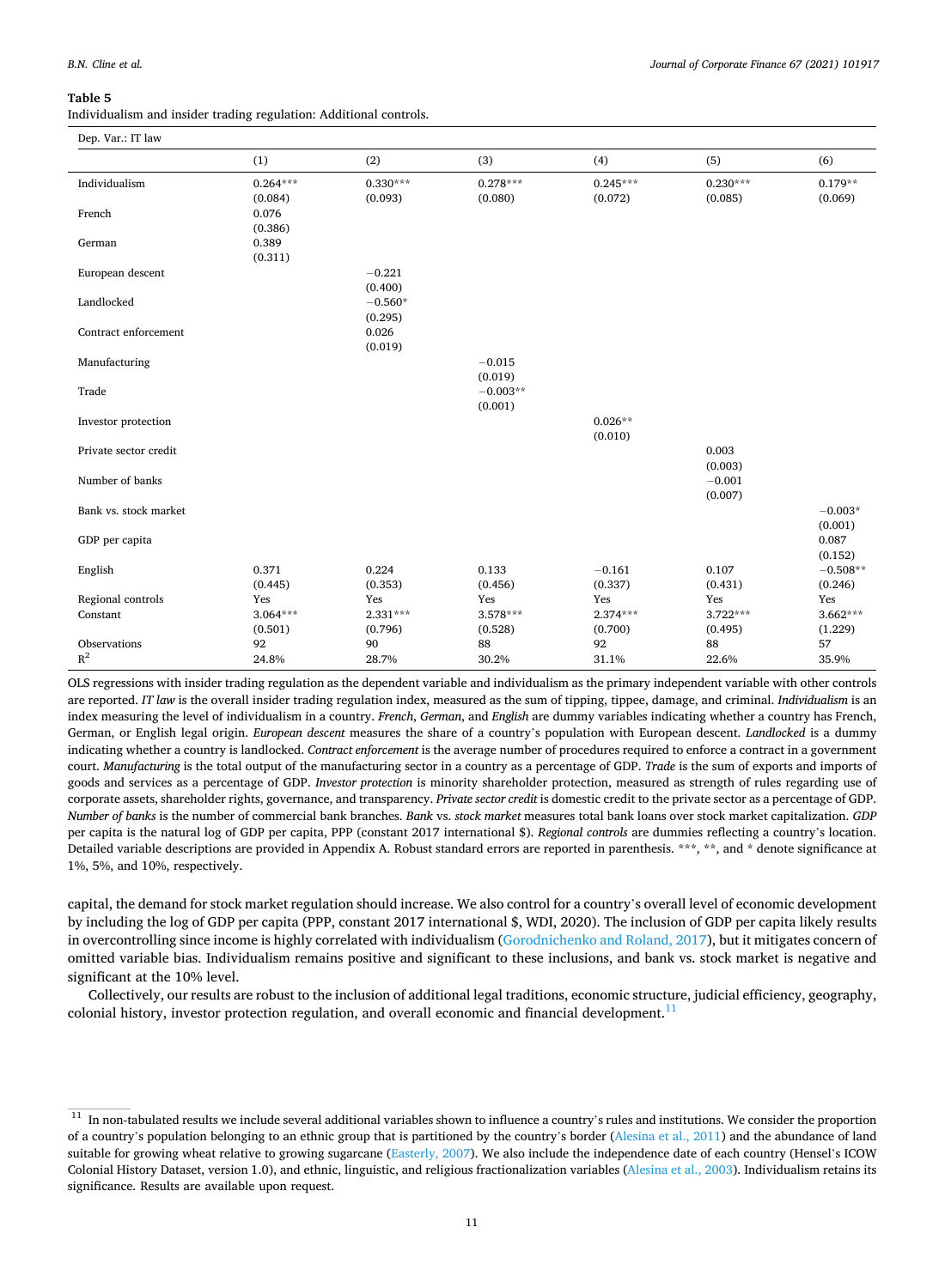<span id="page-10-0"></span>Individualism and insider trading regulation: Additional controls.

| Dep. Var.: IT law     |            |            |            |            |                     |            |
|-----------------------|------------|------------|------------|------------|---------------------|------------|
|                       | (1)        | (2)        | (3)        | (4)        | (5)                 | (6)        |
| Individualism         | $0.264***$ | $0.330***$ | $0.278***$ | $0.245***$ | $0.230***$          | $0.179**$  |
|                       | (0.084)    | (0.093)    | (0.080)    | (0.072)    | (0.085)             | (0.069)    |
| French                | 0.076      |            |            |            |                     |            |
|                       | (0.386)    |            |            |            |                     |            |
| German                | 0.389      |            |            |            |                     |            |
|                       | (0.311)    |            |            |            |                     |            |
| European descent      |            | $-0.221$   |            |            |                     |            |
|                       |            | (0.400)    |            |            |                     |            |
| Landlocked            |            | $-0.560*$  |            |            |                     |            |
|                       |            | (0.295)    |            |            |                     |            |
| Contract enforcement  |            | 0.026      |            |            |                     |            |
|                       |            | (0.019)    |            |            |                     |            |
| Manufacturing         |            |            | $-0.015$   |            |                     |            |
|                       |            |            | (0.019)    |            |                     |            |
| Trade                 |            |            | $-0.003**$ |            |                     |            |
|                       |            |            | (0.001)    |            |                     |            |
| Investor protection   |            |            |            | $0.026**$  |                     |            |
|                       |            |            |            | (0.010)    |                     |            |
| Private sector credit |            |            |            |            | 0.003               |            |
|                       |            |            |            |            | (0.003)             |            |
| Number of banks       |            |            |            |            | $-0.001$<br>(0.007) |            |
| Bank vs. stock market |            |            |            |            |                     | $-0.003*$  |
|                       |            |            |            |            |                     | (0.001)    |
| GDP per capita        |            |            |            |            |                     | 0.087      |
|                       |            |            |            |            |                     | (0.152)    |
| English               | 0.371      | 0.224      | 0.133      | $-0.161$   | 0.107               | $-0.508**$ |
|                       | (0.445)    | (0.353)    | (0.456)    | (0.337)    | (0.431)             | (0.246)    |
| Regional controls     | Yes        | Yes        | Yes        | Yes        | Yes                 | Yes        |
| Constant              | $3.064***$ | $2.331***$ | $3.578***$ | $2.374***$ | $3.722***$          | $3.662***$ |
|                       | (0.501)    | (0.796)    | (0.528)    | (0.700)    | (0.495)             | (1.229)    |
| Observations          | 92         | 90         | 88         | 92         | 88                  | 57         |
| $R^2$                 | 24.8%      | 28.7%      | 30.2%      | 31.1%      | 22.6%               | 35.9%      |
|                       |            |            |            |            |                     |            |

OLS regressions with insider trading regulation as the dependent variable and individualism as the primary independent variable with other controls are reported. *IT law* is the overall insider trading regulation index, measured as the sum of tipping, tippee, damage, and criminal. *Individualism* is an index measuring the level of individualism in a country. *French*, *German*, and *English* are dummy variables indicating whether a country has French, German, or English legal origin. *European descent* measures the share of a country's population with European descent. *Landlocked* is a dummy indicating whether a country is landlocked. *Contract enforcement* is the average number of procedures required to enforce a contract in a government court. *Manufacturing* is the total output of the manufacturing sector in a country as a percentage of GDP. *Trade* is the sum of exports and imports of goods and services as a percentage of GDP. *Investor protection* is minority shareholder protection, measured as strength of rules regarding use of corporate assets, shareholder rights, governance, and transparency. *Private sector credit* is domestic credit to the private sector as a percentage of GDP. *Number of banks* is the number of commercial bank branches. *Bank* vs. *stock market* measures total bank loans over stock market capitalization. *GDP*  per capita is the natural log of GDP per capita, PPP (constant 2017 international \$). *Regional controls* are dummies reflecting a country's location. Detailed variable descriptions are provided in Appendix A. Robust standard errors are reported in parenthesis. \*\*\*, \*\*, and \* denote significance at 1%, 5%, and 10%, respectively.

capital, the demand for stock market regulation should increase. We also control for a country's overall level of economic development by including the log of GDP per capita (PPP, constant 2017 international \$, WDI, 2020). The inclusion of GDP per capita likely results in overcontrolling since income is highly correlated with individualism ([Gorodnichenko and Roland, 2017](#page-21-0)), but it mitigates concern of omitted variable bias. Individualism remains positive and significant to these inclusions, and bank vs. stock market is negative and significant at the 10% level.

Collectively, our results are robust to the inclusion of additional legal traditions, economic structure, judicial efficiency, geography, colonial history, investor protection regulation, and overall economic and financial development.<sup>11</sup>

 $11$  In non-tabulated results we include several additional variables shown to influence a country's rules and institutions. We consider the proportion of a country's population belonging to an ethnic group that is partitioned by the country's border [\(Alesina et al., 2011\)](#page-21-0) and the abundance of land suitable for growing wheat relative to growing sugarcane [\(Easterly, 2007](#page-21-0)). We also include the independence date of each country (Hensel's ICOW Colonial History Dataset, version 1.0), and ethnic, linguistic, and religious fractionalization variables ([Alesina et al., 2003](#page-21-0)). Individualism retains its significance. Results are available upon request.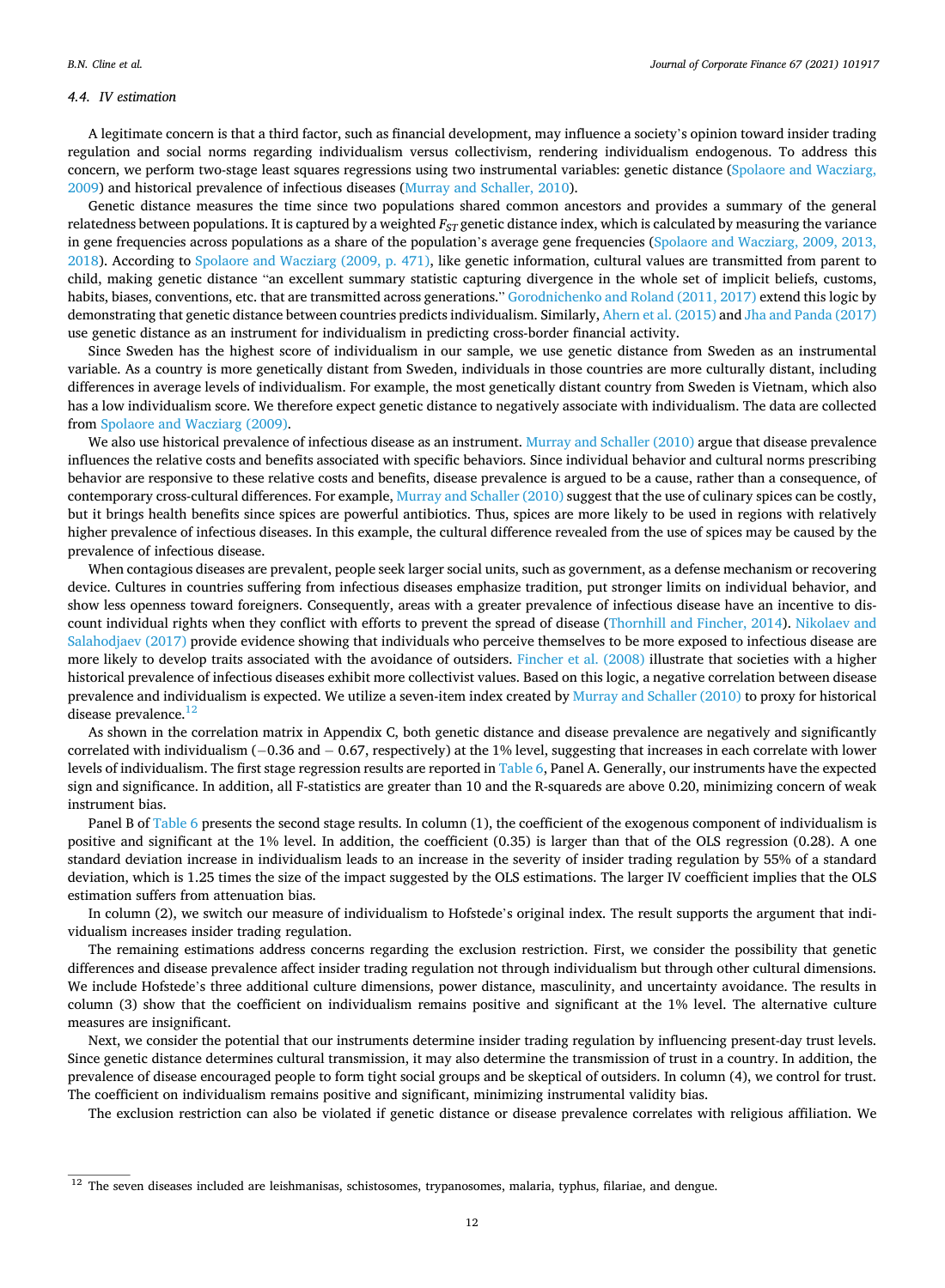#### *4.4. IV estimation*

A legitimate concern is that a third factor, such as financial development, may influence a society's opinion toward insider trading regulation and social norms regarding individualism versus collectivism, rendering individualism endogenous. To address this concern, we perform two-stage least squares regressions using two instrumental variables: genetic distance ([Spolaore and Wacziarg,](#page-22-0) [2009\)](#page-22-0) and historical prevalence of infectious diseases [\(Murray and Schaller, 2010](#page-22-0)).

Genetic distance measures the time since two populations shared common ancestors and provides a summary of the general relatedness between populations. It is captured by a weighted *F<sub>ST</sub>* genetic distance index, which is calculated by measuring the variance in gene frequencies across populations as a share of the population's average gene frequencies [\(Spolaore and Wacziarg, 2009, 2013,](#page-22-0) [2018\)](#page-22-0). According to [Spolaore and Wacziarg \(2009, p. 471\),](#page-22-0) like genetic information, cultural values are transmitted from parent to child, making genetic distance "an excellent summary statistic capturing divergence in the whole set of implicit beliefs, customs, habits, biases, conventions, etc. that are transmitted across generations." [Gorodnichenko and Roland \(2011, 2017\)](#page-21-0) extend this logic by demonstrating that genetic distance between countries predicts individualism. Similarly, [Ahern et al. \(2015\)](#page-21-0) and [Jha and Panda \(2017\)](#page-21-0) use genetic distance as an instrument for individualism in predicting cross-border financial activity.

Since Sweden has the highest score of individualism in our sample, we use genetic distance from Sweden as an instrumental variable. As a country is more genetically distant from Sweden, individuals in those countries are more culturally distant, including differences in average levels of individualism. For example, the most genetically distant country from Sweden is Vietnam, which also has a low individualism score. We therefore expect genetic distance to negatively associate with individualism. The data are collected from [Spolaore and Wacziarg \(2009\).](#page-22-0)

We also use historical prevalence of infectious disease as an instrument. [Murray and Schaller \(2010\)](#page-22-0) argue that disease prevalence influences the relative costs and benefits associated with specific behaviors. Since individual behavior and cultural norms prescribing behavior are responsive to these relative costs and benefits, disease prevalence is argued to be a cause, rather than a consequence, of contemporary cross-cultural differences. For example, [Murray and Schaller \(2010\)](#page-22-0) suggest that the use of culinary spices can be costly, but it brings health benefits since spices are powerful antibiotics. Thus, spices are more likely to be used in regions with relatively higher prevalence of infectious diseases. In this example, the cultural difference revealed from the use of spices may be caused by the prevalence of infectious disease.

When contagious diseases are prevalent, people seek larger social units, such as government, as a defense mechanism or recovering device. Cultures in countries suffering from infectious diseases emphasize tradition, put stronger limits on individual behavior, and show less openness toward foreigners. Consequently, areas with a greater prevalence of infectious disease have an incentive to discount individual rights when they conflict with efforts to prevent the spread of disease ([Thornhill and Fincher, 2014\)](#page-22-0). [Nikolaev and](#page-22-0) [Salahodjaev \(2017\)](#page-22-0) provide evidence showing that individuals who perceive themselves to be more exposed to infectious disease are more likely to develop traits associated with the avoidance of outsiders. [Fincher et al. \(2008\)](#page-21-0) illustrate that societies with a higher historical prevalence of infectious diseases exhibit more collectivist values. Based on this logic, a negative correlation between disease prevalence and individualism is expected. We utilize a seven-item index created by [Murray and Schaller \(2010\)](#page-22-0) to proxy for historical disease prevalence.<sup>12</sup>

As shown in the correlation matrix in Appendix C, both genetic distance and disease prevalence are negatively and significantly correlated with individualism (− 0.36 and − 0.67, respectively) at the 1% level, suggesting that increases in each correlate with lower levels of individualism. The first stage regression results are reported in [Table 6](#page-12-0), Panel A. Generally, our instruments have the expected sign and significance. In addition, all F-statistics are greater than 10 and the R-squareds are above 0.20, minimizing concern of weak instrument bias.

Panel B of [Table 6](#page-12-0) presents the second stage results. In column (1), the coefficient of the exogenous component of individualism is positive and significant at the 1% level. In addition, the coefficient (0.35) is larger than that of the OLS regression (0.28). A one standard deviation increase in individualism leads to an increase in the severity of insider trading regulation by 55% of a standard deviation, which is 1.25 times the size of the impact suggested by the OLS estimations. The larger IV coefficient implies that the OLS estimation suffers from attenuation bias.

In column (2), we switch our measure of individualism to Hofstede's original index. The result supports the argument that individualism increases insider trading regulation.

The remaining estimations address concerns regarding the exclusion restriction. First, we consider the possibility that genetic differences and disease prevalence affect insider trading regulation not through individualism but through other cultural dimensions. We include Hofstede's three additional culture dimensions, power distance, masculinity, and uncertainty avoidance. The results in column (3) show that the coefficient on individualism remains positive and significant at the 1% level. The alternative culture measures are insignificant.

Next, we consider the potential that our instruments determine insider trading regulation by influencing present-day trust levels. Since genetic distance determines cultural transmission, it may also determine the transmission of trust in a country. In addition, the prevalence of disease encouraged people to form tight social groups and be skeptical of outsiders. In column (4), we control for trust. The coefficient on individualism remains positive and significant, minimizing instrumental validity bias.

The exclusion restriction can also be violated if genetic distance or disease prevalence correlates with religious affiliation. We

<sup>&</sup>lt;sup>12</sup> The seven diseases included are leishmanisas, schistosomes, trypanosomes, malaria, typhus, filariae, and dengue.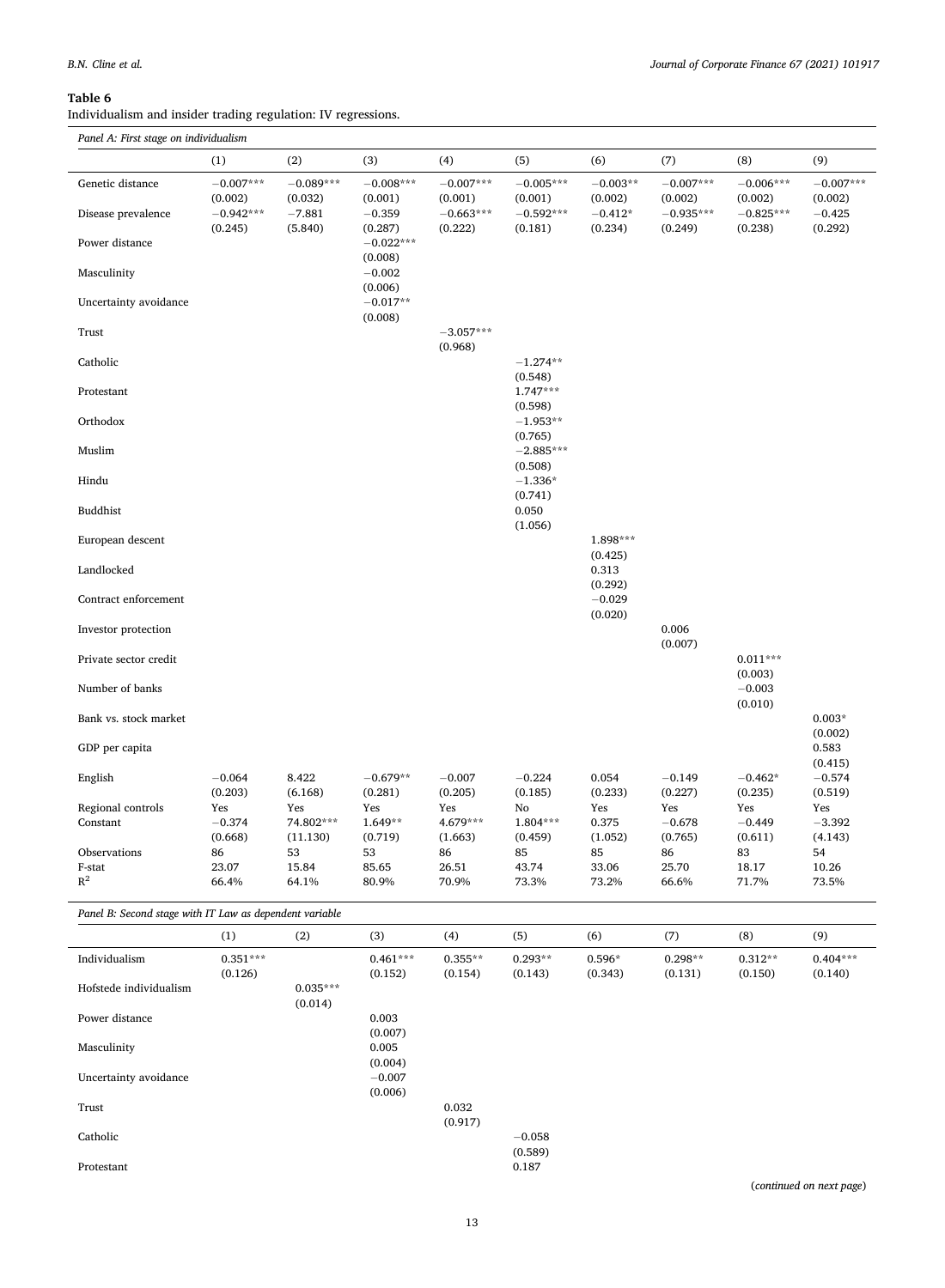Protestant

#### <span id="page-12-0"></span>**Table 6**

Individualism and insider trading regulation: IV regressions.

|                                                         | (1)                    | (2)                    | (3)                    | (4)                    | (5)                    | (6)                   | (7)                    | (8)                    | (9)                    |
|---------------------------------------------------------|------------------------|------------------------|------------------------|------------------------|------------------------|-----------------------|------------------------|------------------------|------------------------|
| Genetic distance                                        | $-0.007***$<br>(0.002) | $-0.089***$<br>(0.032) | $-0.008***$<br>(0.001) | $-0.007***$<br>(0.001) | $-0.005***$<br>(0.001) | $-0.003**$<br>(0.002) | $-0.007***$<br>(0.002) | $-0.006***$<br>(0.002) | $-0.007***$<br>(0.002) |
| Disease prevalence                                      | $-0.942***$<br>(0.245) | $-7.881$<br>(5.840)    | $-0.359$<br>(0.287)    | $-0.663***$<br>(0.222) | $-0.592***$<br>(0.181) | $-0.412*$<br>(0.234)  | $-0.935***$<br>(0.249) | $-0.825***$<br>(0.238) | $-0.425$<br>(0.292)    |
| Power distance                                          |                        |                        | $-0.022***$<br>(0.008) |                        |                        |                       |                        |                        |                        |
| Masculinity                                             |                        |                        | $-0.002$<br>(0.006)    |                        |                        |                       |                        |                        |                        |
| Uncertainty avoidance                                   |                        |                        | $-0.017**$<br>(0.008)  |                        |                        |                       |                        |                        |                        |
| Trust                                                   |                        |                        |                        | $-3.057***$<br>(0.968) |                        |                       |                        |                        |                        |
| Catholic                                                |                        |                        |                        |                        | $-1.274**$<br>(0.548)  |                       |                        |                        |                        |
| Protestant                                              |                        |                        |                        |                        | $1.747***$<br>(0.598)  |                       |                        |                        |                        |
| Orthodox                                                |                        |                        |                        |                        | $-1.953**$<br>(0.765)  |                       |                        |                        |                        |
| Muslim                                                  |                        |                        |                        |                        | $-2.885***$<br>(0.508) |                       |                        |                        |                        |
| Hindu                                                   |                        |                        |                        |                        | $-1.336*$<br>(0.741)   |                       |                        |                        |                        |
| <b>Buddhist</b>                                         |                        |                        |                        |                        | 0.050<br>(1.056)       |                       |                        |                        |                        |
| European descent                                        |                        |                        |                        |                        |                        | 1.898***<br>(0.425)   |                        |                        |                        |
| Landlocked                                              |                        |                        |                        |                        |                        | 0.313<br>(0.292)      |                        |                        |                        |
| Contract enforcement                                    |                        |                        |                        |                        |                        | $-0.029$<br>(0.020)   |                        |                        |                        |
| Investor protection                                     |                        |                        |                        |                        |                        |                       | 0.006<br>(0.007)       |                        |                        |
| Private sector credit                                   |                        |                        |                        |                        |                        |                       |                        | $0.011***$<br>(0.003)  |                        |
| Number of banks                                         |                        |                        |                        |                        |                        |                       |                        | $-0.003$<br>(0.010)    |                        |
| Bank vs. stock market                                   |                        |                        |                        |                        |                        |                       |                        |                        | $0.003*$<br>(0.002)    |
| GDP per capita                                          |                        |                        |                        |                        |                        |                       |                        |                        | 0.583<br>(0.415)       |
| English                                                 | $-0.064$<br>(0.203)    | 8.422<br>(6.168)       | $-0.679**$<br>(0.281)  | $-0.007$<br>(0.205)    | $-0.224$<br>(0.185)    | 0.054<br>(0.233)      | $-0.149$<br>(0.227)    | $-0.462*$<br>(0.235)   | $-0.574$<br>(0.519)    |
| Regional controls                                       | Yes                    | Yes                    | Yes                    | Yes                    | No                     | Yes                   | Yes                    | Yes                    | Yes                    |
| Constant                                                | $-0.374$               | 74.802***              | 1.649**                | 4.679***               | 1.804***               | 0.375                 | $-0.678$               | $-0.449$               | $-3.392$               |
|                                                         | (0.668)                | (11.130)               | (0.719)                | (1.663)                | (0.459)                | (1.052)               | (0.765)                | (0.611)                | (4.143)                |
| Observations                                            | 86                     | 53                     | 53                     | 86                     | 85                     | 85                    | 86                     | 83                     | 54                     |
| F-stat                                                  | 23.07                  | 15.84                  | 85.65                  | 26.51                  | 43.74                  | 33.06                 | 25.70                  | 18.17                  | 10.26                  |
| $R^2$                                                   | 66.4%                  | 64.1%                  | 80.9%                  | 70.9%                  | 73.3%                  | 73.2%                 | 66.6%                  | 71.7%                  | 73.5%                  |
| Panel B: Second stage with IT Law as dependent variable |                        |                        |                        |                        |                        |                       |                        |                        |                        |
|                                                         | (1)                    | (2)                    | (3)                    | (4)                    | (5)                    | (6)                   | (7)                    | (8)                    | (9)                    |

Individualism 0.351\*\*\* 0.461\*\*\* 0.355\*\* 0.293\*\* 0.596\* 0.298\*\* 0.312\*\* 0.404\*\*\*  $(0.126)$   $(0.152)$   $(0.154)$   $(0.143)$   $(0.343)$   $(0.131)$   $(0.150)$   $(0.140)$ Hofstede individualism 0.035\*\*\* (0.014) Power distance 0.003  $(0.007)$ <br>0.005 Masculinity  $(0.004)$ <br>-0.007 Uncertainty avoidance (0.006) Trust 0.032 (0.917)

Catholic − 0.058

 $\left( 0.589\right)$   $0.187$ 

(*continued on next page*)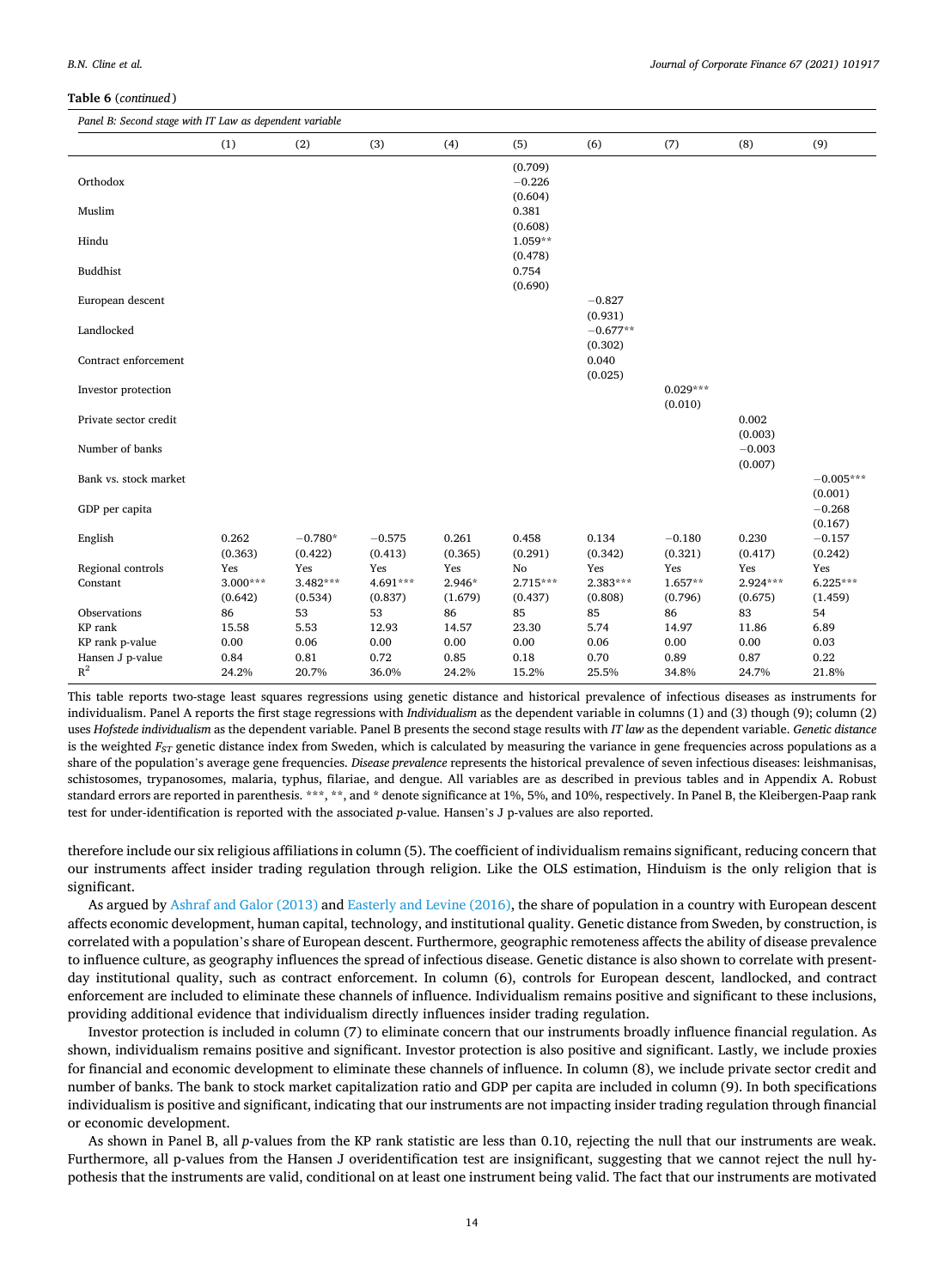#### **Table 6** (*continued* )

*Panel B: Second stage with IT Law as dependent variable* 

| Panel B. Second stage with H Law as dependent variable |                  |                      |                     |                  |                                 |                       |                       |                     |                        |
|--------------------------------------------------------|------------------|----------------------|---------------------|------------------|---------------------------------|-----------------------|-----------------------|---------------------|------------------------|
|                                                        | (1)              | (2)                  | (3)                 | (4)              | (5)                             | (6)                   | (7)                   | (8)                 | (9)                    |
| Orthodox                                               |                  |                      |                     |                  | (0.709)<br>$-0.226$<br>(0.604)  |                       |                       |                     |                        |
| Muslim                                                 |                  |                      |                     |                  | 0.381                           |                       |                       |                     |                        |
| Hindu                                                  |                  |                      |                     |                  | (0.608)<br>$1.059**$<br>(0.478) |                       |                       |                     |                        |
| <b>Buddhist</b>                                        |                  |                      |                     |                  | 0.754<br>(0.690)                |                       |                       |                     |                        |
| European descent                                       |                  |                      |                     |                  |                                 | $-0.827$<br>(0.931)   |                       |                     |                        |
| Landlocked                                             |                  |                      |                     |                  |                                 | $-0.677**$<br>(0.302) |                       |                     |                        |
| Contract enforcement                                   |                  |                      |                     |                  |                                 | 0.040<br>(0.025)      |                       |                     |                        |
| Investor protection                                    |                  |                      |                     |                  |                                 |                       | $0.029***$<br>(0.010) |                     |                        |
| Private sector credit                                  |                  |                      |                     |                  |                                 |                       |                       | 0.002<br>(0.003)    |                        |
| Number of banks                                        |                  |                      |                     |                  |                                 |                       |                       | $-0.003$<br>(0.007) |                        |
| Bank vs. stock market                                  |                  |                      |                     |                  |                                 |                       |                       |                     | $-0.005***$<br>(0.001) |
| GDP per capita                                         |                  |                      |                     |                  |                                 |                       |                       |                     | $-0.268$<br>(0.167)    |
| English                                                | 0.262<br>(0.363) | $-0.780*$<br>(0.422) | $-0.575$<br>(0.413) | 0.261<br>(0.365) | 0.458<br>(0.291)                | 0.134<br>(0.342)      | $-0.180$<br>(0.321)   | 0.230<br>(0.417)    | $-0.157$<br>(0.242)    |
| Regional controls                                      | Yes              | Yes                  | Yes                 | Yes              | No                              | Yes                   | Yes                   | Yes                 | Yes                    |
| Constant                                               | $3.000***$       | $3.482***$           | 4.691***            | 2.946*           | 2.715***                        | 2.383***              | $1.657**$             | $2.924***$          | $6.225***$             |
|                                                        | (0.642)          | (0.534)              | (0.837)             | (1.679)          | (0.437)                         | (0.808)               | (0.796)               | (0.675)             | (1.459)                |
| Observations                                           | 86               | 53                   | 53                  | 86               | 85                              | 85                    | 86                    | 83                  | 54                     |
| KP rank                                                | 15.58            | 5.53                 | 12.93               | 14.57            | 23.30                           | 5.74                  | 14.97                 | 11.86               | 6.89                   |
| KP rank p-value                                        | $0.00\,$         | 0.06                 | 0.00                | 0.00             | 0.00                            | 0.06                  | 0.00                  | 0.00                | 0.03                   |
| Hansen J p-value                                       | 0.84             | 0.81                 | 0.72                | 0.85             | 0.18                            | 0.70                  | 0.89                  | 0.87                | 0.22                   |
| $R^2$                                                  | 24.2%            | 20.7%                | 36.0%               | 24.2%            | 15.2%                           | 25.5%                 | 34.8%                 | 24.7%               | 21.8%                  |
|                                                        |                  |                      |                     |                  |                                 |                       |                       |                     |                        |

This table reports two-stage least squares regressions using genetic distance and historical prevalence of infectious diseases as instruments for individualism. Panel A reports the first stage regressions with *Individualism* as the dependent variable in columns (1) and (3) though (9); column (2) uses *Hofstede individualism* as the dependent variable. Panel B presents the second stage results with *IT law* as the dependent variable. *Genetic distance*  is the weighted *F<sub>ST</sub>* genetic distance index from Sweden, which is calculated by measuring the variance in gene frequencies across populations as a share of the population's average gene frequencies. *Disease prevalence* represents the historical prevalence of seven infectious diseases: leishmanisas, schistosomes, trypanosomes, malaria, typhus, filariae, and dengue. All variables are as described in previous tables and in Appendix A. Robust standard errors are reported in parenthesis. \*\*\*, \*\*, and \* denote significance at 1%, 5%, and 10%, respectively. In Panel B, the Kleibergen-Paap rank test for under-identification is reported with the associated *p*-value. Hansen's J p-values are also reported.

therefore include our six religious affiliations in column (5). The coefficient of individualism remains significant, reducing concern that our instruments affect insider trading regulation through religion. Like the OLS estimation, Hinduism is the only religion that is significant.

As argued by [Ashraf and Galor \(2013\)](#page-21-0) and [Easterly and Levine \(2016\)](#page-21-0), the share of population in a country with European descent affects economic development, human capital, technology, and institutional quality. Genetic distance from Sweden, by construction, is correlated with a population's share of European descent. Furthermore, geographic remoteness affects the ability of disease prevalence to influence culture, as geography influences the spread of infectious disease. Genetic distance is also shown to correlate with presentday institutional quality, such as contract enforcement. In column (6), controls for European descent, landlocked, and contract enforcement are included to eliminate these channels of influence. Individualism remains positive and significant to these inclusions, providing additional evidence that individualism directly influences insider trading regulation.

Investor protection is included in column (7) to eliminate concern that our instruments broadly influence financial regulation. As shown, individualism remains positive and significant. Investor protection is also positive and significant. Lastly, we include proxies for financial and economic development to eliminate these channels of influence. In column (8), we include private sector credit and number of banks. The bank to stock market capitalization ratio and GDP per capita are included in column (9). In both specifications individualism is positive and significant, indicating that our instruments are not impacting insider trading regulation through financial or economic development.

As shown in Panel B, all *p*-values from the KP rank statistic are less than 0.10, rejecting the null that our instruments are weak. Furthermore, all p-values from the Hansen J overidentification test are insignificant, suggesting that we cannot reject the null hypothesis that the instruments are valid, conditional on at least one instrument being valid. The fact that our instruments are motivated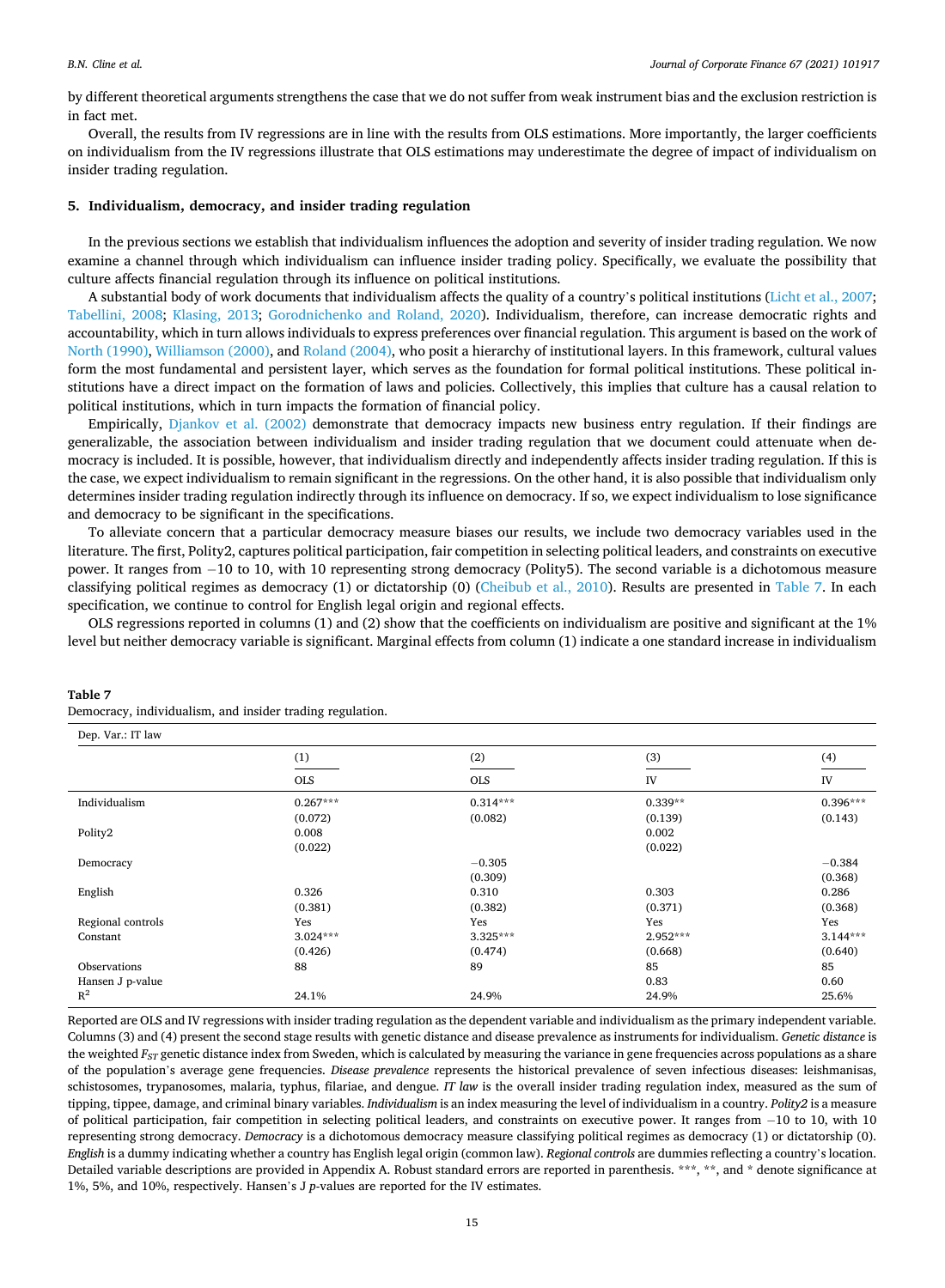by different theoretical arguments strengthens the case that we do not suffer from weak instrument bias and the exclusion restriction is in fact met.

Overall, the results from IV regressions are in line with the results from OLS estimations. More importantly, the larger coefficients on individualism from the IV regressions illustrate that OLS estimations may underestimate the degree of impact of individualism on insider trading regulation.

## **5. Individualism, democracy, and insider trading regulation**

In the previous sections we establish that individualism influences the adoption and severity of insider trading regulation. We now examine a channel through which individualism can influence insider trading policy. Specifically, we evaluate the possibility that culture affects financial regulation through its influence on political institutions.

A substantial body of work documents that individualism affects the quality of a country's political institutions ([Licht et al., 2007](#page-21-0); [Tabellini, 2008;](#page-22-0) [Klasing, 2013;](#page-21-0) [Gorodnichenko and Roland, 2020](#page-21-0)). Individualism, therefore, can increase democratic rights and accountability, which in turn allows individuals to express preferences over financial regulation. This argument is based on the work of [North \(1990\)](#page-22-0), [Williamson \(2000\)](#page-22-0), and [Roland \(2004\),](#page-22-0) who posit a hierarchy of institutional layers. In this framework, cultural values form the most fundamental and persistent layer, which serves as the foundation for formal political institutions. These political institutions have a direct impact on the formation of laws and policies. Collectively, this implies that culture has a causal relation to political institutions, which in turn impacts the formation of financial policy.

Empirically, [Djankov et al. \(2002\)](#page-21-0) demonstrate that democracy impacts new business entry regulation. If their findings are generalizable, the association between individualism and insider trading regulation that we document could attenuate when democracy is included. It is possible, however, that individualism directly and independently affects insider trading regulation. If this is the case, we expect individualism to remain significant in the regressions. On the other hand, it is also possible that individualism only determines insider trading regulation indirectly through its influence on democracy. If so, we expect individualism to lose significance and democracy to be significant in the specifications.

To alleviate concern that a particular democracy measure biases our results, we include two democracy variables used in the literature. The first, Polity2, captures political participation, fair competition in selecting political leaders, and constraints on executive power. It ranges from − 10 to 10, with 10 representing strong democracy (Polity5). The second variable is a dichotomous measure classifying political regimes as democracy (1) or dictatorship (0) ([Cheibub et al., 2010](#page-21-0)). Results are presented in Table 7. In each specification, we continue to control for English legal origin and regional effects.

OLS regressions reported in columns (1) and (2) show that the coefficients on individualism are positive and significant at the 1% level but neither democracy variable is significant. Marginal effects from column (1) indicate a one standard increase in individualism

| Dep. Var.: IT law |            |            |           |            |
|-------------------|------------|------------|-----------|------------|
|                   | (1)        | (2)        | (3)       | (4)        |
|                   | <b>OLS</b> | <b>OLS</b> | IV        | IV         |
| Individualism     | $0.267***$ | $0.314***$ | $0.339**$ | $0.396***$ |
|                   | (0.072)    | (0.082)    | (0.139)   | (0.143)    |
| Polity2           | 0.008      |            | 0.002     |            |
|                   | (0.022)    |            | (0.022)   |            |
| Democracy         |            | $-0.305$   |           | $-0.384$   |
|                   |            | (0.309)    |           | (0.368)    |
| English           | 0.326      | 0.310      | 0.303     | 0.286      |
|                   | (0.381)    | (0.382)    | (0.371)   | (0.368)    |
| Regional controls | Yes        | Yes        | Yes       | Yes        |
| Constant          | $3.024***$ | $3.325***$ | 2.952***  | $3.144***$ |
|                   | (0.426)    | (0.474)    | (0.668)   | (0.640)    |
| Observations      | 88         | 89         | 85        | 85         |
| Hansen J p-value  |            |            | 0.83      | 0.60       |
| $R^2$             | 24.1%      | 24.9%      | 24.9%     | 25.6%      |

## **Table 7**

Democracy, individualism, and insider trading regulation.

Reported are OLS and IV regressions with insider trading regulation as the dependent variable and individualism as the primary independent variable. Columns (3) and (4) present the second stage results with genetic distance and disease prevalence as instruments for individualism. *Genetic distance* is the weighted  $F_{ST}$  genetic distance index from Sweden, which is calculated by measuring the variance in gene frequencies across populations as a share of the population's average gene frequencies. *Disease prevalence* represents the historical prevalence of seven infectious diseases: leishmanisas, schistosomes, trypanosomes, malaria, typhus, filariae, and dengue. *IT law* is the overall insider trading regulation index, measured as the sum of tipping, tippee, damage, and criminal binary variables. *Individualism* is an index measuring the level of individualism in a country. *Polity2* is a measure of political participation, fair competition in selecting political leaders, and constraints on executive power. It ranges from − 10 to 10, with 10 representing strong democracy. *Democracy* is a dichotomous democracy measure classifying political regimes as democracy (1) or dictatorship (0). *English* is a dummy indicating whether a country has English legal origin (common law). *Regional controls* are dummies reflecting a country's location. Detailed variable descriptions are provided in Appendix A. Robust standard errors are reported in parenthesis. \*\*\*, \*\*, and \* denote significance at 1%, 5%, and 10%, respectively. Hansen's J *p*-values are reported for the IV estimates.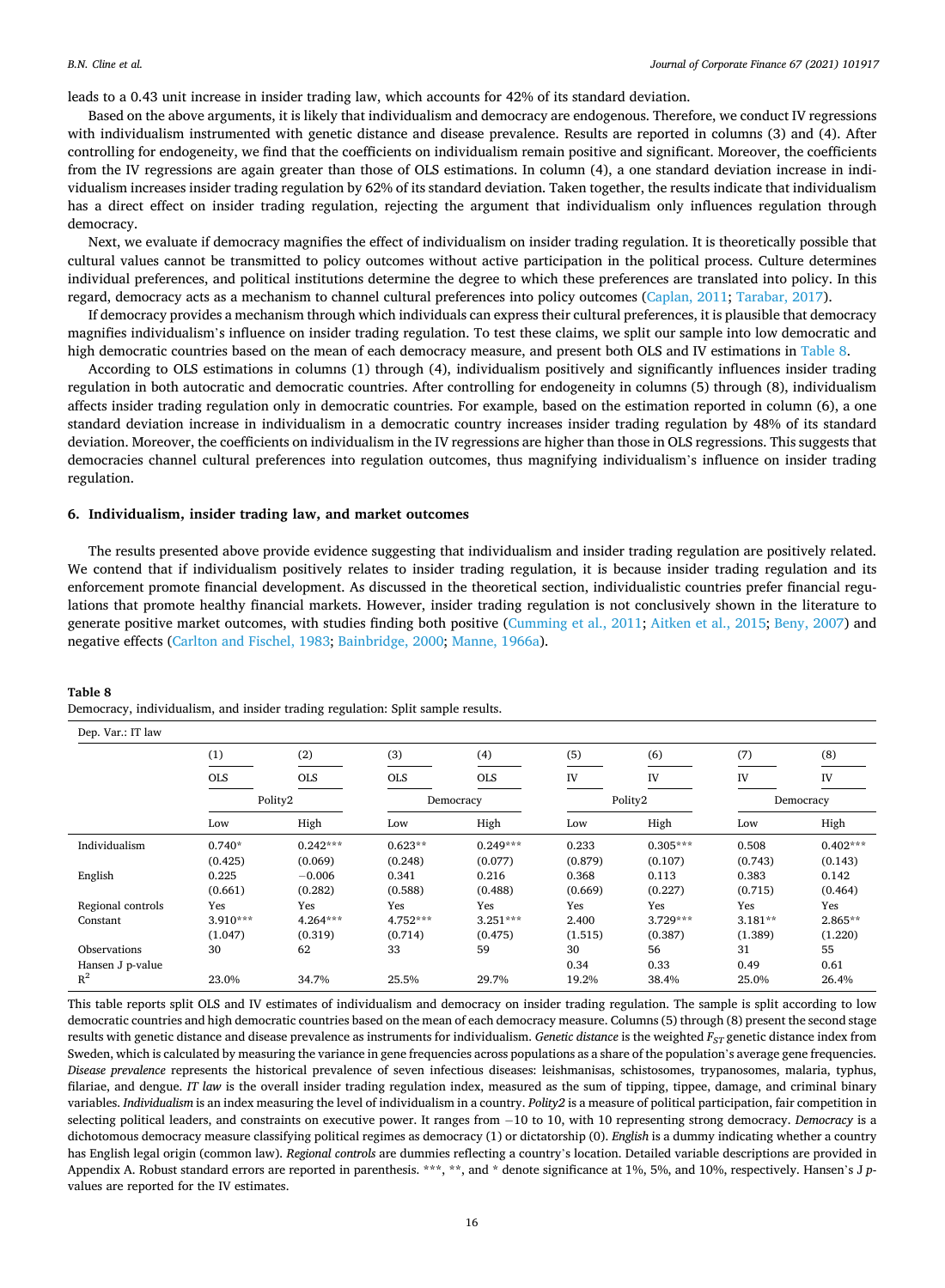leads to a 0.43 unit increase in insider trading law, which accounts for 42% of its standard deviation.

Based on the above arguments, it is likely that individualism and democracy are endogenous. Therefore, we conduct IV regressions with individualism instrumented with genetic distance and disease prevalence. Results are reported in columns (3) and (4). After controlling for endogeneity, we find that the coefficients on individualism remain positive and significant. Moreover, the coefficients from the IV regressions are again greater than those of OLS estimations. In column (4), a one standard deviation increase in individualism increases insider trading regulation by 62% of its standard deviation. Taken together, the results indicate that individualism has a direct effect on insider trading regulation, rejecting the argument that individualism only influences regulation through democracy.

Next, we evaluate if democracy magnifies the effect of individualism on insider trading regulation. It is theoretically possible that cultural values cannot be transmitted to policy outcomes without active participation in the political process. Culture determines individual preferences, and political institutions determine the degree to which these preferences are translated into policy. In this regard, democracy acts as a mechanism to channel cultural preferences into policy outcomes ([Caplan, 2011;](#page-21-0) [Tarabar, 2017\)](#page-22-0).

If democracy provides a mechanism through which individuals can express their cultural preferences, it is plausible that democracy magnifies individualism's influence on insider trading regulation. To test these claims, we split our sample into low democratic and high democratic countries based on the mean of each democracy measure, and present both OLS and IV estimations in Table 8.

According to OLS estimations in columns (1) through (4), individualism positively and significantly influences insider trading regulation in both autocratic and democratic countries. After controlling for endogeneity in columns (5) through (8), individualism affects insider trading regulation only in democratic countries. For example, based on the estimation reported in column (6), a one standard deviation increase in individualism in a democratic country increases insider trading regulation by 48% of its standard deviation. Moreover, the coefficients on individualism in the IV regressions are higher than those in OLS regressions. This suggests that democracies channel cultural preferences into regulation outcomes, thus magnifying individualism's influence on insider trading regulation.

## **6. Individualism, insider trading law, and market outcomes**

The results presented above provide evidence suggesting that individualism and insider trading regulation are positively related. We contend that if individualism positively relates to insider trading regulation, it is because insider trading regulation and its enforcement promote financial development. As discussed in the theoretical section, individualistic countries prefer financial regulations that promote healthy financial markets. However, insider trading regulation is not conclusively shown in the literature to generate positive market outcomes, with studies finding both positive ([Cumming et al., 2011](#page-21-0); [Aitken et al., 2015; Beny, 2007\)](#page-21-0) and negative effects [\(Carlton and Fischel, 1983](#page-21-0); [Bainbridge, 2000; Manne, 1966a](#page-21-0)).

#### **Table 8**

Democracy, individualism, and insider trading regulation: Split sample results.

| (1)        | (2)        | (3)        | (4)        | (5)     | (6)        | (7)       | (8)        |
|------------|------------|------------|------------|---------|------------|-----------|------------|
| <b>OLS</b> | <b>OLS</b> | <b>OLS</b> | <b>OLS</b> | IV      | IV         | IV        | IV         |
|            |            |            | Democracy  |         |            |           | Democracy  |
| Low        | High       | Low        | High       | Low     | High       | Low       | High       |
| $0.740*$   | $0.242***$ | $0.623**$  | $0.249***$ | 0.233   | $0.305***$ | 0.508     | $0.402***$ |
| (0.425)    | (0.069)    | (0.248)    | (0.077)    | (0.879) | (0.107)    | (0.743)   | (0.143)    |
| 0.225      | $-0.006$   | 0.341      | 0.216      | 0.368   | 0.113      | 0.383     | 0.142      |
| (0.661)    | (0.282)    | (0.588)    | (0.488)    | (0.669) | (0.227)    | (0.715)   | (0.464)    |
| Yes        | Yes        | Yes        | Yes        | Yes     | Yes        | Yes       | Yes        |
| 3.910***   | 4.264***   | $4.752***$ | $3.251***$ | 2.400   | $3.729***$ | $3.181**$ | 2.865**    |
| (1.047)    | (0.319)    | (0.714)    | (0.475)    | (1.515) | (0.387)    | (1.389)   | (1.220)    |
| 30         | 62         | 33         | 59         | 30      | 56         | 31        | 55         |
|            |            |            |            | 0.34    | 0.33       | 0.49      | 0.61       |
| 23.0%      | 34.7%      | 25.5%      | 29.7%      | 19.2%   | 38.4%      | 25.0%     | 26.4%      |
|            |            | Polity2    |            |         |            | Polity2   |            |

This table reports split OLS and IV estimates of individualism and democracy on insider trading regulation. The sample is split according to low democratic countries and high democratic countries based on the mean of each democracy measure. Columns (5) through (8) present the second stage results with genetic distance and disease prevalence as instruments for individualism. *Genetic distance* is the weighted *F<sub>ST</sub>* genetic distance index from Sweden, which is calculated by measuring the variance in gene frequencies across populations as a share of the population's average gene frequencies. *Disease prevalence* represents the historical prevalence of seven infectious diseases: leishmanisas, schistosomes, trypanosomes, malaria, typhus, filariae, and dengue. *IT law* is the overall insider trading regulation index, measured as the sum of tipping, tippee, damage, and criminal binary variables. *Individualism* is an index measuring the level of individualism in a country. *Polity2* is a measure of political participation, fair competition in selecting political leaders, and constraints on executive power. It ranges from − 10 to 10, with 10 representing strong democracy. *Democracy* is a dichotomous democracy measure classifying political regimes as democracy (1) or dictatorship (0). *English* is a dummy indicating whether a country has English legal origin (common law). *Regional controls* are dummies reflecting a country's location. Detailed variable descriptions are provided in Appendix A. Robust standard errors are reported in parenthesis. \*\*\*, \*\*, and \* denote significance at 1%, 5%, and 10%, respectively. Hansen's J *p*values are reported for the IV estimates.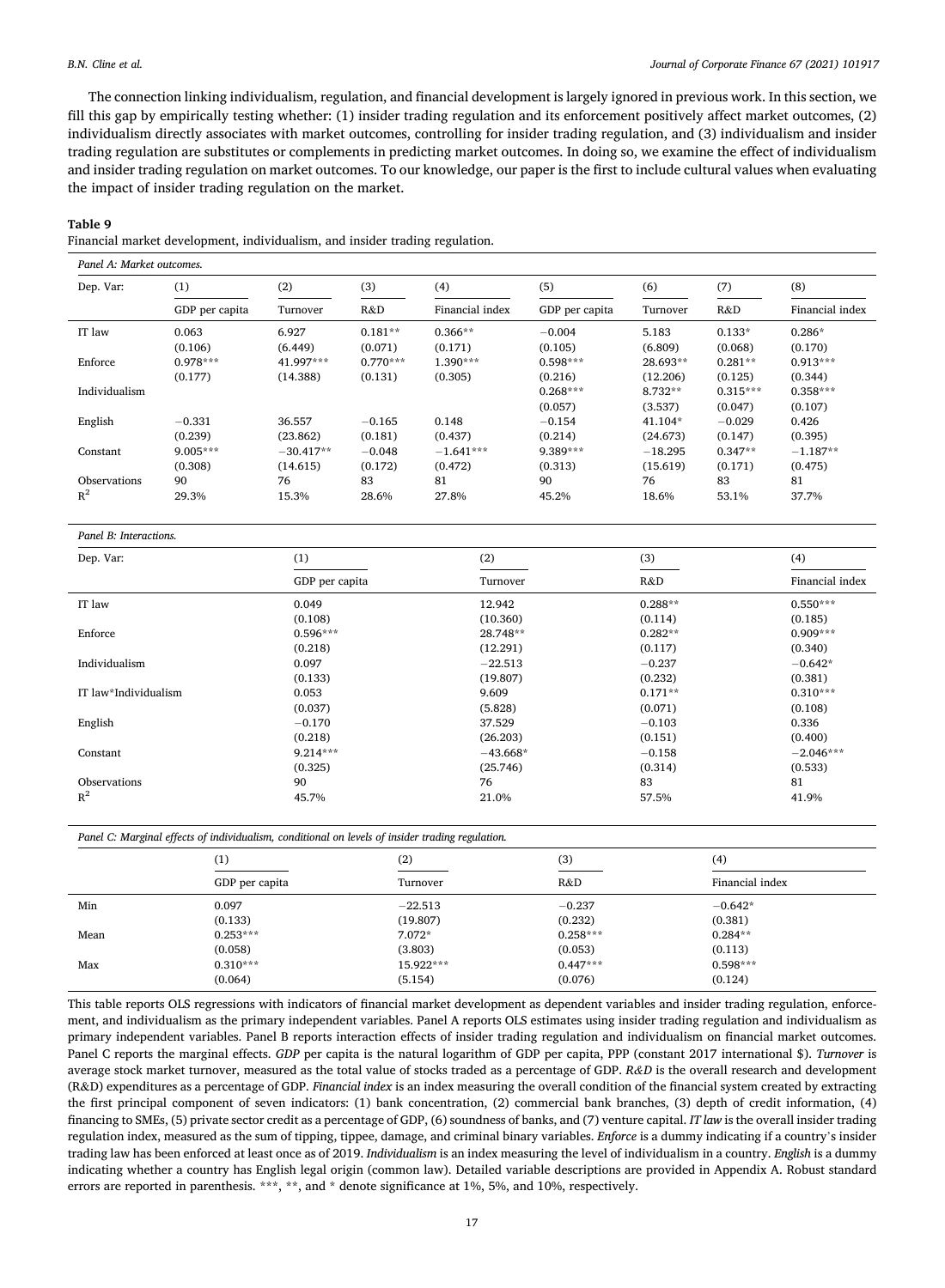<span id="page-16-0"></span>The connection linking individualism, regulation, and financial development is largely ignored in previous work. In this section, we fill this gap by empirically testing whether: (1) insider trading regulation and its enforcement positively affect market outcomes, (2) individualism directly associates with market outcomes, controlling for insider trading regulation, and (3) individualism and insider trading regulation are substitutes or complements in predicting market outcomes. In doing so, we examine the effect of individualism and insider trading regulation on market outcomes. To our knowledge, our paper is the first to include cultural values when evaluating the impact of insider trading regulation on the market.

#### **Table 9**

Financial market development, individualism, and insider trading regulation.

| Dep. Var:     | (1)            | (2)         | (3)        | (4)             | (5)            | (6)       | (7)        | (8)             |  |
|---------------|----------------|-------------|------------|-----------------|----------------|-----------|------------|-----------------|--|
|               | GDP per capita | Turnover    | R&D        | Financial index | GDP per capita | Turnover  | R&D        | Financial index |  |
| IT law        | 0.063          | 6.927       | $0.181**$  | $0.366**$       | $-0.004$       | 5.183     | $0.133*$   | $0.286*$        |  |
|               | (0.106)        | (6.449)     | (0.071)    | (0.171)         | (0.105)        | (6.809)   | (0.068)    | (0.170)         |  |
| Enforce       | $0.978***$     | 41.997***   | $0.770***$ | $1.390***$      | $0.598***$     | 28.693**  | $0.281**$  | $0.913***$      |  |
|               | (0.177)        | (14.388)    | (0.131)    | (0.305)         | (0.216)        | (12.206)  | (0.125)    | (0.344)         |  |
| Individualism |                |             |            |                 | $0.268***$     | 8.732**   | $0.315***$ | $0.358***$      |  |
|               |                |             |            |                 | (0.057)        | (3.537)   | (0.047)    | (0.107)         |  |
| English       | $-0.331$       | 36.557      | $-0.165$   | 0.148           | $-0.154$       | $41.104*$ | $-0.029$   | 0.426           |  |
|               | (0.239)        | (23.862)    | (0.181)    | (0.437)         | (0.214)        | (24.673)  | (0.147)    | (0.395)         |  |
| Constant      | $9.005***$     | $-30.417**$ | $-0.048$   | $-1.641***$     | 9.389***       | $-18.295$ | $0.347**$  | $-1.187**$      |  |
|               | (0.308)        | (14.615)    | (0.172)    | (0.472)         | (0.313)        | (15.619)  | (0.171)    | (0.475)         |  |
| Observations  | 90             | 76          | 83         | 81              | 90             | 76        | 83         | 81              |  |
| $R^2$         | 29.3%          | 15.3%       | 28.6%      | 27.8%           | 45.2%          | 18.6%     | 53.1%      | 37.7%           |  |

#### *Panel B: Interactions.*

| Dep. Var:            | (1)            | (2)        | (3)       | (4)             |
|----------------------|----------------|------------|-----------|-----------------|
|                      | GDP per capita | Turnover   | R&D       | Financial index |
| IT law               | 0.049          | 12.942     | $0.288**$ | $0.550***$      |
|                      | (0.108)        | (10.360)   | (0.114)   | (0.185)         |
| Enforce              | $0.596***$     | 28.748**   | $0.282**$ | $0.909***$      |
|                      | (0.218)        | (12.291)   | (0.117)   | (0.340)         |
| Individualism        | 0.097          | $-22.513$  | $-0.237$  | $-0.642*$       |
|                      | (0.133)        | (19.807)   | (0.232)   | (0.381)         |
| IT law*Individualism | 0.053          | 9.609      | $0.171**$ | $0.310***$      |
|                      | (0.037)        | (5.828)    | (0.071)   | (0.108)         |
| English              | $-0.170$       | 37.529     | $-0.103$  | 0.336           |
|                      | (0.218)        | (26.203)   | (0.151)   | (0.400)         |
| Constant             | $9.214***$     | $-43.668*$ | $-0.158$  | $-2.046***$     |
|                      | (0.325)        | (25.746)   | (0.314)   | (0.533)         |
| Observations         | 90             | 76         | 83        | 81              |
| $R^2$                | 45.7%          | 21.0%      | 57.5%     | 41.9%           |

*Panel C: Marginal effects of individualism, conditional on levels of insider trading regulation.* 

|      | (1)            | (2)       | (3)        | (4)             |  |
|------|----------------|-----------|------------|-----------------|--|
|      | GDP per capita | Turnover  | R&D        | Financial index |  |
| Min  | 0.097          | $-22.513$ | $-0.237$   | $-0.642*$       |  |
|      | (0.133)        | (19.807)  | (0.232)    | (0.381)         |  |
| Mean | $0.253***$     | $7.072*$  | $0.258***$ | $0.284**$       |  |
|      | (0.058)        | (3.803)   | (0.053)    | (0.113)         |  |
| Max  | $0.310***$     | 15.922*** | $0.447***$ | $0.598***$      |  |
|      | (0.064)        | (5.154)   | (0.076)    | (0.124)         |  |
|      |                |           |            |                 |  |

This table reports OLS regressions with indicators of financial market development as dependent variables and insider trading regulation, enforcement, and individualism as the primary independent variables. Panel A reports OLS estimates using insider trading regulation and individualism as primary independent variables. Panel B reports interaction effects of insider trading regulation and individualism on financial market outcomes. Panel C reports the marginal effects. *GDP* per capita is the natural logarithm of GDP per capita, PPP (constant 2017 international \$). *Turnover* is average stock market turnover, measured as the total value of stocks traded as a percentage of GDP. *R&D* is the overall research and development (R&D) expenditures as a percentage of GDP. *Financial index* is an index measuring the overall condition of the financial system created by extracting the first principal component of seven indicators: (1) bank concentration, (2) commercial bank branches, (3) depth of credit information, (4) financing to SMEs, (5) private sector credit as a percentage of GDP, (6) soundness of banks, and (7) venture capital. *IT law* is the overall insider trading regulation index, measured as the sum of tipping, tippee, damage, and criminal binary variables. *Enforce* is a dummy indicating if a country's insider trading law has been enforced at least once as of 2019. *Individualism* is an index measuring the level of individualism in a country. *English* is a dummy indicating whether a country has English legal origin (common law). Detailed variable descriptions are provided in Appendix A. Robust standard errors are reported in parenthesis. \*\*\*, \*\*, and \* denote significance at 1%, 5%, and 10%, respectively.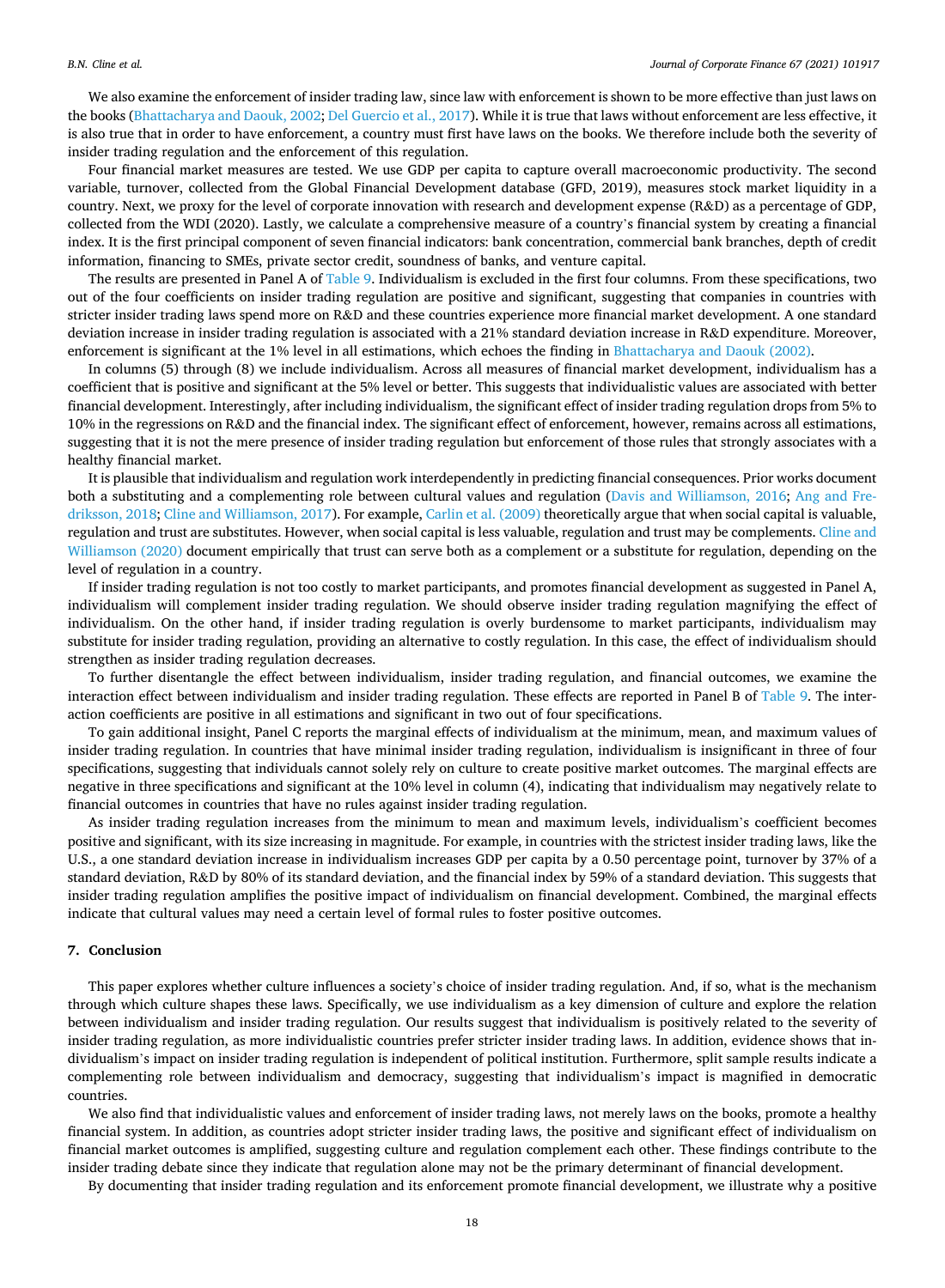We also examine the enforcement of insider trading law, since law with enforcement is shown to be more effective than just laws on the books [\(Bhattacharya and Daouk, 2002](#page-21-0); [Del Guercio et al., 2017\)](#page-21-0). While it is true that laws without enforcement are less effective, it is also true that in order to have enforcement, a country must first have laws on the books. We therefore include both the severity of insider trading regulation and the enforcement of this regulation.

Four financial market measures are tested. We use GDP per capita to capture overall macroeconomic productivity. The second variable, turnover, collected from the Global Financial Development database (GFD, 2019), measures stock market liquidity in a country. Next, we proxy for the level of corporate innovation with research and development expense (R&D) as a percentage of GDP, collected from the WDI (2020). Lastly, we calculate a comprehensive measure of a country's financial system by creating a financial index. It is the first principal component of seven financial indicators: bank concentration, commercial bank branches, depth of credit information, financing to SMEs, private sector credit, soundness of banks, and venture capital.

The results are presented in Panel A of [Table 9](#page-16-0). Individualism is excluded in the first four columns. From these specifications, two out of the four coefficients on insider trading regulation are positive and significant, suggesting that companies in countries with stricter insider trading laws spend more on R&D and these countries experience more financial market development. A one standard deviation increase in insider trading regulation is associated with a 21% standard deviation increase in R&D expenditure. Moreover, enforcement is significant at the 1% level in all estimations, which echoes the finding in [Bhattacharya and Daouk \(2002\)](#page-21-0).

In columns (5) through (8) we include individualism. Across all measures of financial market development, individualism has a coefficient that is positive and significant at the 5% level or better. This suggests that individualistic values are associated with better financial development. Interestingly, after including individualism, the significant effect of insider trading regulation drops from 5% to 10% in the regressions on R&D and the financial index. The significant effect of enforcement, however, remains across all estimations, suggesting that it is not the mere presence of insider trading regulation but enforcement of those rules that strongly associates with a healthy financial market.

It is plausible that individualism and regulation work interdependently in predicting financial consequences. Prior works document both a substituting and a complementing role between cultural values and regulation [\(Davis and Williamson, 2016](#page-21-0); [Ang and Fre](#page-21-0)[driksson, 2018](#page-21-0); [Cline and Williamson, 2017](#page-21-0)). For example, [Carlin et al. \(2009\)](#page-21-0) theoretically argue that when social capital is valuable, regulation and trust are substitutes. However, when social capital is less valuable, regulation and trust may be complements. [Cline and](#page-21-0) [Williamson \(2020\)](#page-21-0) document empirically that trust can serve both as a complement or a substitute for regulation, depending on the level of regulation in a country.

If insider trading regulation is not too costly to market participants, and promotes financial development as suggested in Panel A, individualism will complement insider trading regulation. We should observe insider trading regulation magnifying the effect of individualism. On the other hand, if insider trading regulation is overly burdensome to market participants, individualism may substitute for insider trading regulation, providing an alternative to costly regulation. In this case, the effect of individualism should strengthen as insider trading regulation decreases.

To further disentangle the effect between individualism, insider trading regulation, and financial outcomes, we examine the interaction effect between individualism and insider trading regulation. These effects are reported in Panel B of [Table 9](#page-16-0). The interaction coefficients are positive in all estimations and significant in two out of four specifications.

To gain additional insight, Panel C reports the marginal effects of individualism at the minimum, mean, and maximum values of insider trading regulation. In countries that have minimal insider trading regulation, individualism is insignificant in three of four specifications, suggesting that individuals cannot solely rely on culture to create positive market outcomes. The marginal effects are negative in three specifications and significant at the 10% level in column (4), indicating that individualism may negatively relate to financial outcomes in countries that have no rules against insider trading regulation.

As insider trading regulation increases from the minimum to mean and maximum levels, individualism's coefficient becomes positive and significant, with its size increasing in magnitude. For example, in countries with the strictest insider trading laws, like the U.S., a one standard deviation increase in individualism increases GDP per capita by a 0.50 percentage point, turnover by 37% of a standard deviation, R&D by 80% of its standard deviation, and the financial index by 59% of a standard deviation. This suggests that insider trading regulation amplifies the positive impact of individualism on financial development. Combined, the marginal effects indicate that cultural values may need a certain level of formal rules to foster positive outcomes.

## **7. Conclusion**

This paper explores whether culture influences a society's choice of insider trading regulation. And, if so, what is the mechanism through which culture shapes these laws. Specifically, we use individualism as a key dimension of culture and explore the relation between individualism and insider trading regulation. Our results suggest that individualism is positively related to the severity of insider trading regulation, as more individualistic countries prefer stricter insider trading laws. In addition, evidence shows that individualism's impact on insider trading regulation is independent of political institution. Furthermore, split sample results indicate a complementing role between individualism and democracy, suggesting that individualism's impact is magnified in democratic countries.

We also find that individualistic values and enforcement of insider trading laws, not merely laws on the books, promote a healthy financial system. In addition, as countries adopt stricter insider trading laws, the positive and significant effect of individualism on financial market outcomes is amplified, suggesting culture and regulation complement each other. These findings contribute to the insider trading debate since they indicate that regulation alone may not be the primary determinant of financial development.

By documenting that insider trading regulation and its enforcement promote financial development, we illustrate why a positive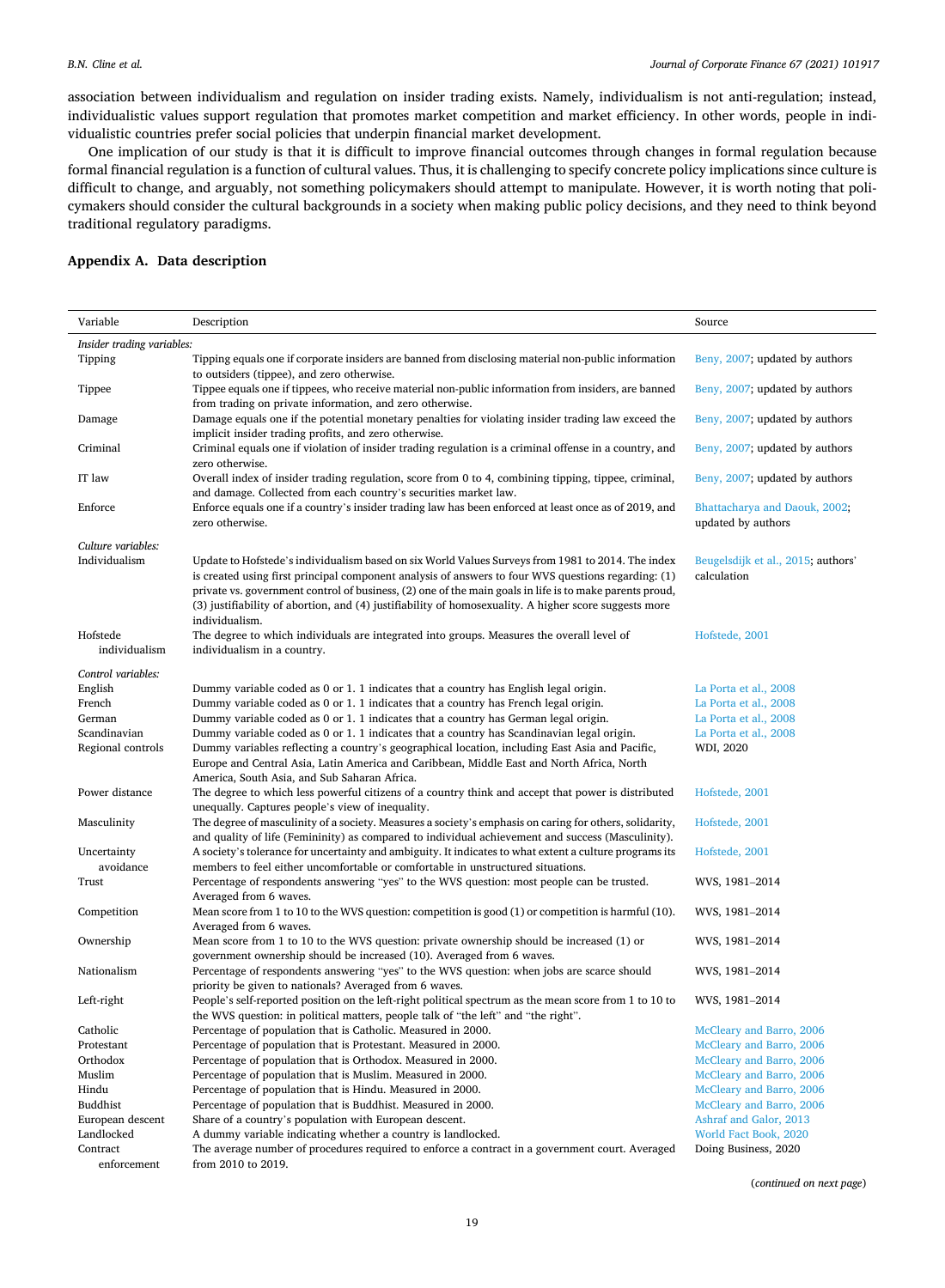association between individualism and regulation on insider trading exists. Namely, individualism is not anti-regulation; instead, individualistic values support regulation that promotes market competition and market efficiency. In other words, people in individualistic countries prefer social policies that underpin financial market development.

One implication of our study is that it is difficult to improve financial outcomes through changes in formal regulation because formal financial regulation is a function of cultural values. Thus, it is challenging to specify concrete policy implications since culture is difficult to change, and arguably, not something policymakers should attempt to manipulate. However, it is worth noting that policymakers should consider the cultural backgrounds in a society when making public policy decisions, and they need to think beyond traditional regulatory paradigms.

## **Appendix A. Data description**

| Variable                   | Description                                                                                                                                                              | Source                                               |
|----------------------------|--------------------------------------------------------------------------------------------------------------------------------------------------------------------------|------------------------------------------------------|
| Insider trading variables: |                                                                                                                                                                          |                                                      |
| Tipping                    | Tipping equals one if corporate insiders are banned from disclosing material non-public information<br>to outsiders (tippee), and zero otherwise.                        | Beny, 2007; updated by authors                       |
| Tippee                     | Tippee equals one if tippees, who receive material non-public information from insiders, are banned<br>from trading on private information, and zero otherwise.          | Beny, 2007; updated by authors                       |
| Damage                     | Damage equals one if the potential monetary penalties for violating insider trading law exceed the<br>implicit insider trading profits, and zero otherwise.              | Beny, 2007; updated by authors                       |
| Criminal                   | Criminal equals one if violation of insider trading regulation is a criminal offense in a country, and<br>zero otherwise.                                                | Beny, 2007; updated by authors                       |
| IT law                     | Overall index of insider trading regulation, score from 0 to 4, combining tipping, tippee, criminal,<br>and damage. Collected from each country's securities market law. | Beny, 2007; updated by authors                       |
| Enforce                    | Enforce equals one if a country's insider trading law has been enforced at least once as of 2019, and<br>zero otherwise.                                                 | Bhattacharya and Daouk, 2002;<br>updated by authors  |
| Culture variables:         |                                                                                                                                                                          |                                                      |
| Individualism              | Update to Hofstede's individualism based on six World Values Surveys from 1981 to 2014. The index                                                                        | Beugelsdijk et al., 2015; authors'                   |
|                            | is created using first principal component analysis of answers to four WVS questions regarding: (1)                                                                      | calculation                                          |
|                            | private vs. government control of business, (2) one of the main goals in life is to make parents proud,                                                                  |                                                      |
|                            | (3) justifiability of abortion, and (4) justifiability of homosexuality. A higher score suggests more                                                                    |                                                      |
|                            | individualism.                                                                                                                                                           |                                                      |
| Hofstede                   | The degree to which individuals are integrated into groups. Measures the overall level of                                                                                | Hofstede, 2001                                       |
| individualism              | individualism in a country.                                                                                                                                              |                                                      |
| Control variables:         |                                                                                                                                                                          |                                                      |
| English                    | Dummy variable coded as 0 or 1. 1 indicates that a country has English legal origin.                                                                                     | La Porta et al., 2008                                |
| French                     | Dummy variable coded as 0 or 1. 1 indicates that a country has French legal origin.                                                                                      | La Porta et al., 2008                                |
| German                     | Dummy variable coded as 0 or 1. 1 indicates that a country has German legal origin.                                                                                      | La Porta et al., 2008                                |
| Scandinavian               | Dummy variable coded as 0 or 1. 1 indicates that a country has Scandinavian legal origin.                                                                                | La Porta et al., 2008                                |
| Regional controls          | Dummy variables reflecting a country's geographical location, including East Asia and Pacific,                                                                           | WDI, 2020                                            |
|                            | Europe and Central Asia, Latin America and Caribbean, Middle East and North Africa, North<br>America, South Asia, and Sub Saharan Africa.                                |                                                      |
| Power distance             | The degree to which less powerful citizens of a country think and accept that power is distributed                                                                       | Hofstede, 2001                                       |
|                            | unequally. Captures people's view of inequality.                                                                                                                         |                                                      |
| Masculinity                | The degree of masculinity of a society. Measures a society's emphasis on caring for others, solidarity,                                                                  | Hofstede, 2001                                       |
|                            | and quality of life (Femininity) as compared to individual achievement and success (Masculinity).                                                                        |                                                      |
| Uncertainty                | A society's tolerance for uncertainty and ambiguity. It indicates to what extent a culture programs its                                                                  | Hofstede, 2001                                       |
| avoidance                  | members to feel either uncomfortable or comfortable in unstructured situations.                                                                                          |                                                      |
| Trust                      | Percentage of respondents answering "yes" to the WVS question: most people can be trusted.                                                                               | WVS, 1981-2014                                       |
| Competition                | Averaged from 6 waves.<br>Mean score from 1 to 10 to the WVS question: competition is good (1) or competition is harmful (10).                                           | WVS, 1981-2014                                       |
|                            | Averaged from 6 waves.                                                                                                                                                   |                                                      |
| Ownership                  | Mean score from 1 to 10 to the WVS question: private ownership should be increased (1) or                                                                                | WVS, 1981-2014                                       |
|                            | government ownership should be increased (10). Averaged from 6 waves.                                                                                                    |                                                      |
| Nationalism                | Percentage of respondents answering "yes" to the WVS question: when jobs are scarce should                                                                               | WVS, 1981-2014                                       |
|                            | priority be given to nationals? Averaged from 6 waves.                                                                                                                   |                                                      |
| Left-right                 | People's self-reported position on the left-right political spectrum as the mean score from 1 to 10 to                                                                   | WVS, 1981-2014                                       |
|                            | the WVS question: in political matters, people talk of "the left" and "the right".                                                                                       |                                                      |
| Catholic                   | Percentage of population that is Catholic. Measured in 2000.                                                                                                             | McCleary and Barro, 2006                             |
| Protestant                 | Percentage of population that is Protestant. Measured in 2000.                                                                                                           | McCleary and Barro, 2006                             |
| Orthodox<br>Muslim         | Percentage of population that is Orthodox. Measured in 2000.                                                                                                             | McCleary and Barro, 2006                             |
| Hindu                      | Percentage of population that is Muslim. Measured in 2000.<br>Percentage of population that is Hindu. Measured in 2000.                                                  | McCleary and Barro, 2006<br>McCleary and Barro, 2006 |
| Buddhist                   | Percentage of population that is Buddhist. Measured in 2000.                                                                                                             | McCleary and Barro, 2006                             |
| European descent           | Share of a country's population with European descent.                                                                                                                   | Ashraf and Galor, 2013                               |
| Landlocked                 | A dummy variable indicating whether a country is landlocked.                                                                                                             | World Fact Book, 2020                                |
| Contract                   | The average number of procedures required to enforce a contract in a government court. Averaged                                                                          | Doing Business, 2020                                 |
| enforcement                | from 2010 to 2019.                                                                                                                                                       |                                                      |

(*continued on next page*)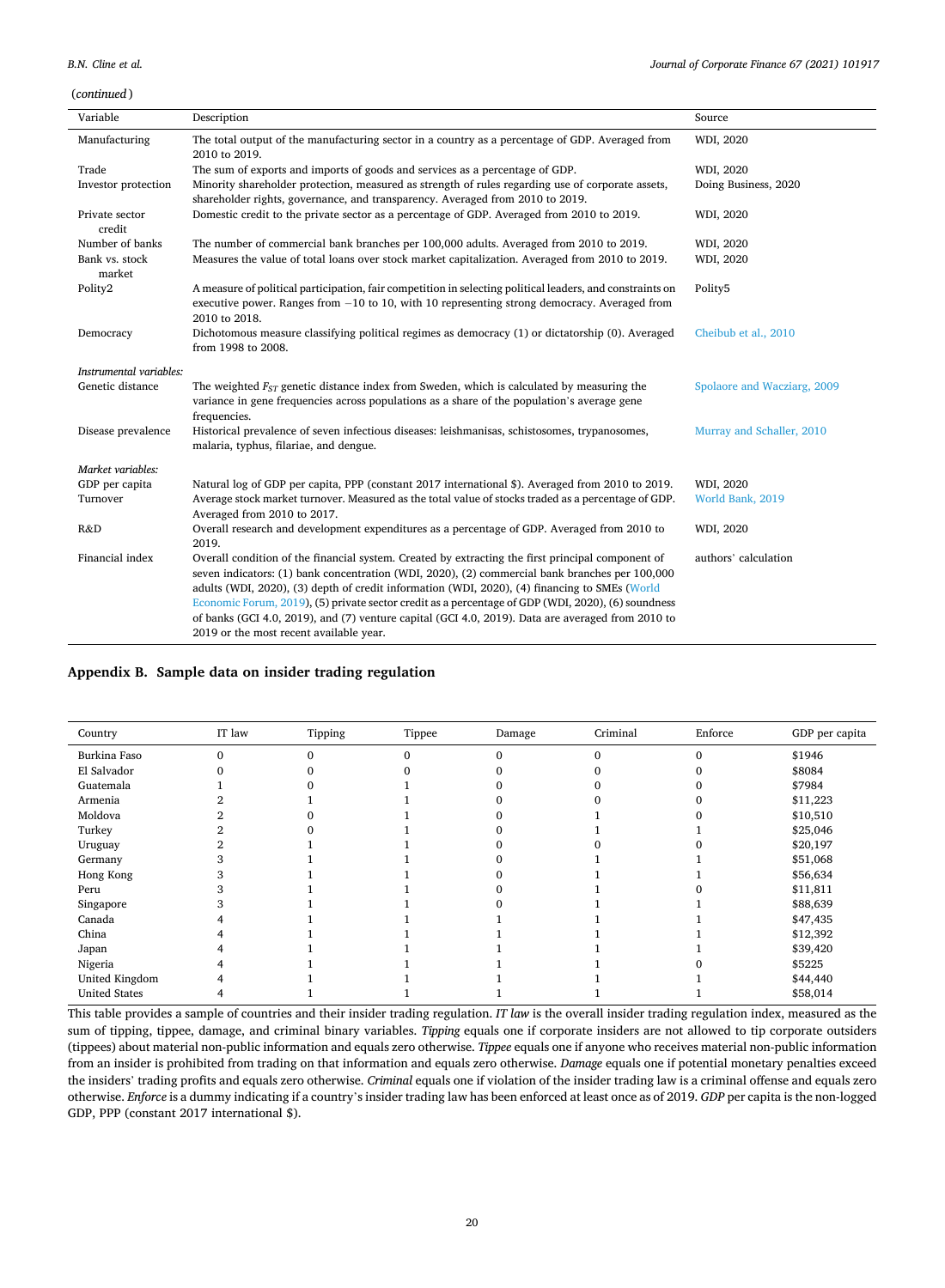(*continued* )

| Variable                 | Description                                                                                                                                                                                                                                                                                                                                                                                                                                                                                                                                                | Source                      |
|--------------------------|------------------------------------------------------------------------------------------------------------------------------------------------------------------------------------------------------------------------------------------------------------------------------------------------------------------------------------------------------------------------------------------------------------------------------------------------------------------------------------------------------------------------------------------------------------|-----------------------------|
|                          |                                                                                                                                                                                                                                                                                                                                                                                                                                                                                                                                                            |                             |
| Manufacturing            | The total output of the manufacturing sector in a country as a percentage of GDP. Averaged from<br>2010 to 2019.                                                                                                                                                                                                                                                                                                                                                                                                                                           | WDI, 2020                   |
| Trade                    | The sum of exports and imports of goods and services as a percentage of GDP.                                                                                                                                                                                                                                                                                                                                                                                                                                                                               | WDI, 2020                   |
| Investor protection      | Minority shareholder protection, measured as strength of rules regarding use of corporate assets,<br>shareholder rights, governance, and transparency. Averaged from 2010 to 2019.                                                                                                                                                                                                                                                                                                                                                                         | Doing Business, 2020        |
| Private sector<br>credit | Domestic credit to the private sector as a percentage of GDP. Averaged from 2010 to 2019.                                                                                                                                                                                                                                                                                                                                                                                                                                                                  | WDI, 2020                   |
| Number of banks          | The number of commercial bank branches per 100,000 adults. Averaged from 2010 to 2019.                                                                                                                                                                                                                                                                                                                                                                                                                                                                     | WDI, 2020                   |
| Bank vs. stock<br>market | Measures the value of total loans over stock market capitalization. Averaged from 2010 to 2019.                                                                                                                                                                                                                                                                                                                                                                                                                                                            | WDI, 2020                   |
| Polity2                  | A measure of political participation, fair competition in selecting political leaders, and constraints on<br>executive power. Ranges from $-10$ to 10, with 10 representing strong democracy. Averaged from<br>2010 to 2018.                                                                                                                                                                                                                                                                                                                               | Polity5                     |
| Democracy                | Dichotomous measure classifying political regimes as democracy (1) or dictatorship (0). Averaged<br>from 1998 to 2008.                                                                                                                                                                                                                                                                                                                                                                                                                                     | Cheibub et al., 2010        |
| Instrumental variables:  |                                                                                                                                                                                                                                                                                                                                                                                                                                                                                                                                                            |                             |
| Genetic distance         | The weighted $F_{ST}$ genetic distance index from Sweden, which is calculated by measuring the<br>variance in gene frequencies across populations as a share of the population's average gene<br>frequencies.                                                                                                                                                                                                                                                                                                                                              | Spolaore and Wacziarg, 2009 |
| Disease prevalence       | Historical prevalence of seven infectious diseases: leishmanisas, schistosomes, trypanosomes,<br>malaria, typhus, filariae, and dengue.                                                                                                                                                                                                                                                                                                                                                                                                                    | Murray and Schaller, 2010   |
| Market variables:        |                                                                                                                                                                                                                                                                                                                                                                                                                                                                                                                                                            |                             |
| GDP per capita           | Natural log of GDP per capita, PPP (constant 2017 international \$). Averaged from 2010 to 2019.                                                                                                                                                                                                                                                                                                                                                                                                                                                           | WDI, 2020                   |
| Turnover                 | Average stock market turnover. Measured as the total value of stocks traded as a percentage of GDP.<br>Averaged from 2010 to 2017.                                                                                                                                                                                                                                                                                                                                                                                                                         | World Bank, 2019            |
| R&D                      | Overall research and development expenditures as a percentage of GDP. Averaged from 2010 to<br>2019.                                                                                                                                                                                                                                                                                                                                                                                                                                                       | WDI, 2020                   |
| Financial index          | Overall condition of the financial system. Created by extracting the first principal component of<br>seven indicators: (1) bank concentration (WDI, 2020), (2) commercial bank branches per 100,000<br>adults (WDI, 2020), (3) depth of credit information (WDI, 2020), (4) financing to SMEs (World<br>Economic Forum, 2019), (5) private sector credit as a percentage of GDP (WDI, 2020), (6) soundness<br>of banks (GCI 4.0, 2019), and (7) venture capital (GCI 4.0, 2019). Data are averaged from 2010 to<br>2019 or the most recent available year. | authors' calculation        |

## **Appendix B. Sample data on insider trading regulation**

| Country              | IT law | Tipping | Tippee   | Damage | Criminal | Enforce | GDP per capita |
|----------------------|--------|---------|----------|--------|----------|---------|----------------|
| Burkina Faso         |        |         | $\Omega$ |        |          |         | \$1946         |
| El Salvador          |        |         |          |        |          |         | \$8084         |
| Guatemala            |        |         |          |        |          |         | \$7984         |
| Armenia              |        |         |          |        |          |         | \$11,223       |
| Moldova              |        |         |          |        |          |         | \$10,510       |
| Turkey               |        |         |          |        |          |         | \$25,046       |
| Uruguay              |        |         |          |        |          |         | \$20,197       |
| Germany              |        |         |          |        |          |         | \$51,068       |
| Hong Kong            |        |         |          |        |          |         | \$56,634       |
| Peru                 |        |         |          |        |          |         | \$11,811       |
| Singapore            |        |         |          |        |          |         | \$88,639       |
| Canada               |        |         |          |        |          |         | \$47,435       |
| China                |        |         |          |        |          |         | \$12,392       |
| Japan                |        |         |          |        |          |         | \$39,420       |
| Nigeria              |        |         |          |        |          |         | \$5225         |
| United Kingdom       |        |         |          |        |          |         | \$44,440       |
| <b>United States</b> |        |         |          |        |          |         | \$58,014       |
|                      |        |         |          |        |          |         |                |

This table provides a sample of countries and their insider trading regulation. *IT law* is the overall insider trading regulation index, measured as the sum of tipping, tippee, damage, and criminal binary variables. *Tipping* equals one if corporate insiders are not allowed to tip corporate outsiders (tippees) about material non-public information and equals zero otherwise. *Tippee* equals one if anyone who receives material non-public information from an insider is prohibited from trading on that information and equals zero otherwise. *Damage* equals one if potential monetary penalties exceed the insiders' trading profits and equals zero otherwise. *Criminal* equals one if violation of the insider trading law is a criminal offense and equals zero otherwise. *Enforce* is a dummy indicating if a country's insider trading law has been enforced at least once as of 2019. *GDP* per capita is the non-logged GDP, PPP (constant 2017 international \$).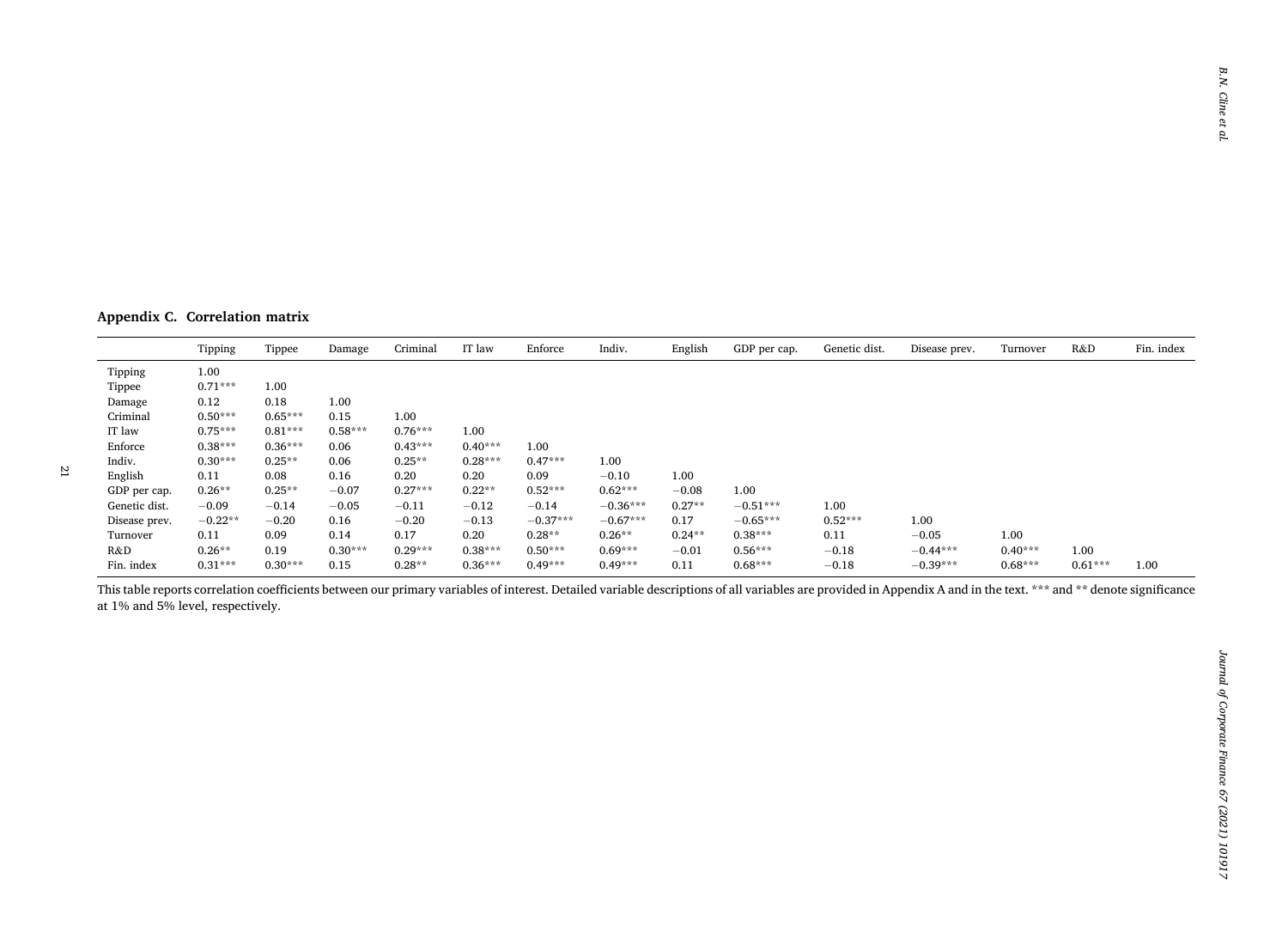**Appendix C. Correlation matrix** 

|               | Tipping   | Tippee    | Damage    | Criminal  | IT law    | Enforce    | Indiv.     | English   | GDP per cap. | Genetic dist. | Disease prev. | Turnover  | R&D       | Fin. index |
|---------------|-----------|-----------|-----------|-----------|-----------|------------|------------|-----------|--------------|---------------|---------------|-----------|-----------|------------|
| Tipping       | 1.00      |           |           |           |           |            |            |           |              |               |               |           |           |            |
| Tippee        | $0.71***$ | 1.00      |           |           |           |            |            |           |              |               |               |           |           |            |
| Damage        | 0.12      | 0.18      | 1.00      |           |           |            |            |           |              |               |               |           |           |            |
| Criminal      | $0.50***$ | $0.65***$ | 0.15      | 1.00      |           |            |            |           |              |               |               |           |           |            |
| IT law        | $0.75***$ | $0.81***$ | $0.58***$ | $0.76***$ | 1.00      |            |            |           |              |               |               |           |           |            |
| Enforce       | $0.38***$ | $0.36***$ | 0.06      | $0.43***$ | $0.40***$ | 1.00       |            |           |              |               |               |           |           |            |
| Indiv.        | $0.30***$ | $0.25**$  | 0.06      | $0.25**$  | $0.28***$ | $0.47***$  | 1.00       |           |              |               |               |           |           |            |
| English       | 0.11      | 0.08      | 0.16      | 0.20      | 0.20      | 0.09       | $-0.10$    | 1.00      |              |               |               |           |           |            |
| GDP per cap.  | $0.26**$  | $0.25**$  | $-0.07$   | $0.27***$ | $0.22**$  | $0.52***$  | $0.62***$  | $-0.08$   | 1.00         |               |               |           |           |            |
| Genetic dist. | $-0.09$   | $-0.14$   | $-0.05$   | $-0.11$   | $-0.12$   | $-0.14$    | $-0.36***$ | $0.27**$  | $-0.51***$   | 1.00          |               |           |           |            |
| Disease prev. | $-0.22**$ | $-0.20$   | 0.16      | $-0.20$   | $-0.13$   | $-0.37***$ | $-0.67***$ | 0.17      | $-0.65***$   | $0.52***$     | 1.00          |           |           |            |
| Turnover      | 0.11      | 0.09      | 0.14      | 0.17      | 0.20      | $0.28**$   | $0.26**$   | $0.24***$ | $0.38***$    | 0.11          | $-0.05$       | 1.00      |           |            |
| R&D           | $0.26**$  | 0.19      | $0.30***$ | $0.29***$ | $0.38***$ | $0.50***$  | $0.69***$  | $-0.01$   | $0.56***$    | $-0.18$       | $-0.44***$    | $0.40***$ | 1.00      |            |
| Fin. index    | $0.31***$ | $0.30***$ | 0.15      | $0.28**$  | $0.36***$ | $0.49***$  | $0.49***$  | 0.11      | $0.68***$    | $-0.18$       | $-0.39***$    | $0.68***$ | $0.61***$ | 1.00       |

This table reports correlation coefficients between our primary variables of interest. Detailed variable descriptions of all variables are provided in Appendix A and in the text. \*\*\* and \*\* denote significance at 1% and 5% level, respectively.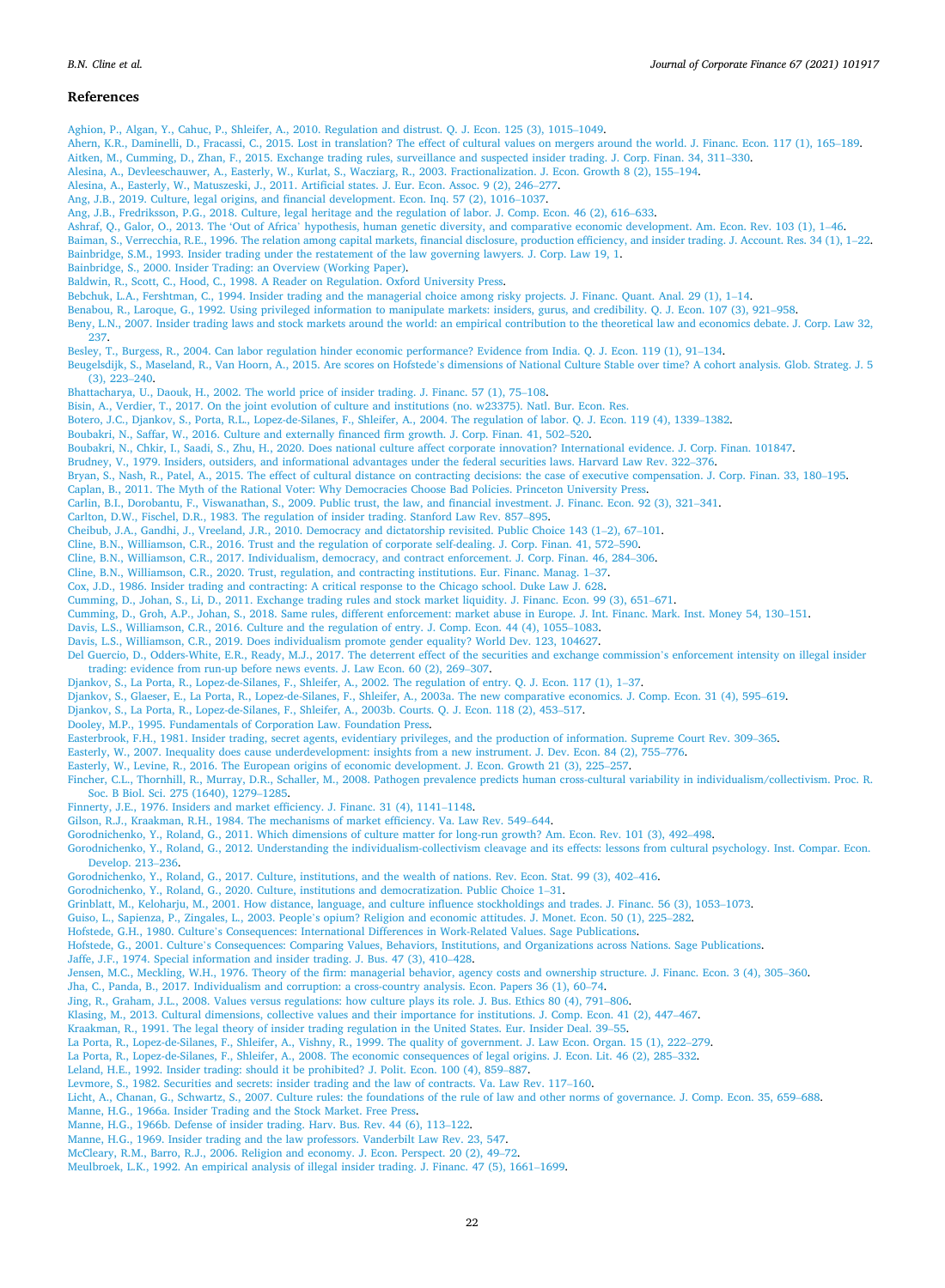#### <span id="page-21-0"></span>**References**

[Aghion, P., Algan, Y., Cahuc, P., Shleifer, A., 2010. Regulation and distrust. Q. J. Econ. 125 \(3\), 1015](http://refhub.elsevier.com/S0929-1199(21)00038-9/rf0005)–1049.

[Ahern, K.R., Daminelli, D., Fracassi, C., 2015. Lost in translation? The effect of cultural values on mergers around the world. J. Financ. Econ. 117 \(1\), 165](http://refhub.elsevier.com/S0929-1199(21)00038-9/rf0010)–189.

[Aitken, M., Cumming, D., Zhan, F., 2015. Exchange trading rules, surveillance and suspected insider trading. J. Corp. Finan. 34, 311](http://refhub.elsevier.com/S0929-1199(21)00038-9/rf0015)–330.

[Alesina, A., Devleeschauwer, A., Easterly, W., Kurlat, S., Wacziarg, R., 2003. Fractionalization. J. Econ. Growth 8 \(2\), 155](http://refhub.elsevier.com/S0929-1199(21)00038-9/rf0020)–194.

[Alesina, A., Easterly, W., Matuszeski, J., 2011. Artificial states. J. Eur. Econ. Assoc. 9 \(2\), 246](http://refhub.elsevier.com/S0929-1199(21)00038-9/rf0025)–277.

[Ang, J.B., 2019. Culture, legal origins, and financial development. Econ. Inq. 57 \(2\), 1016](http://refhub.elsevier.com/S0929-1199(21)00038-9/rf0030)–1037.

[Ang, J.B., Fredriksson, P.G., 2018. Culture, legal heritage and the regulation of labor. J. Comp. Econ. 46 \(2\), 616](http://refhub.elsevier.com/S0929-1199(21)00038-9/rf0035)–633.

Ashraf, Q., Galor, O., 2013. The 'Out of Africa' [hypothesis, human genetic diversity, and comparative economic development. Am. Econ. Rev. 103 \(1\), 1](http://refhub.elsevier.com/S0929-1199(21)00038-9/rf0040)–46.

[Baiman, S., Verrecchia, R.E., 1996. The relation among capital markets, financial disclosure, production efficiency, and insider trading. J. Account. Res. 34 \(1\), 1](http://refhub.elsevier.com/S0929-1199(21)00038-9/rf0045)–22. [Bainbridge, S.M., 1993. Insider trading under the restatement of the law governing lawyers. J. Corp. Law 19, 1](http://refhub.elsevier.com/S0929-1199(21)00038-9/rf0050).

[Bainbridge, S., 2000. Insider Trading: an Overview \(Working Paper\).](http://refhub.elsevier.com/S0929-1199(21)00038-9/rf0055)

[Baldwin, R., Scott, C., Hood, C., 1998. A Reader on Regulation. Oxford University Press.](http://refhub.elsevier.com/S0929-1199(21)00038-9/rf0060)

[Bebchuk, L.A., Fershtman, C., 1994. Insider trading and the managerial choice among risky projects. J. Financ. Quant. Anal. 29 \(1\), 1](http://refhub.elsevier.com/S0929-1199(21)00038-9/rf0065)–14.

[Benabou, R., Laroque, G., 1992. Using privileged information to manipulate markets: insiders, gurus, and credibility. Q. J. Econ. 107 \(3\), 921](http://refhub.elsevier.com/S0929-1199(21)00038-9/rf0070)–958.

[Beny, L.N., 2007. Insider trading laws and stock markets around the world: an empirical contribution to the theoretical law and economics debate. J. Corp. Law 32,](http://refhub.elsevier.com/S0929-1199(21)00038-9/rf0075) [237.](http://refhub.elsevier.com/S0929-1199(21)00038-9/rf0075)

[Besley, T., Burgess, R., 2004. Can labor regulation hinder economic performance? Evidence from India. Q. J. Econ. 119 \(1\), 91](http://refhub.elsevier.com/S0929-1199(21)00038-9/rf0080)–134.

Beugelsdijk, S., Maseland, R., Van Hoorn, A., 2015. Are scores on Hofstede'[s dimensions of National Culture Stable over time? A cohort analysis. Glob. Strateg. J. 5](http://refhub.elsevier.com/S0929-1199(21)00038-9/rf0085) [\(3\), 223](http://refhub.elsevier.com/S0929-1199(21)00038-9/rf0085)–240.

[Bhattacharya, U., Daouk, H., 2002. The world price of insider trading. J. Financ. 57 \(1\), 75](http://refhub.elsevier.com/S0929-1199(21)00038-9/rf0090)–108.

[Bisin, A., Verdier, T., 2017. On the joint evolution of culture and institutions \(no. w23375\). Natl. Bur. Econ. Res.](http://refhub.elsevier.com/S0929-1199(21)00038-9/rf0095) 

[Botero, J.C., Djankov, S., Porta, R.L., Lopez-de-Silanes, F., Shleifer, A., 2004. The regulation of labor. Q. J. Econ. 119 \(4\), 1339](http://refhub.elsevier.com/S0929-1199(21)00038-9/rf0100)–1382.

[Boubakri, N., Saffar, W., 2016. Culture and externally financed firm growth. J. Corp. Finan. 41, 502](http://refhub.elsevier.com/S0929-1199(21)00038-9/rf0105)–520.

[Boubakri, N., Chkir, I., Saadi, S., Zhu, H., 2020. Does national culture affect corporate innovation? International evidence. J. Corp. Finan. 101847.](http://refhub.elsevier.com/S0929-1199(21)00038-9/rf0110)

[Brudney, V., 1979. Insiders, outsiders, and informational advantages under the federal securities laws. Harvard Law Rev. 322](http://refhub.elsevier.com/S0929-1199(21)00038-9/rf0115)–376.

[Bryan, S., Nash, R., Patel, A., 2015. The effect of cultural distance on contracting decisions: the case of executive compensation. J. Corp. Finan. 33, 180](http://refhub.elsevier.com/S0929-1199(21)00038-9/rf0120)–195.

[Caplan, B., 2011. The Myth of the Rational Voter: Why Democracies Choose Bad Policies. Princeton University Press](http://refhub.elsevier.com/S0929-1199(21)00038-9/rf0125).

[Carlin, B.I., Dorobantu, F., Viswanathan, S., 2009. Public trust, the law, and financial investment. J. Financ. Econ. 92 \(3\), 321](http://refhub.elsevier.com/S0929-1199(21)00038-9/rf0130)–341.

[Carlton, D.W., Fischel, D.R., 1983. The regulation of insider trading. Stanford Law Rev. 857](http://refhub.elsevier.com/S0929-1199(21)00038-9/rf0135)–895.

[Cheibub, J.A., Gandhi, J., Vreeland, J.R., 2010. Democracy and dictatorship revisited. Public Choice 143 \(1](http://refhub.elsevier.com/S0929-1199(21)00038-9/rf0140)–2), 67–101.

[Cline, B.N., Williamson, C.R., 2016. Trust and the regulation of corporate self-dealing. J. Corp. Finan. 41, 572](http://refhub.elsevier.com/S0929-1199(21)00038-9/rf0145)–590.

[Cline, B.N., Williamson, C.R., 2017. Individualism, democracy, and contract enforcement. J. Corp. Finan. 46, 284](http://refhub.elsevier.com/S0929-1199(21)00038-9/rf0150)–306.

[Cline, B.N., Williamson, C.R., 2020. Trust, regulation, and contracting institutions. Eur. Financ. Manag. 1](http://refhub.elsevier.com/S0929-1199(21)00038-9/rf0155)–37.

[Cox, J.D., 1986. Insider trading and contracting: A critical response to the Chicago school. Duke Law J. 628.](http://refhub.elsevier.com/S0929-1199(21)00038-9/rf0160)

[Cumming, D., Johan, S., Li, D., 2011. Exchange trading rules and stock market liquidity. J. Financ. Econ. 99 \(3\), 651](http://refhub.elsevier.com/S0929-1199(21)00038-9/rf0165)–671.

[Cumming, D., Groh, A.P., Johan, S., 2018. Same rules, different enforcement: market abuse in Europe. J. Int. Financ. Mark. Inst. Money 54, 130](http://refhub.elsevier.com/S0929-1199(21)00038-9/rf0170)–151.

[Davis, L.S., Williamson, C.R., 2016. Culture and the regulation of entry. J. Comp. Econ. 44 \(4\), 1055](http://refhub.elsevier.com/S0929-1199(21)00038-9/rf0175)–1083.

[Davis, L.S., Williamson, C.R., 2019. Does individualism promote gender equality? World Dev. 123, 104627.](http://refhub.elsevier.com/S0929-1199(21)00038-9/rf0180)

[Del Guercio, D., Odders-White, E.R., Ready, M.J., 2017. The deterrent effect of the securities and exchange commission](http://refhub.elsevier.com/S0929-1199(21)00038-9/rf0185)'s enforcement intensity on illegal insider [trading: evidence from run-up before news events. J. Law Econ. 60 \(2\), 269](http://refhub.elsevier.com/S0929-1199(21)00038-9/rf0185)–307.

[Djankov, S., La Porta, R., Lopez-de-Silanes, F., Shleifer, A., 2002. The regulation of entry. Q. J. Econ. 117 \(1\), 1](http://refhub.elsevier.com/S0929-1199(21)00038-9/rf0190)–37.

[Djankov, S., Glaeser, E., La Porta, R., Lopez-de-Silanes, F., Shleifer, A., 2003a. The new comparative economics. J. Comp. Econ. 31 \(4\), 595](http://refhub.elsevier.com/S0929-1199(21)00038-9/rf0195)–619.

[Djankov, S., La Porta, R., Lopez-de-Silanes, F., Shleifer, A., 2003b. Courts. Q. J. Econ. 118 \(2\), 453](http://refhub.elsevier.com/S0929-1199(21)00038-9/rf0200)–517.

[Dooley, M.P., 1995. Fundamentals of Corporation Law. Foundation Press](http://refhub.elsevier.com/S0929-1199(21)00038-9/rf0205).

[Easterbrook, F.H., 1981. Insider trading, secret agents, evidentiary privileges, and the production of information. Supreme Court Rev. 309](http://refhub.elsevier.com/S0929-1199(21)00038-9/rf0210)–365.

[Easterly, W., 2007. Inequality does cause underdevelopment: insights from a new instrument. J. Dev. Econ. 84 \(2\), 755](http://refhub.elsevier.com/S0929-1199(21)00038-9/rf0215)–776.

[Easterly, W., Levine, R., 2016. The European origins of economic development. J. Econ. Growth 21 \(3\), 225](http://refhub.elsevier.com/S0929-1199(21)00038-9/rf0220)–257.

[Fincher, C.L., Thornhill, R., Murray, D.R., Schaller, M., 2008. Pathogen prevalence predicts human cross-cultural variability in individualism/collectivism. Proc. R.](http://refhub.elsevier.com/S0929-1199(21)00038-9/rf0225) [Soc. B Biol. Sci. 275 \(1640\), 1279](http://refhub.elsevier.com/S0929-1199(21)00038-9/rf0225)–1285.

[Finnerty, J.E., 1976. Insiders and market efficiency. J. Financ. 31 \(4\), 1141](http://refhub.elsevier.com/S0929-1199(21)00038-9/rf0230)–1148.

[Gilson, R.J., Kraakman, R.H., 1984. The mechanisms of market efficiency. Va. Law Rev. 549](http://refhub.elsevier.com/S0929-1199(21)00038-9/rf0235)–644.

[Gorodnichenko, Y., Roland, G., 2011. Which dimensions of culture matter for long-run growth? Am. Econ. Rev. 101 \(3\), 492](http://refhub.elsevier.com/S0929-1199(21)00038-9/rf0240)–498.

[Gorodnichenko, Y., Roland, G., 2012. Understanding the individualism-collectivism cleavage and its effects: lessons from cultural psychology. Inst. Compar. Econ.](http://refhub.elsevier.com/S0929-1199(21)00038-9/rf0245)  [Develop. 213](http://refhub.elsevier.com/S0929-1199(21)00038-9/rf0245)–236.

[Gorodnichenko, Y., Roland, G., 2017. Culture, institutions, and the wealth of nations. Rev. Econ. Stat. 99 \(3\), 402](http://refhub.elsevier.com/S0929-1199(21)00038-9/rf0250)–416.

[Gorodnichenko, Y., Roland, G., 2020. Culture, institutions and democratization. Public Choice 1](http://refhub.elsevier.com/S0929-1199(21)00038-9/rf0255)–31.

[Grinblatt, M., Keloharju, M., 2001. How distance, language, and culture influence stockholdings and trades. J. Financ. 56 \(3\), 1053](http://refhub.elsevier.com/S0929-1199(21)00038-9/rf0260)–1073.

Guiso, L., Sapienza, P., Zingales, L., 2003. People'[s opium? Religion and economic attitudes. J. Monet. Econ. 50 \(1\), 225](http://refhub.elsevier.com/S0929-1199(21)00038-9/rf0265)–282.

Hofstede, G.H., 1980. Culture'[s Consequences: International Differences in Work-Related Values. Sage Publications.](http://refhub.elsevier.com/S0929-1199(21)00038-9/rf0270)

Hofstede, G., 2001. Culture'[s Consequences: Comparing Values, Behaviors, Institutions, and Organizations across Nations. Sage Publications.](http://refhub.elsevier.com/S0929-1199(21)00038-9/rf0275)

[Jaffe, J.F., 1974. Special information and insider trading. J. Bus. 47 \(3\), 410](http://refhub.elsevier.com/S0929-1199(21)00038-9/rf0280)–428.

[Jensen, M.C., Meckling, W.H., 1976. Theory of the firm: managerial behavior, agency costs and ownership structure. J. Financ. Econ. 3 \(4\), 305](http://refhub.elsevier.com/S0929-1199(21)00038-9/rf0285)–360.

[Jha, C., Panda, B., 2017. Individualism and corruption: a cross-country analysis. Econ. Papers 36 \(1\), 60](http://refhub.elsevier.com/S0929-1199(21)00038-9/rf0290)–74.

[Jing, R., Graham, J.L., 2008. Values versus regulations: how culture plays its role. J. Bus. Ethics 80 \(4\), 791](http://refhub.elsevier.com/S0929-1199(21)00038-9/rf0295)–806.

[Klasing, M., 2013. Cultural dimensions, collective values and their importance for institutions. J. Comp. Econ. 41 \(2\), 447](http://refhub.elsevier.com/S0929-1199(21)00038-9/rf0300)–467.

[Kraakman, R., 1991. The legal theory of insider trading regulation in the United States. Eur. Insider Deal. 39](http://refhub.elsevier.com/S0929-1199(21)00038-9/rf0305)–55.

[La Porta, R., Lopez-de-Silanes, F., Shleifer, A., Vishny, R., 1999. The quality of government. J. Law Econ. Organ. 15 \(1\), 222](http://refhub.elsevier.com/S0929-1199(21)00038-9/rf0310)–279.

[La Porta, R., Lopez-de-Silanes, F., Shleifer, A., 2008. The economic consequences of legal origins. J. Econ. Lit. 46 \(2\), 285](http://refhub.elsevier.com/S0929-1199(21)00038-9/rf0315)–332.

[Leland, H.E., 1992. Insider trading: should it be prohibited? J. Polit. Econ. 100 \(4\), 859](http://refhub.elsevier.com/S0929-1199(21)00038-9/rf0320)–887.

[Levmore, S., 1982. Securities and secrets: insider trading and the law of contracts. Va. Law Rev. 117](http://refhub.elsevier.com/S0929-1199(21)00038-9/rf0325)–160.

[Licht, A., Chanan, G., Schwartz, S., 2007. Culture rules: the foundations of the rule of law and other norms of governance. J. Comp. Econ. 35, 659](http://refhub.elsevier.com/S0929-1199(21)00038-9/rf0330)–688.

[Manne, H.G., 1966a. Insider Trading and the Stock Market. Free Press.](http://refhub.elsevier.com/S0929-1199(21)00038-9/rf0335)

[Manne, H.G., 1966b. Defense of insider trading. Harv. Bus. Rev. 44 \(6\), 113](http://refhub.elsevier.com/S0929-1199(21)00038-9/rf0340)–122.

[Manne, H.G., 1969. Insider trading and the law professors. Vanderbilt Law Rev. 23, 547](http://refhub.elsevier.com/S0929-1199(21)00038-9/rf0345).

[McCleary, R.M., Barro, R.J., 2006. Religion and economy. J. Econ. Perspect. 20 \(2\), 49](http://refhub.elsevier.com/S0929-1199(21)00038-9/rf0350)–72.

[Meulbroek, L.K., 1992. An empirical analysis of illegal insider trading. J. Financ. 47 \(5\), 1661](http://refhub.elsevier.com/S0929-1199(21)00038-9/rf0355)–1699.